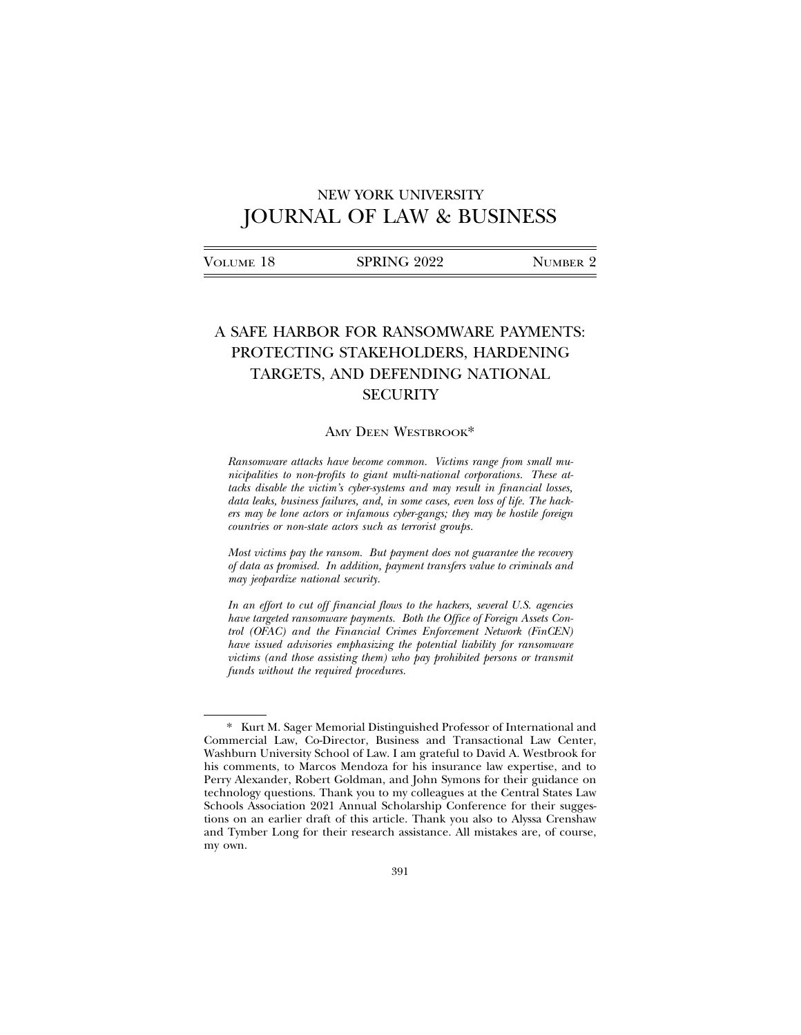# NEW YORK UNIVERSITY JOURNAL OF LAW & BUSINESS

| VOLUME 18 | <b>SPRING 2022</b> | NUMBER 2 |
|-----------|--------------------|----------|
|           |                    |          |

# A SAFE HARBOR FOR RANSOMWARE PAYMENTS: PROTECTING STAKEHOLDERS, HARDENING TARGETS, AND DEFENDING NATIONAL **SECURITY**

#### AMY DEEN WESTBROOK\*

*Ransomware attacks have become common. Victims range from small municipalities to non-profits to giant multi-national corporations. These attacks disable the victim's cyber-systems and may result in financial losses, data leaks, business failures, and, in some cases, even loss of life. The hackers may be lone actors or infamous cyber-gangs; they may be hostile foreign countries or non-state actors such as terrorist groups.*

*Most victims pay the ransom. But payment does not guarantee the recovery of data as promised. In addition, payment transfers value to criminals and may jeopardize national security.*

*In an effort to cut off financial flows to the hackers, several U.S. agencies have targeted ransomware payments. Both the Office of Foreign Assets Control (OFAC) and the Financial Crimes Enforcement Network (FinCEN) have issued advisories emphasizing the potential liability for ransomware victims (and those assisting them) who pay prohibited persons or transmit funds without the required procedures.*

<sup>\*</sup> Kurt M. Sager Memorial Distinguished Professor of International and Commercial Law, Co-Director, Business and Transactional Law Center, Washburn University School of Law. I am grateful to David A. Westbrook for his comments, to Marcos Mendoza for his insurance law expertise, and to Perry Alexander, Robert Goldman, and John Symons for their guidance on technology questions. Thank you to my colleagues at the Central States Law Schools Association 2021 Annual Scholarship Conference for their suggestions on an earlier draft of this article. Thank you also to Alyssa Crenshaw and Tymber Long for their research assistance. All mistakes are, of course, my own.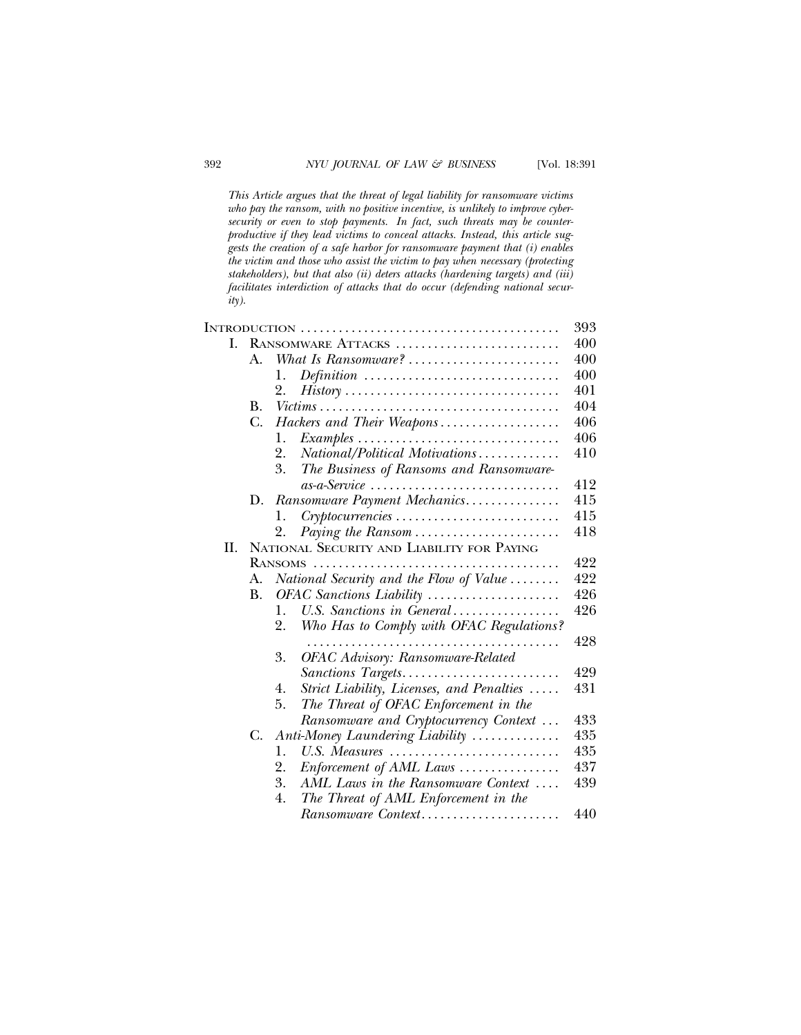*This Article argues that the threat of legal liability for ransomware victims who pay the ransom, with no positive incentive, is unlikely to improve cybersecurity or even to stop payments. In fact, such threats may be counterproductive if they lead victims to conceal attacks. Instead, this article suggests the creation of a safe harbor for ransomware payment that (i) enables the victim and those who assist the victim to pay when necessary (protecting stakeholders), but that also (ii) deters attacks (hardening targets) and (iii) facilitates interdiction of attacks that do occur (defending national security).*

|    |                    |                                                                                    | 393 |  |
|----|--------------------|------------------------------------------------------------------------------------|-----|--|
| L  | RANSOMWARE ATTACKS |                                                                                    |     |  |
|    | $A_{-}$            | What Is Ransomware?                                                                | 400 |  |
|    |                    | $Definition \cdots \cdots \cdots \cdots \cdots \cdots \cdots \cdots \cdots$<br>1.  | 400 |  |
|    |                    | 2.                                                                                 | 401 |  |
|    | B.                 |                                                                                    | 404 |  |
|    | C.                 | Hackers and Their Weapons                                                          | 406 |  |
|    |                    | $Examples \dots \dots \dots \dots \dots \dots \dots \dots \dots \dots \dots$<br>1. | 406 |  |
|    |                    | National/Political Motivations<br>2.                                               | 410 |  |
|    |                    | 3.<br>The Business of Ransoms and Ransomware-                                      |     |  |
|    |                    |                                                                                    | 412 |  |
|    |                    | D. Ransomware Payment Mechanics                                                    | 415 |  |
|    |                    | 1.                                                                                 | 415 |  |
|    |                    | Paying the Ransom<br>2.                                                            | 418 |  |
| H. |                    | NATIONAL SECURITY AND LIABILITY FOR PAYING                                         |     |  |
|    |                    |                                                                                    |     |  |
|    | А.                 | National Security and the Flow of Value                                            | 422 |  |
|    | <b>B.</b>          | OFAC Sanctions Liability                                                           | 426 |  |
|    |                    | U.S. Sanctions in General<br>1.                                                    | 426 |  |
|    |                    | Who Has to Comply with OFAC Regulations?<br>2.                                     |     |  |
|    |                    |                                                                                    | 428 |  |
|    |                    | <b>OFAC Advisory: Ransomware-Related</b><br>3.                                     |     |  |
|    |                    | Sanctions Targets                                                                  | 429 |  |
|    |                    | Strict Liability, Licenses, and Penalties<br>4.                                    | 431 |  |
|    |                    | 5.<br>The Threat of OFAC Enforcement in the                                        |     |  |
|    |                    | Ransomware and Cryptocurrency Context                                              | 433 |  |
|    | C.                 | Anti-Money Laundering Liability                                                    | 435 |  |
|    |                    | U.S. Measures<br>1.                                                                | 435 |  |
|    |                    | 2.                                                                                 | 437 |  |
|    |                    | 3.<br>AML Laws in the Ransomware Context                                           | 439 |  |
|    |                    | The Threat of AML Enforcement in the<br>4.                                         |     |  |
|    |                    | Ransomware Context                                                                 | 440 |  |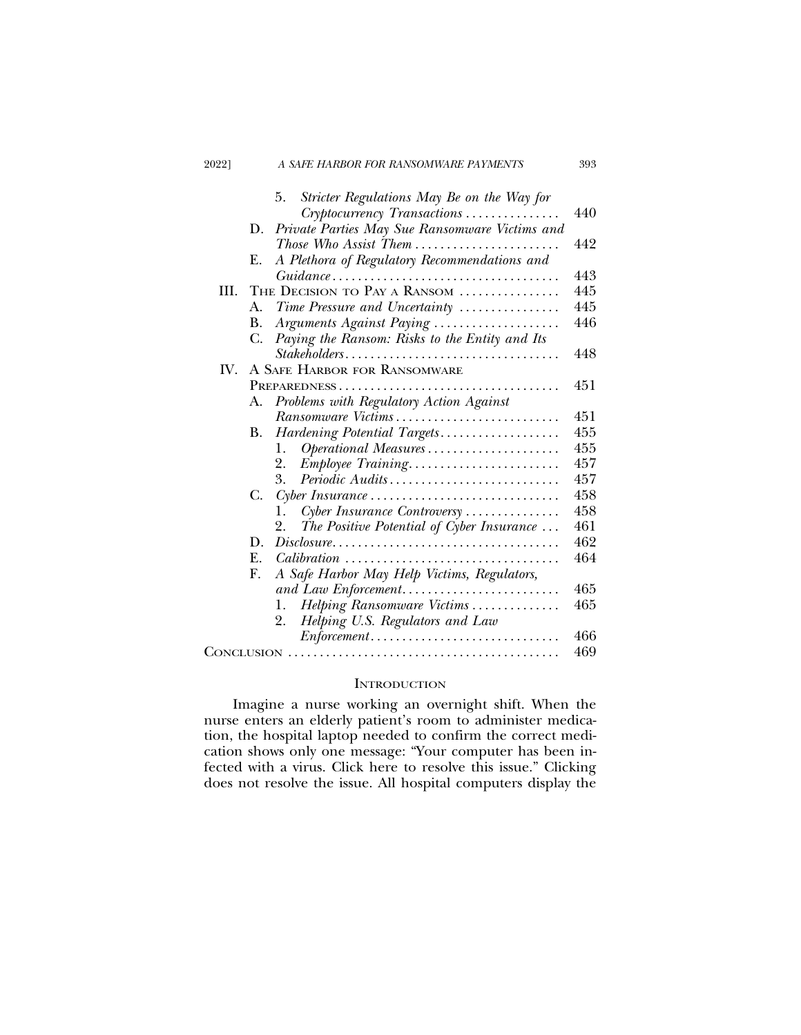| 2022]          | A SAFE HARBOR FOR RANSOMWARE PAYMENTS                                                           | 393 |
|----------------|-------------------------------------------------------------------------------------------------|-----|
|                | Stricter Regulations May Be on the Way for<br>5.<br>Cryptocurrency Transactions                 | 440 |
|                | D.                                                                                              |     |
|                | Private Parties May Sue Ransomware Victims and                                                  |     |
|                | Those Who Assist Them                                                                           | 442 |
|                | A Plethora of Regulatory Recommendations and<br>Е.                                              |     |
|                |                                                                                                 | 443 |
| III.           | THE DECISION TO PAY A RANSOM                                                                    | 445 |
|                | Time Pressure and Uncertainty<br>A.                                                             | 445 |
|                | Arguments Against Paying<br>В.                                                                  | 446 |
|                | Paying the Ransom: Risks to the Entity and Its<br>C.                                            |     |
|                | Stakeholders                                                                                    | 448 |
| $\mathbf{W}$ . | A SAFE HARBOR FOR RANSOMWARE                                                                    |     |
|                |                                                                                                 | 451 |
|                | Problems with Regulatory Action Against<br>А.                                                   |     |
|                | Ransomware Victims                                                                              | 451 |
|                | Hardening Potential Targets<br>В.                                                               | 455 |
|                | Operational Measures<br>1.                                                                      | 455 |
|                | Employee Training<br>2.                                                                         | 457 |
|                | 3.<br>Periodic Audits                                                                           | 457 |
|                | C.<br>$Cyber Insurance$                                                                         | 458 |
|                | Cyber Insurance Controversy<br>1.                                                               | 458 |
|                | The Positive Potential of Cyber Insurance<br>2.                                                 | 461 |
|                | D.<br>$Disclosure \ldots \ldots \ldots \ldots \ldots \ldots \ldots \ldots \ldots \ldots \ldots$ | 462 |
|                | E.                                                                                              | 464 |
|                | A Safe Harbor May Help Victims, Regulators,<br>F.                                               |     |
|                |                                                                                                 | 465 |
|                | Helping Ransomware Victims<br>1.                                                                | 465 |
|                | Helping U.S. Regulators and Law<br>2.                                                           |     |
|                |                                                                                                 | 466 |
|                |                                                                                                 | 469 |

# **INTRODUCTION**

Imagine a nurse working an overnight shift. When the nurse enters an elderly patient's room to administer medication, the hospital laptop needed to confirm the correct medication shows only one message: "Your computer has been infected with a virus. Click here to resolve this issue." Clicking does not resolve the issue. All hospital computers display the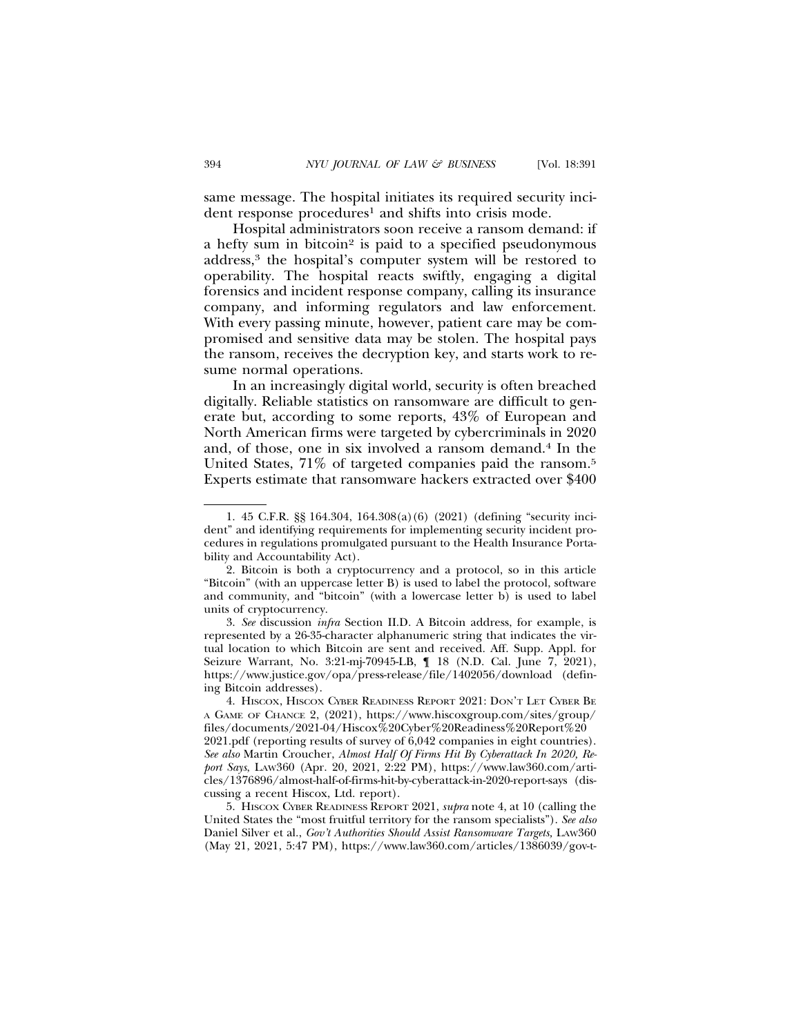same message. The hospital initiates its required security incident response procedures<sup>1</sup> and shifts into crisis mode.

Hospital administrators soon receive a ransom demand: if a hefty sum in bitcoin<sup>2</sup> is paid to a specified pseudonymous address,3 the hospital's computer system will be restored to operability. The hospital reacts swiftly, engaging a digital forensics and incident response company, calling its insurance company, and informing regulators and law enforcement. With every passing minute, however, patient care may be compromised and sensitive data may be stolen. The hospital pays the ransom, receives the decryption key, and starts work to resume normal operations.

In an increasingly digital world, security is often breached digitally. Reliable statistics on ransomware are difficult to generate but, according to some reports, 43% of European and North American firms were targeted by cybercriminals in 2020 and, of those, one in six involved a ransom demand.4 In the United States, 71\% of targeted companies paid the ransom.<sup>5</sup> Experts estimate that ransomware hackers extracted over \$400

<sup>1. 45</sup> C.F.R. §§ 164.304, 164.308(a)(6) (2021) (defining "security incident" and identifying requirements for implementing security incident procedures in regulations promulgated pursuant to the Health Insurance Portability and Accountability Act).

<sup>2.</sup> Bitcoin is both a cryptocurrency and a protocol, so in this article "Bitcoin" (with an uppercase letter B) is used to label the protocol, software and community, and "bitcoin" (with a lowercase letter b) is used to label units of cryptocurrency.

<sup>3.</sup> *See* discussion *infra* Section II.D. A Bitcoin address, for example, is represented by a 26-35-character alphanumeric string that indicates the virtual location to which Bitcoin are sent and received. Aff. Supp. Appl. for Seizure Warrant, No. 3:21-mj-70945-LB, ¶ 18 (N.D. Cal. June 7, 2021), https://www.justice.gov/opa/press-release/file/1402056/download (defining Bitcoin addresses).

<sup>4.</sup> HISCOX, HISCOX CYBER READINESS REPORT 2021: DON'T LET CYBER BE A GAME OF CHANCE 2, (2021), https://www.hiscoxgroup.com/sites/group/ files/documents/2021-04/Hiscox%20Cyber%20Readiness%20Report%20 2021.pdf (reporting results of survey of 6,042 companies in eight countries). *See also* Martin Croucher, *Almost Half Of Firms Hit By Cyberattack In 2020, Report Says*, LAW360 (Apr. 20, 2021, 2:22 PM), https://www.law360.com/articles/1376896/almost-half-of-firms-hit-by-cyberattack-in-2020-report-says (discussing a recent Hiscox, Ltd. report).

<sup>5.</sup> HISCOX CYBER READINESS REPORT 2021, *supra* note 4, at 10 (calling the United States the "most fruitful territory for the ransom specialists"). *See also* Daniel Silver et al., *Gov't Authorities Should Assist Ransomware Targets,* LAW360 (May 21, 2021, 5:47 PM), https://www.law360.com/articles/1386039/gov-t-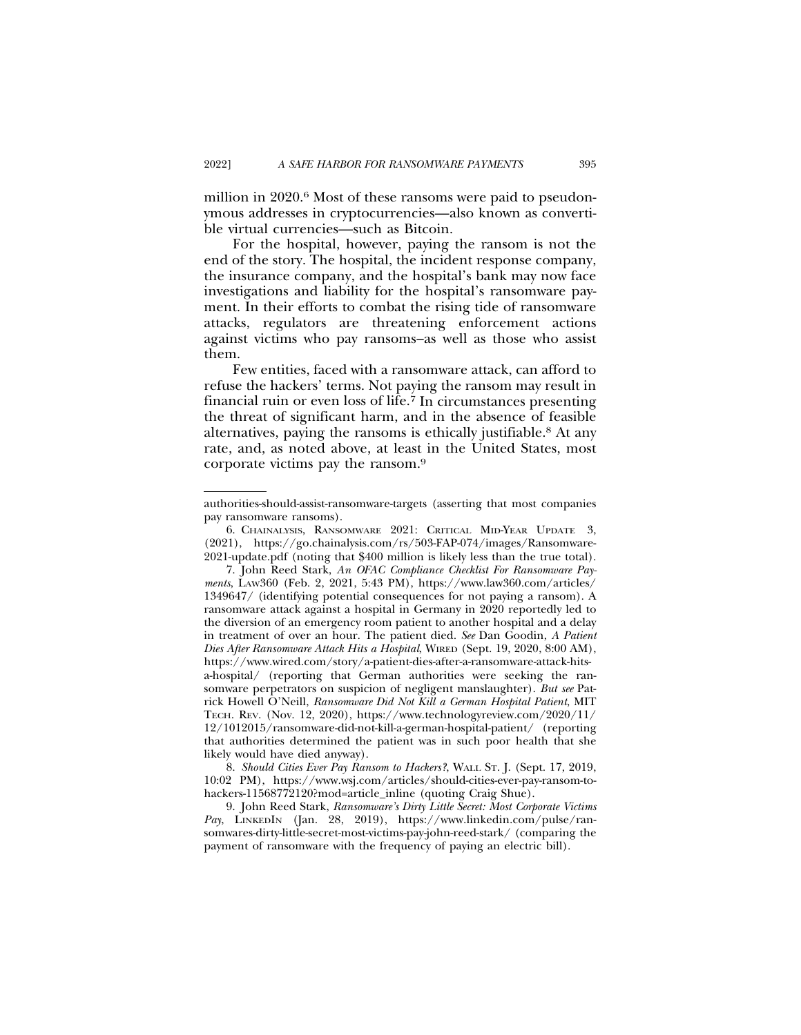million in 2020.<sup>6</sup> Most of these ransoms were paid to pseudonymous addresses in cryptocurrencies—also known as convertible virtual currencies—such as Bitcoin.

For the hospital, however, paying the ransom is not the end of the story. The hospital, the incident response company, the insurance company, and the hospital's bank may now face investigations and liability for the hospital's ransomware payment. In their efforts to combat the rising tide of ransomware attacks, regulators are threatening enforcement actions against victims who pay ransoms–as well as those who assist them.

Few entities, faced with a ransomware attack, can afford to refuse the hackers' terms. Not paying the ransom may result in financial ruin or even loss of life.7 In circumstances presenting the threat of significant harm, and in the absence of feasible alternatives, paying the ransoms is ethically justifiable.8 At any rate, and, as noted above, at least in the United States, most corporate victims pay the ransom.9

authorities-should-assist-ransomware-targets (asserting that most companies pay ransomware ransoms).

<sup>6.</sup> CHAINALYSIS, RANSOMWARE 2021: CRITICAL MID-YEAR UPDATE 3, (2021), https://go.chainalysis.com/rs/503-FAP-074/images/Ransomware-2021-update.pdf (noting that \$400 million is likely less than the true total).

<sup>7.</sup> John Reed Stark, *An OFAC Compliance Checklist For Ransomware Payments*, LAW360 (Feb. 2, 2021, 5:43 PM), https://www.law360.com/articles/ 1349647/ (identifying potential consequences for not paying a ransom). A ransomware attack against a hospital in Germany in 2020 reportedly led to the diversion of an emergency room patient to another hospital and a delay in treatment of over an hour. The patient died. *See* Dan Goodin, *A Patient Dies After Ransomware Attack Hits a Hospital*, WIRED (Sept. 19, 2020, 8:00 AM), https://www.wired.com/story/a-patient-dies-after-a-ransomware-attack-hitsa-hospital/ (reporting that German authorities were seeking the ransomware perpetrators on suspicion of negligent manslaughter). *But see* Patrick Howell O'Neill, *Ransomware Did Not Kill a German Hospital Patient*, MIT TECH. REV. (Nov. 12, 2020), https://www.technologyreview.com/2020/11/ 12/1012015/ransomware-did-not-kill-a-german-hospital-patient/ (reporting that authorities determined the patient was in such poor health that she likely would have died anyway).

<sup>8.</sup> *Should Cities Ever Pay Ransom to Hackers?*, WALL ST. J. (Sept. 17, 2019, 10:02 PM), https://www.wsj.com/articles/should-cities-ever-pay-ransom-tohackers-11568772120?mod=article\_inline (quoting Craig Shue).

<sup>9.</sup> John Reed Stark, *Ransomware's Dirty Little Secret: Most Corporate Victims Pay*, LINKEDIN (Jan. 28, 2019), https://www.linkedin.com/pulse/ransomwares-dirty-little-secret-most-victims-pay-john-reed-stark/ (comparing the payment of ransomware with the frequency of paying an electric bill).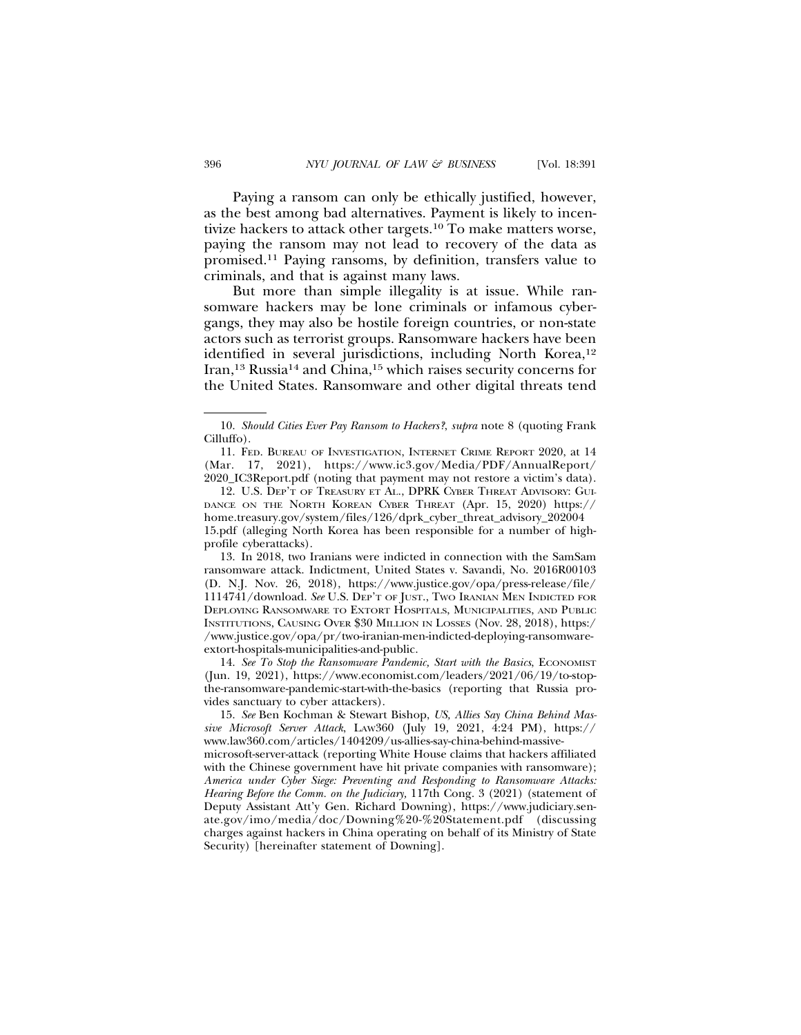Paying a ransom can only be ethically justified, however, as the best among bad alternatives. Payment is likely to incentivize hackers to attack other targets.10 To make matters worse, paying the ransom may not lead to recovery of the data as promised.11 Paying ransoms, by definition, transfers value to criminals, and that is against many laws.

But more than simple illegality is at issue. While ransomware hackers may be lone criminals or infamous cybergangs, they may also be hostile foreign countries, or non-state actors such as terrorist groups. Ransomware hackers have been identified in several jurisdictions, including North Korea,<sup>12</sup> Iran,13 Russia14 and China,15 which raises security concerns for the United States. Ransomware and other digital threats tend

13. In 2018, two Iranians were indicted in connection with the SamSam ransomware attack. Indictment, United States v. Savandi, No. 2016R00103 (D. N.J. Nov. 26, 2018), https://www.justice.gov/opa/press-release/file/ 1114741/download. *See* U.S. DEP'T OF JUST., TWO IRANIAN MEN INDICTED FOR DEPLOYING RANSOMWARE TO EXTORT HOSPITALS, MUNICIPALITIES, AND PUBLIC INSTITUTIONS, CAUSING OVER \$30 MILLION IN LOSSES (Nov. 28, 2018), https:/ /www.justice.gov/opa/pr/two-iranian-men-indicted-deploying-ransomwareextort-hospitals-municipalities-and-public.

14. See To Stop the Ransomware Pandemic, Start with the Basics, ECONOMIST (Jun. 19, 2021), https://www.economist.com/leaders/2021/06/19/to-stopthe-ransomware-pandemic-start-with-the-basics (reporting that Russia provides sanctuary to cyber attackers).

15. *See* Ben Kochman & Stewart Bishop, *US, Allies Say China Behind Massive Microsoft Server Attack*, LAW360 (July 19, 2021, 4:24 PM), https:// www.law360.com/articles/1404209/us-allies-say-china-behind-massivemicrosoft-server-attack (reporting White House claims that hackers affiliated with the Chinese government have hit private companies with ransomware); *America under Cyber Siege: Preventing and Responding to Ransomware Attacks: Hearing Before the Comm. on the Judiciary,* 117th Cong. 3 (2021) (statement of Deputy Assistant Att'y Gen. Richard Downing), https://www.judiciary.senate.gov/imo/media/doc/Downing%20-%20Statement.pdf (discussing charges against hackers in China operating on behalf of its Ministry of State Security) [hereinafter statement of Downing].

<sup>10.</sup> *Should Cities Ever Pay Ransom to Hackers?*, *supra* note 8 (quoting Frank Cilluffo).

<sup>11.</sup> FED. BUREAU OF INVESTIGATION, INTERNET CRIME REPORT 2020, at 14 (Mar. 17, 2021), https://www.ic3.gov/Media/PDF/AnnualReport/ 2020\_IC3Report.pdf (noting that payment may not restore a victim's data).

<sup>12.</sup> U.S. DEP'T OF TREASURY ET AL., DPRK CYBER THREAT ADVISORY: GUI-DANCE ON THE NORTH KOREAN CYBER THREAT (Apr. 15, 2020) https:// home.treasury.gov/system/files/126/dprk\_cyber\_threat\_advisory\_202004 15.pdf (alleging North Korea has been responsible for a number of highprofile cyberattacks).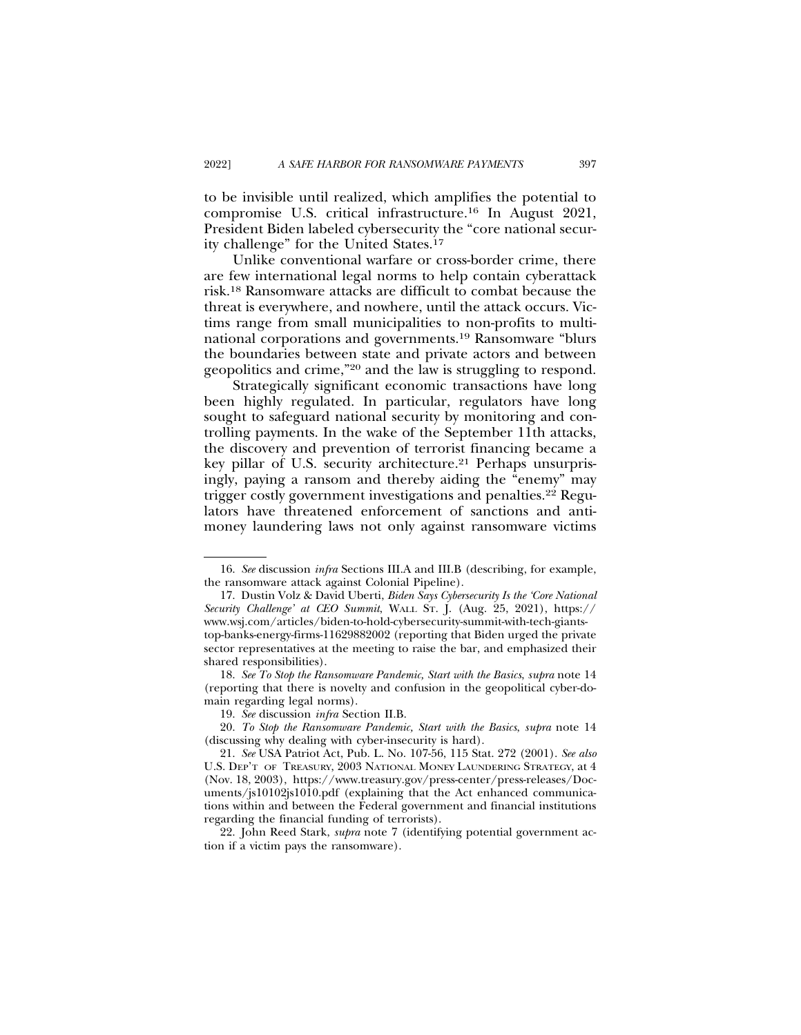to be invisible until realized, which amplifies the potential to compromise U.S. critical infrastructure.16 In August 2021, President Biden labeled cybersecurity the "core national security challenge" for the United States.17

Unlike conventional warfare or cross-border crime, there are few international legal norms to help contain cyberattack risk.18 Ransomware attacks are difficult to combat because the threat is everywhere, and nowhere, until the attack occurs. Victims range from small municipalities to non-profits to multinational corporations and governments.19 Ransomware "blurs the boundaries between state and private actors and between geopolitics and crime,"20 and the law is struggling to respond.

Strategically significant economic transactions have long been highly regulated. In particular, regulators have long sought to safeguard national security by monitoring and controlling payments. In the wake of the September 11th attacks, the discovery and prevention of terrorist financing became a key pillar of U.S. security architecture.<sup>21</sup> Perhaps unsurprisingly, paying a ransom and thereby aiding the "enemy" may trigger costly government investigations and penalties.<sup>22</sup> Regulators have threatened enforcement of sanctions and antimoney laundering laws not only against ransomware victims

22. John Reed Stark, *supra* note 7 (identifying potential government action if a victim pays the ransomware).

<sup>16.</sup> *See* discussion *infra* Sections III.A and III.B (describing, for example, the ransomware attack against Colonial Pipeline).

<sup>17.</sup> Dustin Volz & David Uberti, *Biden Says Cybersecurity Is the 'Core National Security Challenge' at CEO Summit*, WALL ST. J. (Aug. 25, 2021), https:// www.wsj.com/articles/biden-to-hold-cybersecurity-summit-with-tech-giantstop-banks-energy-firms-11629882002 (reporting that Biden urged the private sector representatives at the meeting to raise the bar, and emphasized their shared responsibilities).

<sup>18.</sup> *See To Stop the Ransomware Pandemic, Start with the Basics*, *supra* note 14 (reporting that there is novelty and confusion in the geopolitical cyber-domain regarding legal norms).

<sup>19.</sup> *See* discussion *infra* Section II.B.

<sup>20.</sup> *To Stop the Ransomware Pandemic, Start with the Basics*, *supra* note 14 (discussing why dealing with cyber-insecurity is hard).

<sup>21.</sup> *See* USA Patriot Act, Pub. L. No. 107-56, 115 Stat. 272 (2001). *See also* U.S. DEP'T OF TREASURY, 2003 NATIONAL MONEY LAUNDERING STRATEGY, at 4 (Nov. 18, 2003), https://www.treasury.gov/press-center/press-releases/Documents/js10102js1010.pdf (explaining that the Act enhanced communications within and between the Federal government and financial institutions regarding the financial funding of terrorists).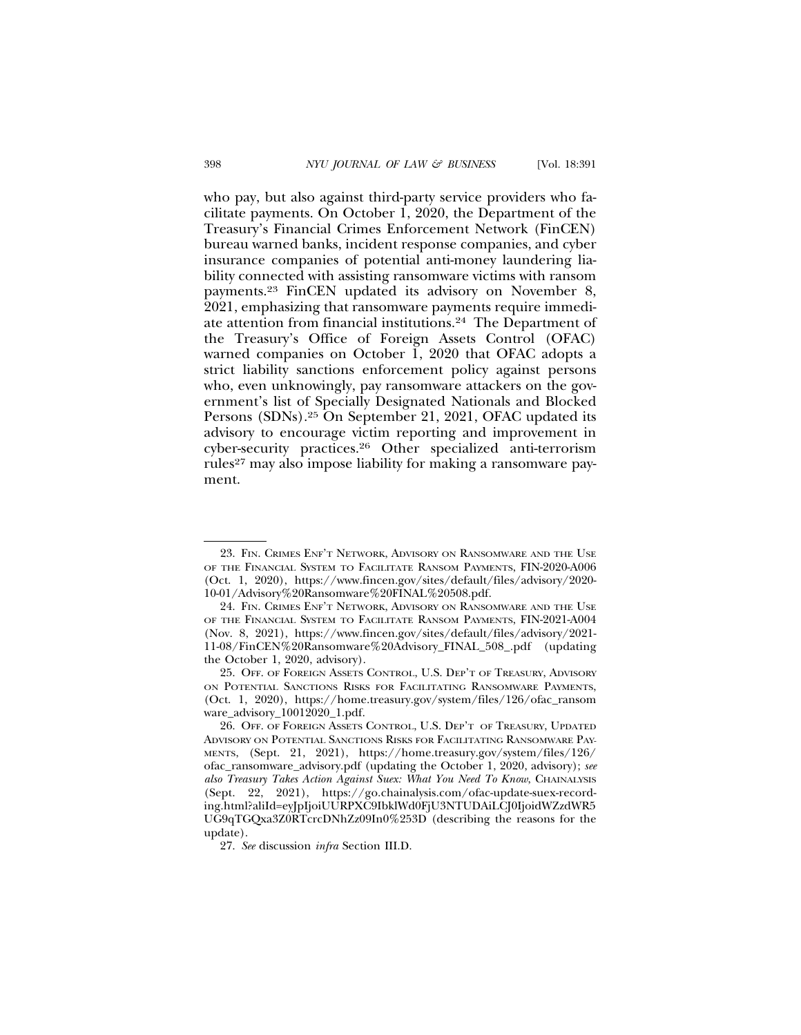who pay, but also against third-party service providers who facilitate payments. On October 1, 2020, the Department of the Treasury's Financial Crimes Enforcement Network (FinCEN) bureau warned banks, incident response companies, and cyber insurance companies of potential anti-money laundering liability connected with assisting ransomware victims with ransom payments.23 FinCEN updated its advisory on November 8, 2021, emphasizing that ransomware payments require immediate attention from financial institutions.24 The Department of the Treasury's Office of Foreign Assets Control (OFAC) warned companies on October 1, 2020 that OFAC adopts a strict liability sanctions enforcement policy against persons who, even unknowingly, pay ransomware attackers on the government's list of Specially Designated Nationals and Blocked Persons (SDNs).25 On September 21, 2021, OFAC updated its advisory to encourage victim reporting and improvement in cyber-security practices.26 Other specialized anti-terrorism rules<sup>27</sup> may also impose liability for making a ransomware payment.

<sup>23.</sup> FIN. CRIMES ENF'T NETWORK, ADVISORY ON RANSOMWARE AND THE USE OF THE FINANCIAL SYSTEM TO FACILITATE RANSOM PAYMENTS, FIN-2020-A006 (Oct. 1, 2020), https://www.fincen.gov/sites/default/files/advisory/2020- 10-01/Advisory%20Ransomware%20FINAL%20508.pdf.

<sup>24.</sup> FIN. CRIMES ENF'T NETWORK, ADVISORY ON RANSOMWARE AND THE USE OF THE FINANCIAL SYSTEM TO FACILITATE RANSOM PAYMENTS, FIN-2021-A004 (Nov. 8, 2021), https://www.fincen.gov/sites/default/files/advisory/2021- 11-08/FinCEN%20Ransomware%20Advisory\_FINAL\_508\_.pdf (updating the October 1, 2020, advisory).

<sup>25.</sup> OFF. OF FOREIGN ASSETS CONTROL, U.S. DEP'T OF TREASURY, ADVISORY ON POTENTIAL SANCTIONS RISKS FOR FACILITATING RANSOMWARE PAYMENTS, (Oct. 1, 2020), https://home.treasury.gov/system/files/126/ofac\_ransom ware\_advisory\_10012020\_1.pdf.

<sup>26.</sup> OFF. OF FOREIGN ASSETS CONTROL, U.S. DEP'T OF TREASURY, UPDATED ADVISORY ON POTENTIAL SANCTIONS RISKS FOR FACILITATING RANSOMWARE PAY-MENTS, (Sept. 21, 2021), https://home.treasury.gov/system/files/126/ ofac\_ransomware\_advisory.pdf (updating the October 1, 2020, advisory); *see also Treasury Takes Action Against Suex: What You Need To Know*, CHAINALYSIS (Sept. 22, 2021), https://go.chainalysis.com/ofac-update-suex-recording.html?aliId=eyJpIjoiUURPXC9IbklWd0FjU3NTUDAiLCJ0IjoidWZzdWR5 UG9qTGQxa3Z0RTcrcDNhZz09In0%253D (describing the reasons for the update).

<sup>27.</sup> *See* discussion *infra* Section III.D.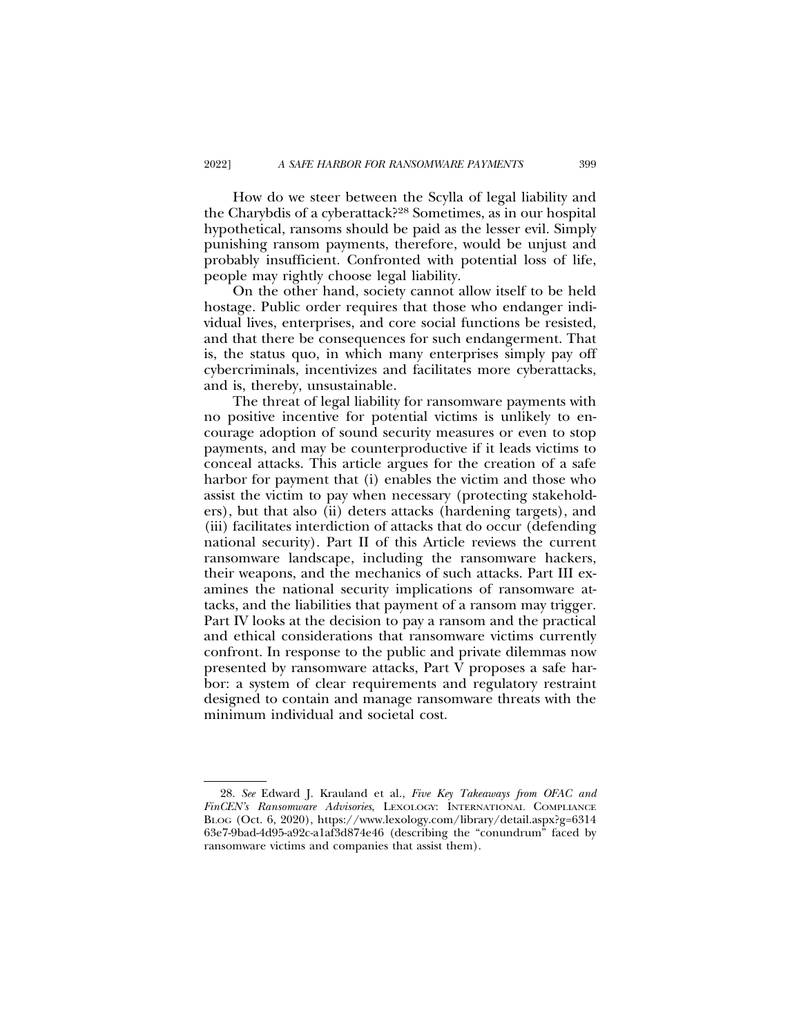How do we steer between the Scylla of legal liability and the Charybdis of a cyberattack?28 Sometimes, as in our hospital hypothetical, ransoms should be paid as the lesser evil. Simply punishing ransom payments, therefore, would be unjust and probably insufficient. Confronted with potential loss of life, people may rightly choose legal liability.

On the other hand, society cannot allow itself to be held hostage. Public order requires that those who endanger individual lives, enterprises, and core social functions be resisted, and that there be consequences for such endangerment. That is, the status quo, in which many enterprises simply pay off cybercriminals, incentivizes and facilitates more cyberattacks, and is, thereby, unsustainable.

The threat of legal liability for ransomware payments with no positive incentive for potential victims is unlikely to encourage adoption of sound security measures or even to stop payments, and may be counterproductive if it leads victims to conceal attacks. This article argues for the creation of a safe harbor for payment that (i) enables the victim and those who assist the victim to pay when necessary (protecting stakeholders), but that also (ii) deters attacks (hardening targets), and (iii) facilitates interdiction of attacks that do occur (defending national security). Part II of this Article reviews the current ransomware landscape, including the ransomware hackers, their weapons, and the mechanics of such attacks. Part III examines the national security implications of ransomware attacks, and the liabilities that payment of a ransom may trigger. Part IV looks at the decision to pay a ransom and the practical and ethical considerations that ransomware victims currently confront. In response to the public and private dilemmas now presented by ransomware attacks, Part V proposes a safe harbor: a system of clear requirements and regulatory restraint designed to contain and manage ransomware threats with the minimum individual and societal cost.

<sup>28.</sup> *See* Edward J. Krauland et al., *Five Key Takeaways from OFAC and FinCEN's Ransomware Advisories*, LEXOLOGY: INTERNATIONAL COMPLIANCE BLOG (Oct. 6, 2020), https://www.lexology.com/library/detail.aspx?g=6314 63e7-9bad-4d95-a92c-a1af3d874e46 (describing the "conundrum" faced by ransomware victims and companies that assist them).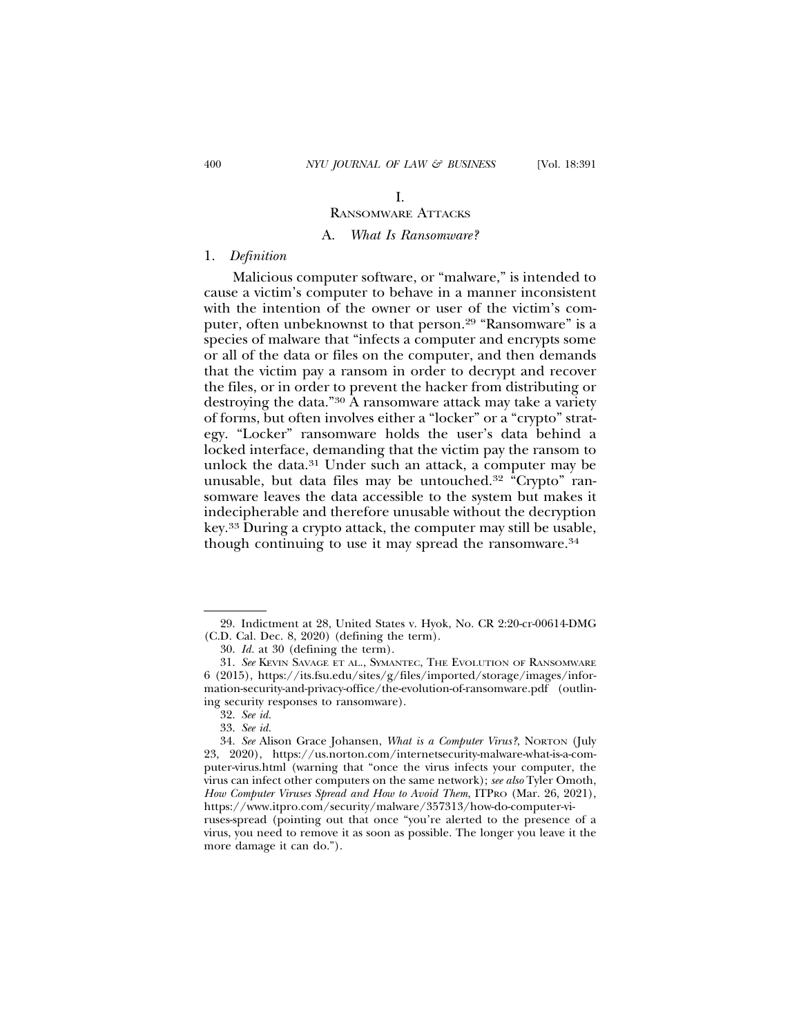# I.

### RANSOMWARE ATTACKS

### A. *What Is Ransomware?*

#### 1. *Definition*

Malicious computer software, or "malware," is intended to cause a victim's computer to behave in a manner inconsistent with the intention of the owner or user of the victim's computer, often unbeknownst to that person.29 "Ransomware" is a species of malware that "infects a computer and encrypts some or all of the data or files on the computer, and then demands that the victim pay a ransom in order to decrypt and recover the files, or in order to prevent the hacker from distributing or destroying the data."30 A ransomware attack may take a variety of forms, but often involves either a "locker" or a "crypto" strategy. "Locker" ransomware holds the user's data behind a locked interface, demanding that the victim pay the ransom to unlock the data.31 Under such an attack, a computer may be unusable, but data files may be untouched.32 "Crypto" ransomware leaves the data accessible to the system but makes it indecipherable and therefore unusable without the decryption key.33 During a crypto attack, the computer may still be usable, though continuing to use it may spread the ransomware.34

<sup>29.</sup> Indictment at 28, United States v. Hyok, No. CR 2:20-cr-00614-DMG (C.D. Cal. Dec. 8, 2020) (defining the term).

<sup>30.</sup> *Id.* at 30 (defining the term).

<sup>31.</sup> *See* KEVIN SAVAGE ET AL., SYMANTEC, THE EVOLUTION OF RANSOMWARE 6 (2015), https://its.fsu.edu/sites/g/files/imported/storage/images/information-security-and-privacy-office/the-evolution-of-ransomware.pdf (outlining security responses to ransomware).

<sup>32.</sup> *See id.*

<sup>33.</sup> *See id.*

<sup>34.</sup> *See* Alison Grace Johansen, *What is a Computer Virus?*, NORTON (July 23, 2020), https://us.norton.com/internetsecurity-malware-what-is-a-computer-virus.html (warning that "once the virus infects your computer, the virus can infect other computers on the same network); *see also* Tyler Omoth, *How Computer Viruses Spread and How to Avoid Them*, ITPRO (Mar. 26, 2021), https://www.itpro.com/security/malware/357313/how-do-computer-viruses-spread (pointing out that once "you're alerted to the presence of a virus, you need to remove it as soon as possible. The longer you leave it the more damage it can do.").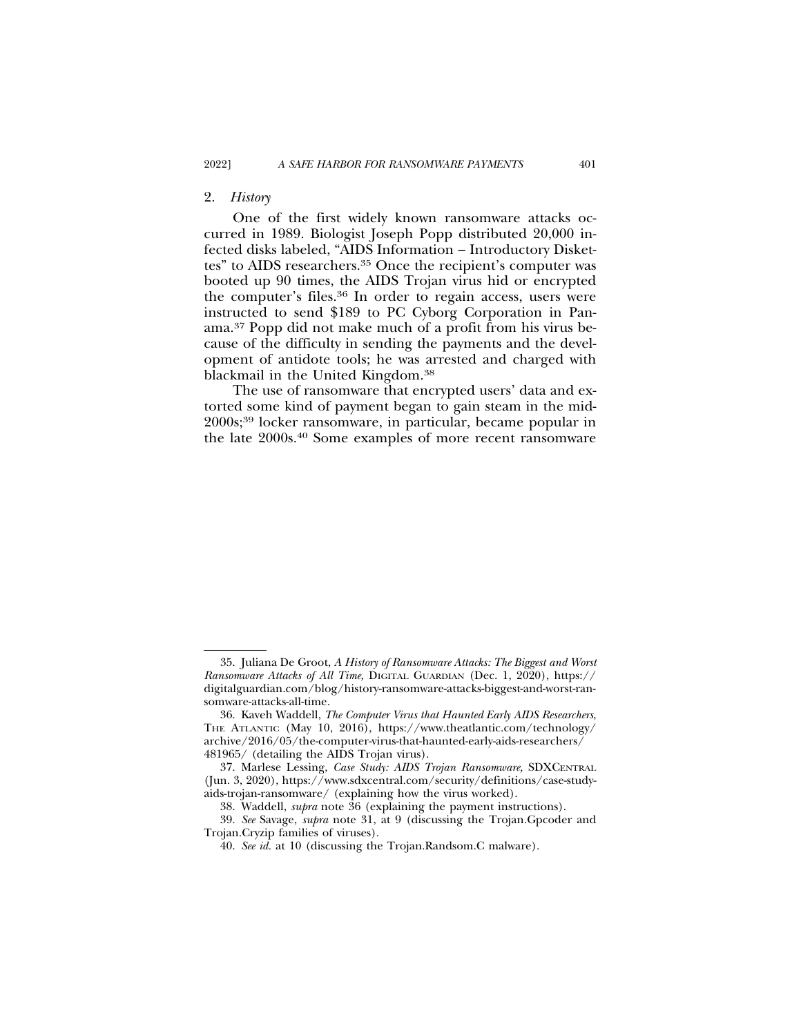#### 2. *History*

One of the first widely known ransomware attacks occurred in 1989. Biologist Joseph Popp distributed 20,000 infected disks labeled, "AIDS Information – Introductory Diskettes" to AIDS researchers.<sup>35</sup> Once the recipient's computer was booted up 90 times, the AIDS Trojan virus hid or encrypted the computer's files.36 In order to regain access, users were instructed to send \$189 to PC Cyborg Corporation in Panama.37 Popp did not make much of a profit from his virus because of the difficulty in sending the payments and the development of antidote tools; he was arrested and charged with blackmail in the United Kingdom.38

The use of ransomware that encrypted users' data and extorted some kind of payment began to gain steam in the mid-2000s;39 locker ransomware, in particular, became popular in the late 2000s.40 Some examples of more recent ransomware

<sup>35.</sup> Juliana De Groot, *A History of Ransomware Attacks: The Biggest and Worst Ransomware Attacks of All Time,* DIGITAL GUARDIAN (Dec. 1, 2020), https:// digitalguardian.com/blog/history-ransomware-attacks-biggest-and-worst-ransomware-attacks-all-time.

<sup>36.</sup> Kaveh Waddell, *The Computer Virus that Haunted Early AIDS Researchers*, THE ATLANTIC (May 10, 2016), https://www.theatlantic.com/technology/ archive/2016/05/the-computer-virus-that-haunted-early-aids-researchers/ 481965/ (detailing the AIDS Trojan virus).

<sup>37.</sup> Marlese Lessing, *Case Study: AIDS Trojan Ransomware,* SDXCENTRAL (Jun. 3, 2020), https://www.sdxcentral.com/security/definitions/case-studyaids-trojan-ransomware/ (explaining how the virus worked).

<sup>38.</sup> Waddell, *supra* note 36 (explaining the payment instructions).

<sup>39.</sup> *See* Savage, *supra* note 31, at 9 (discussing the Trojan.Gpcoder and Trojan.Cryzip families of viruses).

<sup>40.</sup> *See id.* at 10 (discussing the Trojan.Randsom.C malware).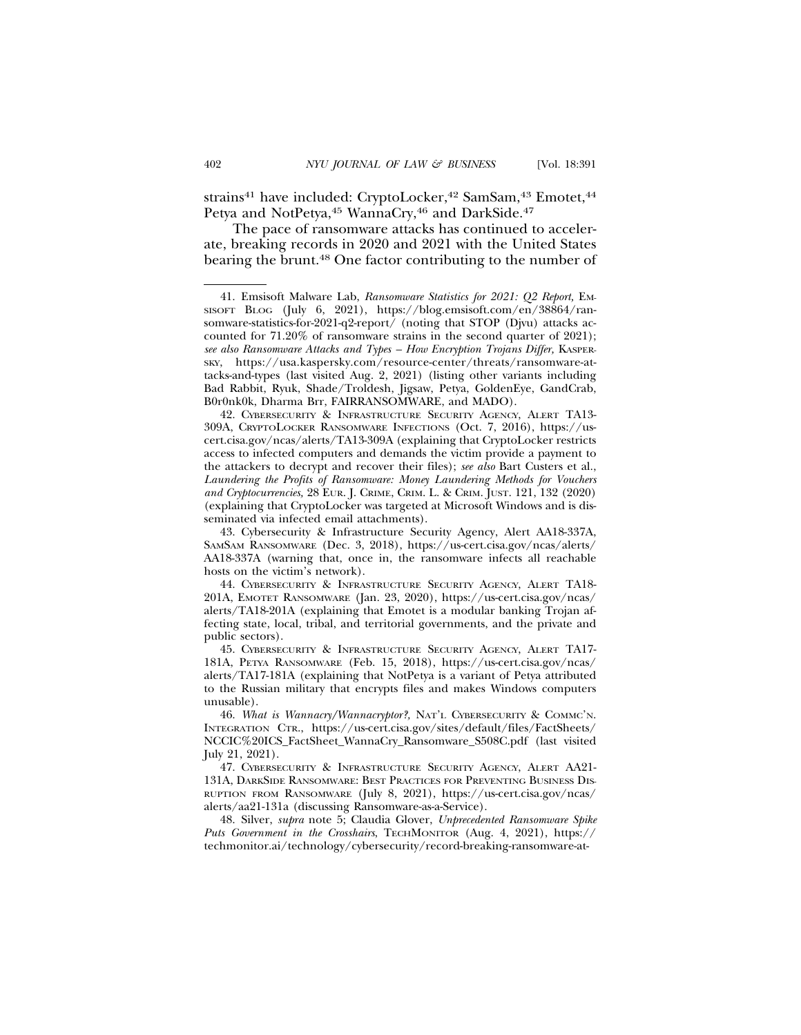strains<sup>41</sup> have included: CryptoLocker,<sup>42</sup> SamSam,<sup>43</sup> Emotet,<sup>44</sup> Petya and NotPetya, <sup>45</sup> WannaCry, <sup>46</sup> and DarkSide. <sup>47</sup>

The pace of ransomware attacks has continued to accelerate, breaking records in 2020 and 2021 with the United States bearing the brunt.48 One factor contributing to the number of

48. Silver, *supra* note 5; Claudia Glover, *Unprecedented Ransomware Spike Puts Government in the Crosshairs*, TECHMONITOR (Aug. 4, 2021), https:// techmonitor.ai/technology/cybersecurity/record-breaking-ransomware-at-

<sup>41.</sup> Emsisoft Malware Lab, *Ransomware Statistics for 2021: Q2 Report,* EM-SISOFT BLOG (July 6, 2021), https://blog.emsisoft.com/en/38864/ransomware-statistics-for-2021-q2-report/ (noting that STOP (Djvu) attacks accounted for 71.20% of ransomware strains in the second quarter of 2021); *see also Ransomware Attacks and Types – How Encryption Trojans Differ,* KASPER-SKY, https://usa.kaspersky.com/resource-center/threats/ransomware-attacks-and-types (last visited Aug. 2, 2021) (listing other variants including Bad Rabbit, Ryuk, Shade/Troldesh, Jigsaw, Petya, GoldenEye, GandCrab, B0r0nk0k, Dharma Brr, FAIRRANSOMWARE, and MADO).

<sup>42.</sup> CYBERSECURITY & INFRASTRUCTURE SECURITY AGENCY, ALERT TA13- 309A, CRYPTOLOCKER RANSOMWARE INFECTIONS (Oct. 7, 2016), https://uscert.cisa.gov/ncas/alerts/TA13-309A (explaining that CryptoLocker restricts access to infected computers and demands the victim provide a payment to the attackers to decrypt and recover their files); *see also* Bart Custers et al., *Laundering the Profits of Ransomware: Money Laundering Methods for Vouchers and Cryptocurrencies,* 28 EUR. J. CRIME, CRIM. L. & CRIM. JUST. 121, 132 (2020) (explaining that CryptoLocker was targeted at Microsoft Windows and is disseminated via infected email attachments).

<sup>43.</sup> Cybersecurity & Infrastructure Security Agency, Alert AA18-337A, SAMSAM RANSOMWARE (Dec. 3, 2018), https://us-cert.cisa.gov/ncas/alerts/ AA18-337A (warning that, once in, the ransomware infects all reachable hosts on the victim's network).

<sup>44.</sup> CYBERSECURITY & INFRASTRUCTURE SECURITY AGENCY, ALERT TA18- 201A, EMOTET RANSOMWARE (Jan. 23, 2020), https://us-cert.cisa.gov/ncas/ alerts/TA18-201A (explaining that Emotet is a modular banking Trojan affecting state, local, tribal, and territorial governments, and the private and public sectors).

<sup>45.</sup> CYBERSECURITY & INFRASTRUCTURE SECURITY AGENCY, ALERT TA17- 181A, PETYA RANSOMWARE (Feb. 15, 2018), https://us-cert.cisa.gov/ncas/ alerts/TA17-181A (explaining that NotPetya is a variant of Petya attributed to the Russian military that encrypts files and makes Windows computers unusable).

<sup>46.</sup> *What is Wannacry/Wannacryptor?,* NAT'L CYBERSECURITY & COMMC'N. INTEGRATION CTR., https://us-cert.cisa.gov/sites/default/files/FactSheets/ NCCIC%20ICS\_FactSheet\_WannaCry\_Ransomware\_S508C.pdf (last visited July 21, 2021).

<sup>47.</sup> CYBERSECURITY & INFRASTRUCTURE SECURITY AGENCY, ALERT AA21- 131A, DARKSIDE RANSOMWARE: BEST PRACTICES FOR PREVENTING BUSINESS DIS-RUPTION FROM RANSOMWARE (July 8, 2021), https://us-cert.cisa.gov/ncas/ alerts/aa21-131a (discussing Ransomware-as-a-Service).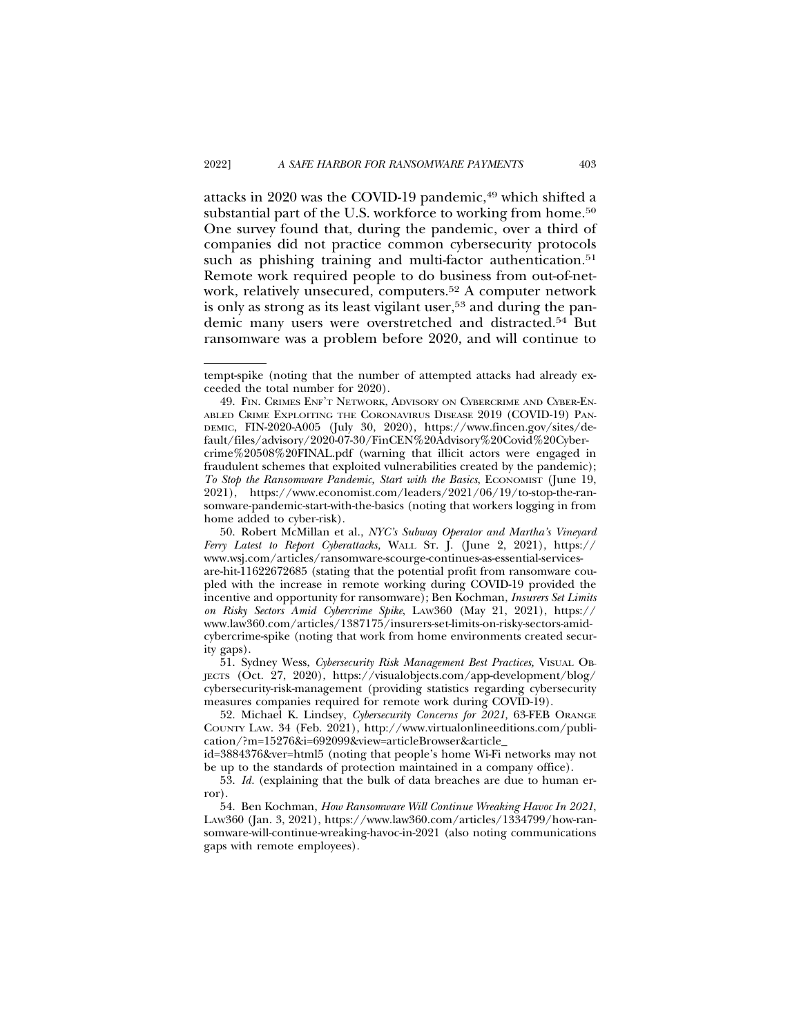attacks in 2020 was the COVID-19 pandemic, $49$  which shifted a substantial part of the U.S. workforce to working from home.<sup>50</sup> One survey found that, during the pandemic, over a third of companies did not practice common cybersecurity protocols such as phishing training and multi-factor authentication.<sup>51</sup> Remote work required people to do business from out-of-network, relatively unsecured, computers.52 A computer network is only as strong as its least vigilant user,<sup>53</sup> and during the pandemic many users were overstretched and distracted.54 But ransomware was a problem before 2020, and will continue to

51. Sydney Wess, *Cybersecurity Risk Management Best Practices,* VISUAL OB-JECTS (Oct. 27, 2020), https://visualobjects.com/app-development/blog/ cybersecurity-risk-management (providing statistics regarding cybersecurity measures companies required for remote work during COVID-19).

tempt-spike (noting that the number of attempted attacks had already exceeded the total number for 2020).

<sup>49.</sup> FIN. CRIMES ENF'T NETWORK, ADVISORY ON CYBERCRIME AND CYBER-EN-ABLED CRIME EXPLOITING THE CORONAVIRUS DISEASE 2019 (COVID-19) PAN-DEMIC, FIN-2020-A005 (July 30, 2020), https://www.fincen.gov/sites/default/files/advisory/2020-07-30/FinCEN%20Advisory%20Covid%20Cybercrime%20508%20FINAL.pdf (warning that illicit actors were engaged in fraudulent schemes that exploited vulnerabilities created by the pandemic); *To Stop the Ransomware Pandemic, Start with the Basics*, ECONOMIST (June 19, 2021), https://www.economist.com/leaders/2021/06/19/to-stop-the-ransomware-pandemic-start-with-the-basics (noting that workers logging in from home added to cyber-risk).

<sup>50.</sup> Robert McMillan et al., *NYC's Subway Operator and Martha's Vineyard Ferry Latest to Report Cyberattacks,* WALL ST. J. (June 2, 2021), https:// www.wsj.com/articles/ransomware-scourge-continues-as-essential-servicesare-hit-11622672685 (stating that the potential profit from ransomware coupled with the increase in remote working during COVID-19 provided the incentive and opportunity for ransomware); Ben Kochman, *Insurers Set Limits on Risky Sectors Amid Cybercrime Spike*, LAW360 (May 21, 2021), https:// www.law360.com/articles/1387175/insurers-set-limits-on-risky-sectors-amidcybercrime-spike (noting that work from home environments created security gaps).

<sup>52.</sup> Michael K. Lindsey, *Cybersecurity Concerns for 2021,* 63-FEB ORANGE COUNTY LAW. 34 (Feb. 2021), http://www.virtualonlineeditions.com/publication/?m=15276&i=692099&view=articleBrowser&article\_

id=3884376&ver=html5 (noting that people's home Wi-Fi networks may not be up to the standards of protection maintained in a company office).

<sup>53.</sup> *Id.* (explaining that the bulk of data breaches are due to human error).

<sup>54.</sup> Ben Kochman, *How Ransomware Will Continue Wreaking Havoc In 2021*, LAW360 (Jan. 3, 2021), https://www.law360.com/articles/1334799/how-ransomware-will-continue-wreaking-havoc-in-2021 (also noting communications gaps with remote employees).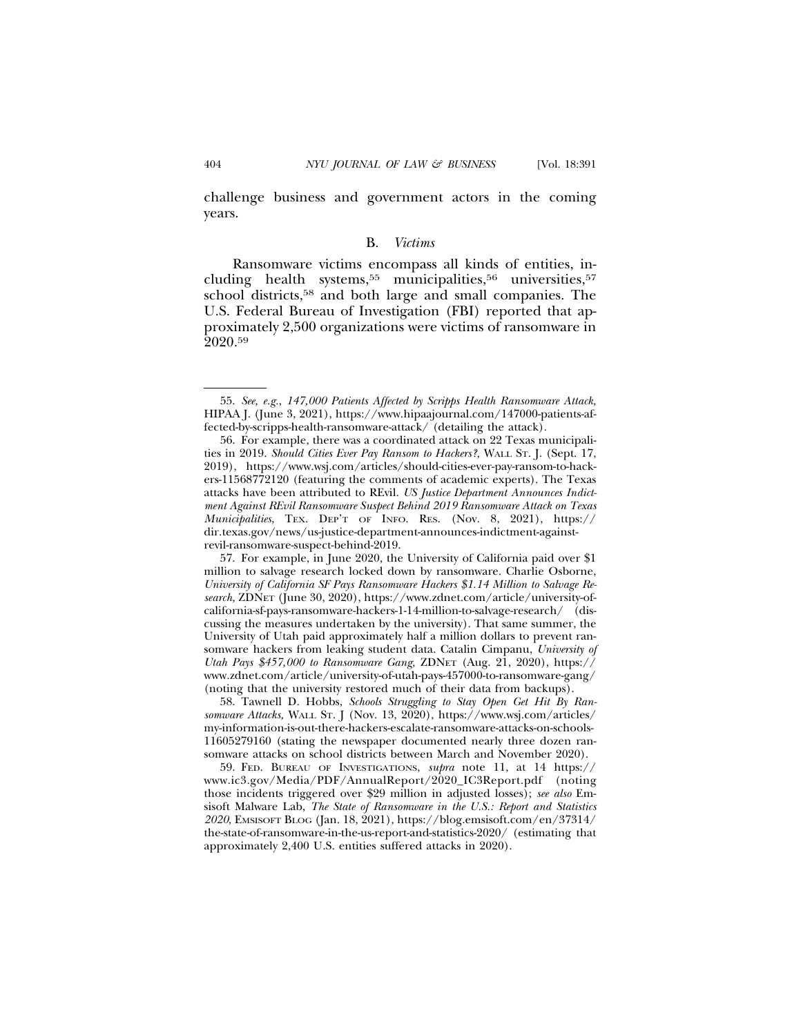challenge business and government actors in the coming years.

#### B. *Victims*

Ransomware victims encompass all kinds of entities, including health systems,<sup>55</sup> municipalities,<sup>56</sup> universities,<sup>57</sup> school districts,58 and both large and small companies. The U.S. Federal Bureau of Investigation (FBI) reported that approximately 2,500 organizations were victims of ransomware in 2020.59

<sup>55.</sup> *See, e.g.*, *147,000 Patients Affected by Scripps Health Ransomware Attack,* HIPAA J. (June 3, 2021), https://www.hipaajournal.com/147000-patients-affected-by-scripps-health-ransomware-attack/ (detailing the attack).

<sup>56.</sup> For example, there was a coordinated attack on 22 Texas municipalities in 2019. *Should Cities Ever Pay Ransom to Hackers?,* WALL ST. J. (Sept. 17, 2019), https://www.wsj.com/articles/should-cities-ever-pay-ransom-to-hackers-11568772120 (featuring the comments of academic experts). The Texas attacks have been attributed to REvil. *US Justice Department Announces Indictment Against REvil Ransomware Suspect Behind 2019 Ransomware Attack on Texas Municipalities*, TEX. DEP'T OF INFO. RES. (Nov. 8, 2021), https:// dir.texas.gov/news/us-justice-department-announces-indictment-againstrevil-ransomware-suspect-behind-2019.

<sup>57.</sup> For example, in June 2020, the University of California paid over \$1 million to salvage research locked down by ransomware. Charlie Osborne, *University of California SF Pays Ransomware Hackers \$1.14 Million to Salvage Research,* ZDNET (June 30, 2020), https://www.zdnet.com/article/university-ofcalifornia-sf-pays-ransomware-hackers-1-14-million-to-salvage-research/ (discussing the measures undertaken by the university). That same summer, the University of Utah paid approximately half a million dollars to prevent ransomware hackers from leaking student data. Catalin Cimpanu, *University of Utah Pays \$457,000 to Ransomware Gang,* ZDNET (Aug. 21, 2020), https:// www.zdnet.com/article/university-of-utah-pays-457000-to-ransomware-gang/ (noting that the university restored much of their data from backups).

<sup>58.</sup> Tawnell D. Hobbs, *Schools Struggling to Stay Open Get Hit By Ransomware Attacks,* WALL ST. J (Nov. 13, 2020), https://www.wsj.com/articles/ my-information-is-out-there-hackers-escalate-ransomware-attacks-on-schools-11605279160 (stating the newspaper documented nearly three dozen ransomware attacks on school districts between March and November 2020).

<sup>59.</sup> FED. BUREAU OF INVESTIGATIONS, *supra* note 11, at 14 https:// www.ic3.gov/Media/PDF/AnnualReport/2020\_IC3Report.pdf (noting those incidents triggered over \$29 million in adjusted losses); *see also* Emsisoft Malware Lab, *The State of Ransomware in the U.S.: Report and Statistics 2020*, EMSISOFT BLOG (Jan. 18, 2021), https://blog.emsisoft.com/en/37314/ the-state-of-ransomware-in-the-us-report-and-statistics-2020/ (estimating that approximately 2,400 U.S. entities suffered attacks in 2020).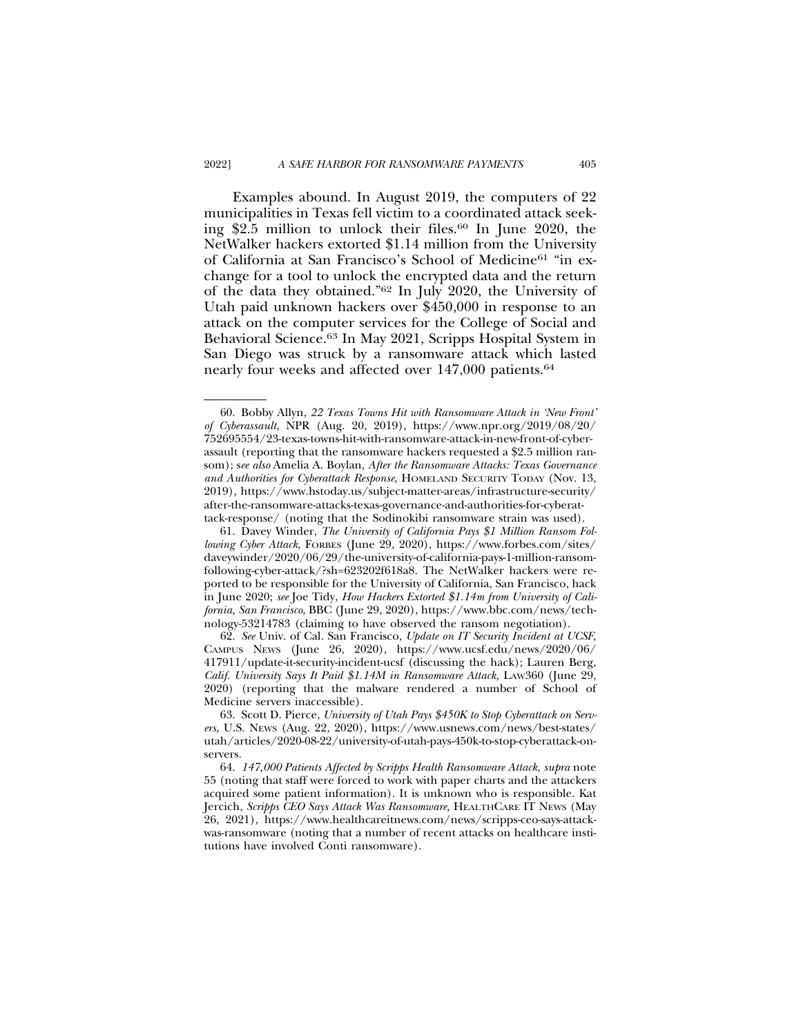Examples abound. In August 2019, the computers of 22 municipalities in Texas fell victim to a coordinated attack seeking \$2.5 million to unlock their files.<sup>60</sup> In June 2020, the NetWalker hackers extorted \$1.14 million from the University of California at San Francisco's School of Medicine61 "in exchange for a tool to unlock the encrypted data and the return of the data they obtained."62 In July 2020, the University of Utah paid unknown hackers over \$450,000 in response to an attack on the computer services for the College of Social and Behavioral Science.63 In May 2021, Scripps Hospital System in San Diego was struck by a ransomware attack which lasted nearly four weeks and affected over 147,000 patients.<sup>64</sup>

<sup>60.</sup> Bobby Allyn, *22 Texas Towns Hit with Ransomware Attack in 'New Front' of Cyberassault,* NPR (Aug. 20, 2019), https://www.npr.org/2019/08/20/ 752695554/23-texas-towns-hit-with-ransomware-attack-in-new-front-of-cyberassault (reporting that the ransomware hackers requested a \$2.5 million ransom); s*ee also* Amelia A. Boylan, *After the Ransomware Attacks: Texas Governance and Authorities for Cyberattack Response*, HOMELAND SECURITY TODAY (Nov. 13, 2019), https://www.hstoday.us/subject-matter-areas/infrastructure-security/ after-the-ransomware-attacks-texas-governance-and-authorities-for-cyberattack-response/ (noting that the Sodinokibi ransomware strain was used).

<sup>61.</sup> Davey Winder, *The University of California Pays \$1 Million Ransom Following Cyber Attack*, FORBES (June 29, 2020), https://www.forbes.com/sites/ daveywinder/2020/06/29/the-university-of-california-pays-1-million-ransomfollowing-cyber-attack/?sh=623202f618a8. The NetWalker hackers were reported to be responsible for the University of California, San Francisco, hack in June 2020; *see* Joe Tidy, *How Hackers Extorted \$1.14m from University of California, San Francisco*, BBC (June 29, 2020), https://www.bbc.com/news/technology-53214783 (claiming to have observed the ransom negotiation).

<sup>62.</sup> *See* Univ. of Cal. San Francisco, *Update on IT Security Incident at UCSF,* CAMPUS NEWS (June 26, 2020), https://www.ucsf.edu/news/2020/06/ 417911/update-it-security-incident-ucsf (discussing the hack); Lauren Berg, *Calif. University Says It Paid \$1.14M in Ransomware Attack,* LAW360 (June 29, 2020) (reporting that the malware rendered a number of School of Medicine servers inaccessible).

<sup>63.</sup> Scott D. Pierce, *University of Utah Pays \$450K to Stop Cyberattack on Servers,* U.S. NEWS (Aug. 22, 2020), https://www.usnews.com/news/best-states/ utah/articles/2020-08-22/university-of-utah-pays-450k-to-stop-cyberattack-onservers.

<sup>64.</sup> *147,000 Patients Affected by Scripps Health Ransomware Attack, supra* note 55 (noting that staff were forced to work with paper charts and the attackers acquired some patient information). It is unknown who is responsible. Kat Jercich, *Scripps CEO Says Attack Was Ransomware,* HEALTHCARE IT NEWS (May 26, 2021), https://www.healthcareitnews.com/news/scripps-ceo-says-attackwas-ransomware (noting that a number of recent attacks on healthcare institutions have involved Conti ransomware).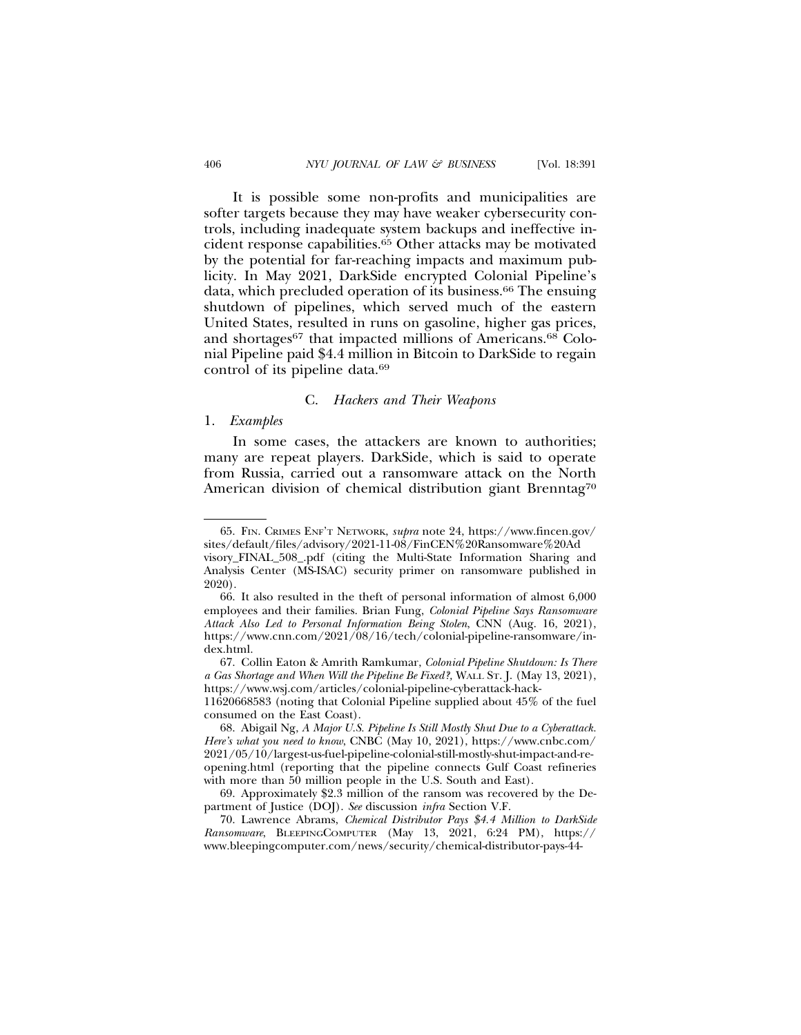It is possible some non-profits and municipalities are softer targets because they may have weaker cybersecurity controls, including inadequate system backups and ineffective incident response capabilities.65 Other attacks may be motivated by the potential for far-reaching impacts and maximum publicity. In May 2021, DarkSide encrypted Colonial Pipeline's data, which precluded operation of its business.66 The ensuing shutdown of pipelines, which served much of the eastern United States, resulted in runs on gasoline, higher gas prices, and shortages<sup>67</sup> that impacted millions of Americans.<sup>68</sup> Colonial Pipeline paid \$4.4 million in Bitcoin to DarkSide to regain control of its pipeline data.69

#### C. *Hackers and Their Weapons*

#### 1. *Examples*

In some cases, the attackers are known to authorities; many are repeat players. DarkSide, which is said to operate from Russia, carried out a ransomware attack on the North American division of chemical distribution giant Brenntag<sup>70</sup>

consumed on the East Coast).

68. Abigail Ng, *A Major U.S. Pipeline Is Still Mostly Shut Due to a Cyberattack. Here's what you need to know*, CNBC (May 10, 2021), https://www.cnbc.com/ 2021/05/10/largest-us-fuel-pipeline-colonial-still-mostly-shut-impact-and-reopening.html (reporting that the pipeline connects Gulf Coast refineries with more than 50 million people in the U.S. South and East).

69. Approximately \$2.3 million of the ransom was recovered by the Department of Justice (DOJ). *See* discussion *infra* Section V.F.

70. Lawrence Abrams, *Chemical Distributor Pays \$4.4 Million to DarkSide Ransomware*, BLEEPINGCOMPUTER (May 13, 2021, 6:24 PM), https:// www.bleepingcomputer.com/news/security/chemical-distributor-pays-44-

<sup>65.</sup> FIN. CRIMES ENF'T NETWORK, *supra* note 24, https://www.fincen.gov/ sites/default/files/advisory/2021-11-08/FinCEN%20Ransomware%20Ad visory\_FINAL\_508\_.pdf (citing the Multi-State Information Sharing and Analysis Center (MS-ISAC) security primer on ransomware published in 2020).

<sup>66.</sup> It also resulted in the theft of personal information of almost 6,000 employees and their families. Brian Fung, *Colonial Pipeline Says Ransomware Attack Also Led to Personal Information Being Stolen*, CNN (Aug. 16, 2021), https://www.cnn.com/2021/08/16/tech/colonial-pipeline-ransomware/index.html.

<sup>67.</sup> Collin Eaton & Amrith Ramkumar, *Colonial Pipeline Shutdown: Is There a Gas Shortage and When Will the Pipeline Be Fixed?,* WALL ST. J. (May 13, 2021), https://www.wsj.com/articles/colonial-pipeline-cyberattack-hack-11620668583 (noting that Colonial Pipeline supplied about 45% of the fuel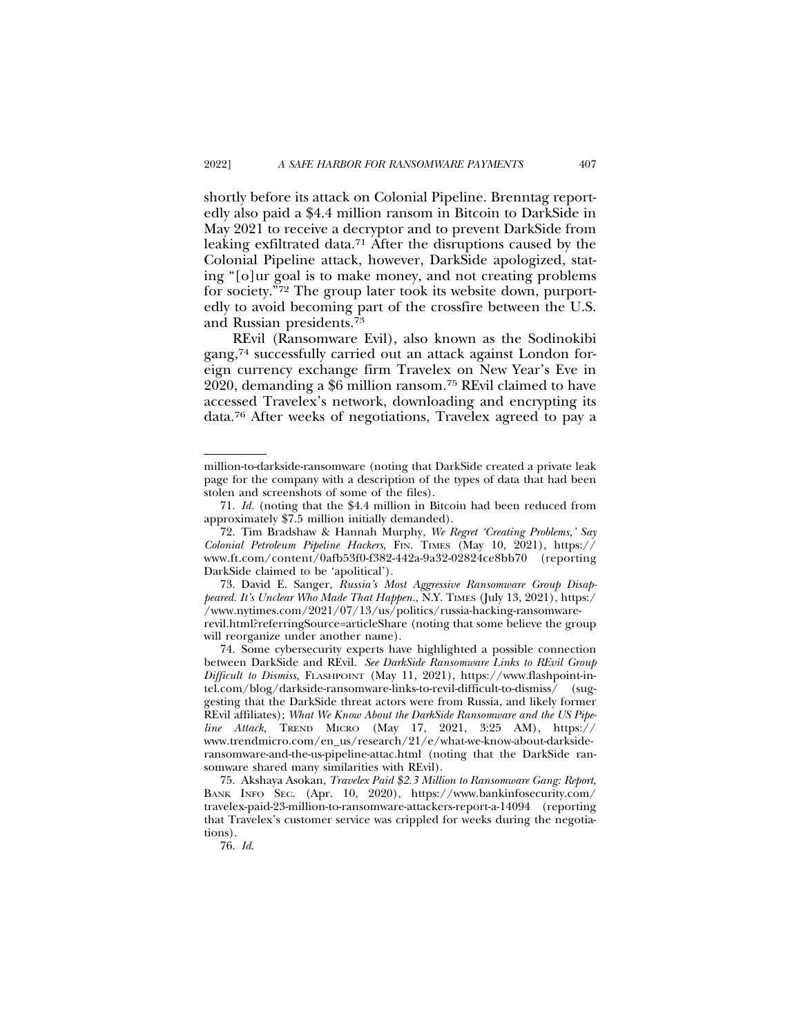shortly before its attack on Colonial Pipeline. Brenntag reportedly also paid a \$4.4 million ransom in Bitcoin to DarkSide in May 2021 to receive a decryptor and to prevent DarkSide from leaking exfiltrated data.71 After the disruptions caused by the Colonial Pipeline attack, however, DarkSide apologized, stating "[o]ur goal is to make money, and not creating problems for society."72 The group later took its website down, purportedly to avoid becoming part of the crossfire between the U.S. and Russian presidents.73

REvil (Ransomware Evil), also known as the Sodinokibi gang,74 successfully carried out an attack against London foreign currency exchange firm Travelex on New Year's Eve in 2020, demanding a \$6 million ransom.75 REvil claimed to have accessed Travelex's network, downloading and encrypting its data.76 After weeks of negotiations, Travelex agreed to pay a

million-to-darkside-ransomware (noting that DarkSide created a private leak page for the company with a description of the types of data that had been stolen and screenshots of some of the files).

<sup>71.</sup> *Id.* (noting that the \$4.4 million in Bitcoin had been reduced from approximately \$7.5 million initially demanded).

<sup>72.</sup> Tim Bradshaw & Hannah Murphy, *We Regret 'Creating Problems,' Say Colonial Petroleum Pipeline Hackers*, FIN. TIMES (May 10, 2021), https:// www.ft.com/content/0afb53f0-f382-442a-9a32-02824ce8bb70 (reporting DarkSide claimed to be 'apolitical').

<sup>73.</sup> David E. Sanger, *Russia's Most Aggressive Ransomware Group Disappeared. It's Unclear Who Made That Happen.*, N.Y. TIMES (July 13, 2021), https:/ /www.nytimes.com/2021/07/13/us/politics/russia-hacking-ransomwarerevil.html?referringSource=articleShare (noting that some believe the group will reorganize under another name).

<sup>74.</sup> Some cybersecurity experts have highlighted a possible connection between DarkSide and REvil. *See DarkSide Ransomware Links to REvil Group Difficult to Dismiss,* FLASHPOINT (May 11, 2021), https://www.flashpoint-intel.com/blog/darkside-ransomware-links-to-revil-difficult-to-dismiss/ (suggesting that the DarkSide threat actors were from Russia, and likely former REvil affiliates); *What We Know About the DarkSide Ransomware and the US Pipeline Attack,* TREND MICRO (May 17, 2021, 3:25 AM), https:// www.trendmicro.com/en\_us/research/21/e/what-we-know-about-darksideransomware-and-the-us-pipeline-attac.html (noting that the DarkSide ransomware shared many similarities with REvil).

<sup>75.</sup> Akshaya Asokan, *Travelex Paid \$2.3 Million to Ransomware Gang: Report*, BANK INFO SEC. (Apr. 10, 2020), https://www.bankinfosecurity.com/ travelex-paid-23-million-to-ransomware-attackers-report-a-14094 (reporting that Travelex's customer service was crippled for weeks during the negotiations).

<sup>76.</sup> *Id*.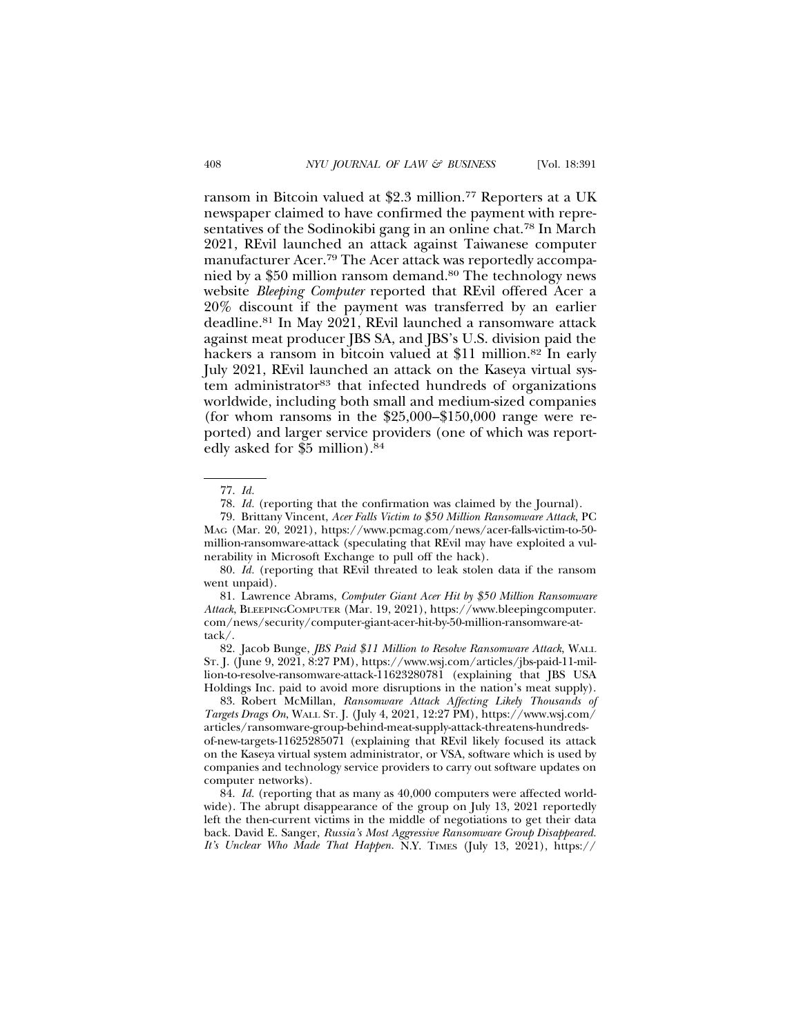ransom in Bitcoin valued at \$2.3 million.77 Reporters at a UK newspaper claimed to have confirmed the payment with representatives of the Sodinokibi gang in an online chat.78 In March 2021, REvil launched an attack against Taiwanese computer manufacturer Acer.79 The Acer attack was reportedly accompanied by a \$50 million ransom demand.<sup>80</sup> The technology news website *Bleeping Computer* reported that REvil offered Acer a 20% discount if the payment was transferred by an earlier deadline.81 In May 2021, REvil launched a ransomware attack against meat producer JBS SA, and JBS's U.S. division paid the hackers a ransom in bitcoin valued at \$11 million.<sup>82</sup> In early July 2021, REvil launched an attack on the Kaseya virtual system administrator<sup>83</sup> that infected hundreds of organizations worldwide, including both small and medium-sized companies (for whom ransoms in the  $$25,000-\$150,000$  range were reported) and larger service providers (one of which was reportedly asked for \$5 million).84

79. Brittany Vincent, *Acer Falls Victim to \$50 Million Ransomware Attack*, PC MAG (Mar. 20, 2021), https://www.pcmag.com/news/acer-falls-victim-to-50 million-ransomware-attack (speculating that REvil may have exploited a vulnerability in Microsoft Exchange to pull off the hack).

80. *Id.* (reporting that REvil threated to leak stolen data if the ransom went unpaid).

81. Lawrence Abrams, *Computer Giant Acer Hit by \$50 Million Ransomware Attack*, BLEEPINGCOMPUTER (Mar. 19, 2021), https://www.bleepingcomputer. com/news/security/computer-giant-acer-hit-by-50-million-ransomware-attack/.

82. Jacob Bunge, *JBS Paid \$11 Million to Resolve Ransomware Attack*, WALL ST. J. (June 9, 2021, 8:27 PM), https://www.wsj.com/articles/jbs-paid-11-million-to-resolve-ransomware-attack-11623280781 (explaining that JBS USA Holdings Inc. paid to avoid more disruptions in the nation's meat supply).

83. Robert McMillan, *Ransomware Attack Affecting Likely Thousands of Targets Drags On*, WALL ST. J. (July 4, 2021, 12:27 PM), https://www.wsj.com/ articles/ransomware-group-behind-meat-supply-attack-threatens-hundredsof-new-targets-11625285071 (explaining that REvil likely focused its attack on the Kaseya virtual system administrator, or VSA, software which is used by companies and technology service providers to carry out software updates on computer networks).

84. *Id.* (reporting that as many as 40,000 computers were affected worldwide). The abrupt disappearance of the group on July 13, 2021 reportedly left the then-current victims in the middle of negotiations to get their data back. David E. Sanger, *Russia's Most Aggressive Ransomware Group Disappeared. It's Unclear Who Made That Happen.* N.Y. TIMES (July 13, 2021), https://

<sup>77.</sup> *Id.*

<sup>78.</sup> *Id.* (reporting that the confirmation was claimed by the Journal).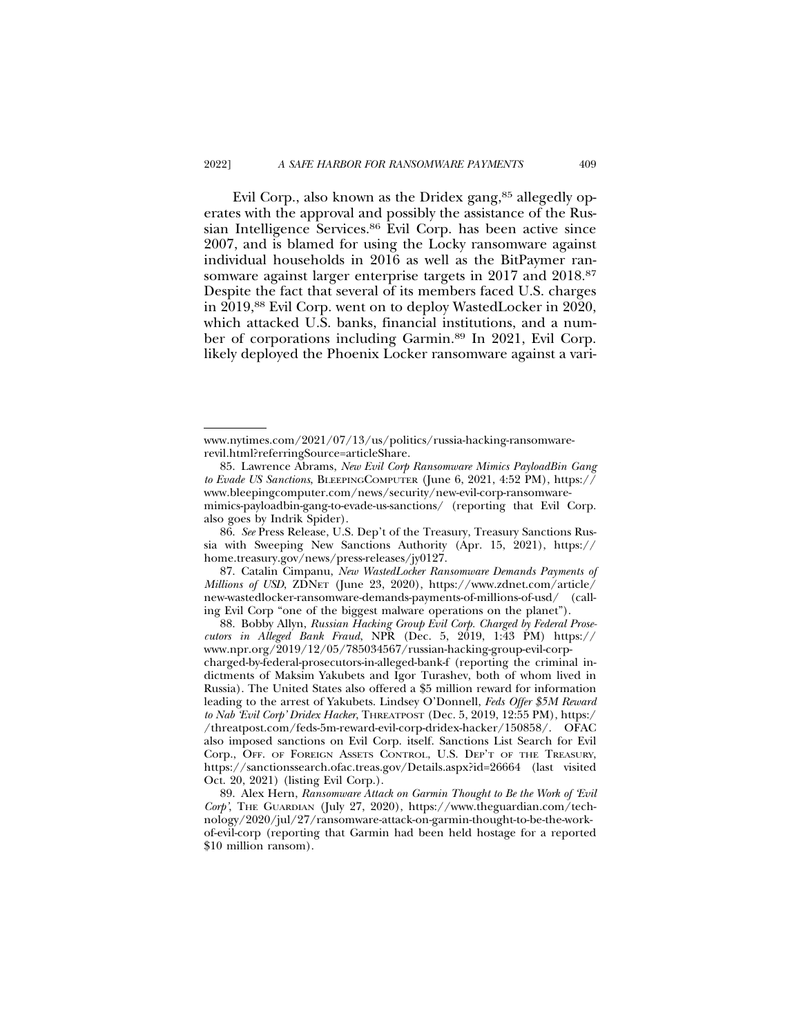Evil Corp., also known as the Dridex gang,<sup>85</sup> allegedly operates with the approval and possibly the assistance of the Russian Intelligence Services.<sup>86</sup> Evil Corp. has been active since 2007, and is blamed for using the Locky ransomware against individual households in 2016 as well as the BitPaymer ransomware against larger enterprise targets in 2017 and 2018.<sup>87</sup> Despite the fact that several of its members faced U.S. charges in 2019,88 Evil Corp. went on to deploy WastedLocker in 2020, which attacked U.S. banks, financial institutions, and a number of corporations including Garmin.89 In 2021, Evil Corp. likely deployed the Phoenix Locker ransomware against a vari-

86. *See* Press Release, U.S. Dep't of the Treasury, Treasury Sanctions Russia with Sweeping New Sanctions Authority (Apr. 15, 2021), https:// home.treasury.gov/news/press-releases/jy0127.

87. Catalin Cimpanu, *New WastedLocker Ransomware Demands Payments of Millions of USD*, ZDNET (June 23, 2020), https://www.zdnet.com/article/ new-wastedlocker-ransomware-demands-payments-of-millions-of-usd/ (calling Evil Corp "one of the biggest malware operations on the planet").

88. Bobby Allyn, *Russian Hacking Group Evil Corp. Charged by Federal Prosecutors in Alleged Bank Fraud*, NPR (Dec. 5, 2019, 1:43 PM) https:// www.npr.org/2019/12/05/785034567/russian-hacking-group-evil-corpcharged-by-federal-prosecutors-in-alleged-bank-f (reporting the criminal indictments of Maksim Yakubets and Igor Turashev, both of whom lived in Russia). The United States also offered a \$5 million reward for information leading to the arrest of Yakubets. Lindsey O'Donnell, *Feds Offer \$5M Reward to Nab 'Evil Corp' Dridex Hacker*, THREATPOST (Dec. 5, 2019, 12:55 PM), https:/ /threatpost.com/feds-5m-reward-evil-corp-dridex-hacker/150858/. OFAC also imposed sanctions on Evil Corp. itself. Sanctions List Search for Evil Corp., OFF. OF FOREIGN ASSETS CONTROL, U.S. DEP'T OF THE TREASURY, https://sanctionssearch.ofac.treas.gov/Details.aspx?id=26664 (last visited Oct. 20, 2021) (listing Evil Corp.).

www.nytimes.com/2021/07/13/us/politics/russia-hacking-ransomwarerevil.html?referringSource=articleShare.

<sup>85.</sup> Lawrence Abrams, *New Evil Corp Ransomware Mimics PayloadBin Gang to Evade US Sanctions*, BLEEPINGCOMPUTER (June 6, 2021, 4:52 PM), https:// www.bleepingcomputer.com/news/security/new-evil-corp-ransomwaremimics-payloadbin-gang-to-evade-us-sanctions/ (reporting that Evil Corp. also goes by Indrik Spider).

<sup>89.</sup> Alex Hern, *Ransomware Attack on Garmin Thought to Be the Work of 'Evil Corp'*, THE GUARDIAN (July 27, 2020), https://www.theguardian.com/technology/2020/jul/27/ransomware-attack-on-garmin-thought-to-be-the-workof-evil-corp (reporting that Garmin had been held hostage for a reported \$10 million ransom).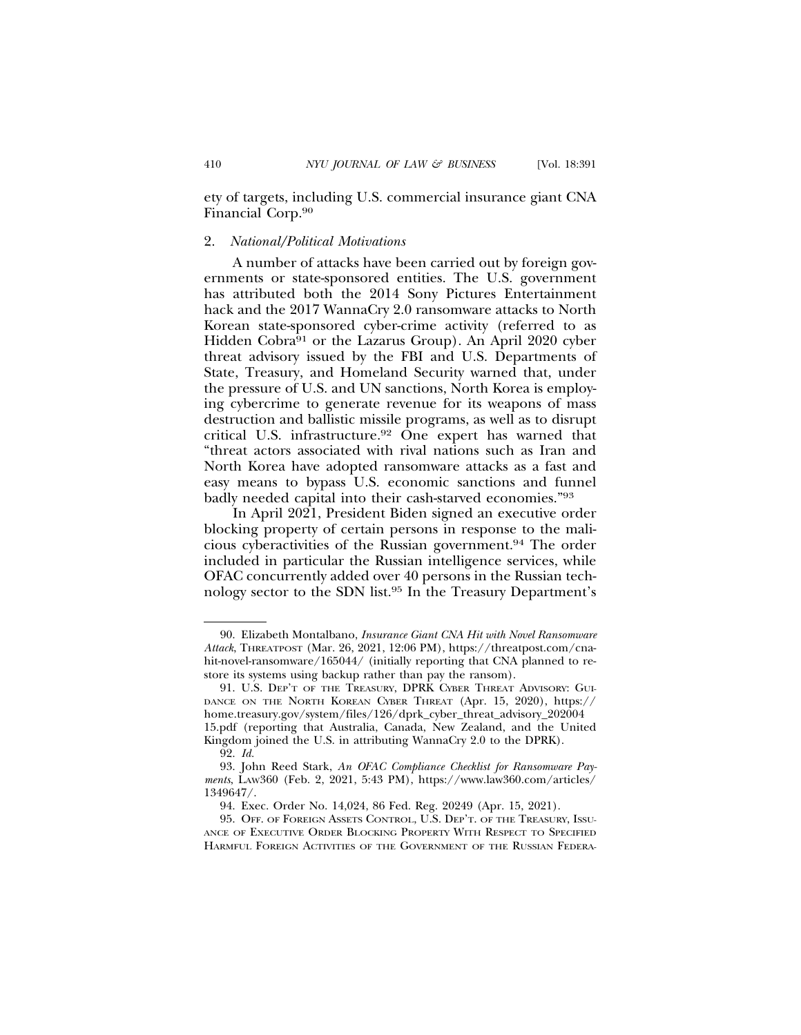ety of targets, including U.S. commercial insurance giant CNA Financial Corp.90

#### 2. *National/Political Motivations*

A number of attacks have been carried out by foreign governments or state-sponsored entities. The U.S. government has attributed both the 2014 Sony Pictures Entertainment hack and the 2017 WannaCry 2.0 ransomware attacks to North Korean state-sponsored cyber-crime activity (referred to as Hidden Cobra<sup>91</sup> or the Lazarus Group). An April 2020 cyber threat advisory issued by the FBI and U.S. Departments of State, Treasury, and Homeland Security warned that, under the pressure of U.S. and UN sanctions, North Korea is employing cybercrime to generate revenue for its weapons of mass destruction and ballistic missile programs, as well as to disrupt critical U.S. infrastructure.92 One expert has warned that "threat actors associated with rival nations such as Iran and North Korea have adopted ransomware attacks as a fast and easy means to bypass U.S. economic sanctions and funnel badly needed capital into their cash-starved economies."93

In April 2021, President Biden signed an executive order blocking property of certain persons in response to the malicious cyberactivities of the Russian government.94 The order included in particular the Russian intelligence services, while OFAC concurrently added over 40 persons in the Russian technology sector to the SDN list.95 In the Treasury Department's

<sup>90.</sup> Elizabeth Montalbano, *Insurance Giant CNA Hit with Novel Ransomware Attack*, THREATPOST (Mar. 26, 2021, 12:06 PM), https://threatpost.com/cnahit-novel-ransomware/165044/ (initially reporting that CNA planned to restore its systems using backup rather than pay the ransom).

<sup>91.</sup> U.S. DEP'T OF THE TREASURY, DPRK CYBER THREAT ADVISORY: GUI-DANCE ON THE NORTH KOREAN CYBER THREAT (Apr. 15, 2020), https:// home.treasury.gov/system/files/126/dprk\_cyber\_threat\_advisory\_202004 15.pdf (reporting that Australia, Canada, New Zealand, and the United Kingdom joined the U.S. in attributing WannaCry 2.0 to the DPRK).

<sup>92.</sup> *Id.*

<sup>93.</sup> John Reed Stark, *An OFAC Compliance Checklist for Ransomware Payments*, LAW360 (Feb. 2, 2021, 5:43 PM), https://www.law360.com/articles/ 1349647/.

<sup>94.</sup> Exec. Order No. 14,024, 86 Fed. Reg. 20249 (Apr. 15, 2021).

<sup>95.</sup> OFF. OF FOREIGN ASSETS CONTROL, U.S. DEP'T. OF THE TREASURY, ISSU-ANCE OF EXECUTIVE ORDER BLOCKING PROPERTY WITH RESPECT TO SPECIFIED HARMFUL FOREIGN ACTIVITIES OF THE GOVERNMENT OF THE RUSSIAN FEDERA-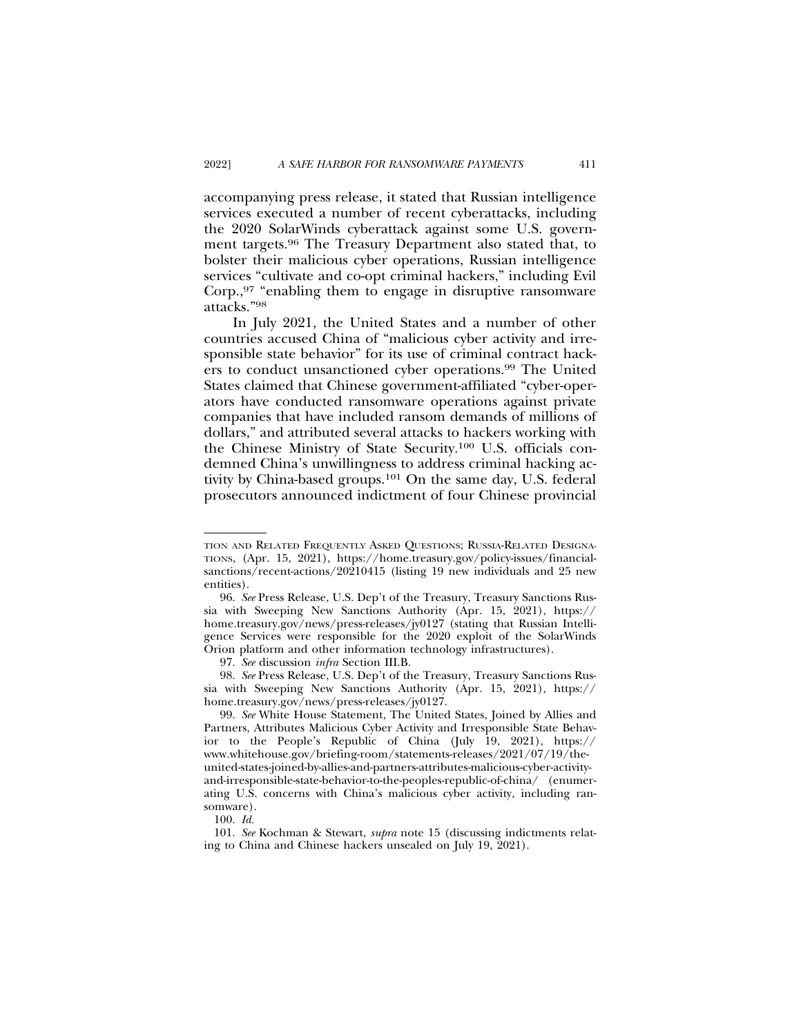accompanying press release, it stated that Russian intelligence services executed a number of recent cyberattacks, including the 2020 SolarWinds cyberattack against some U.S. government targets.96 The Treasury Department also stated that, to bolster their malicious cyber operations, Russian intelligence services "cultivate and co-opt criminal hackers," including Evil Corp.,97 "enabling them to engage in disruptive ransomware attacks."98

In July 2021, the United States and a number of other countries accused China of "malicious cyber activity and irresponsible state behavior" for its use of criminal contract hackers to conduct unsanctioned cyber operations.99 The United States claimed that Chinese government-affiliated "cyber-operators have conducted ransomware operations against private companies that have included ransom demands of millions of dollars," and attributed several attacks to hackers working with the Chinese Ministry of State Security.100 U.S. officials condemned China's unwillingness to address criminal hacking activity by China-based groups.101 On the same day, U.S. federal prosecutors announced indictment of four Chinese provincial

TION AND RELATED FREQUENTLY ASKED QUESTIONS; RUSSIA-RELATED DESIGNA-TIONS, (Apr. 15, 2021), https://home.treasury.gov/policy-issues/financialsanctions/recent-actions/20210415 (listing 19 new individuals and 25 new entities).

<sup>96.</sup> *See* Press Release, U.S. Dep't of the Treasury, Treasury Sanctions Russia with Sweeping New Sanctions Authority (Apr. 15, 2021), https:// home.treasury.gov/news/press-releases/jy0127 (stating that Russian Intelligence Services were responsible for the 2020 exploit of the SolarWinds Orion platform and other information technology infrastructures).

<sup>97.</sup> *See* discussion *infra* Section III.B.

<sup>98.</sup> *See* Press Release, U.S. Dep't of the Treasury, Treasury Sanctions Russia with Sweeping New Sanctions Authority (Apr. 15, 2021), https:// home.treasury.gov/news/press-releases/jy0127.

<sup>99.</sup> *See* White House Statement, The United States, Joined by Allies and Partners, Attributes Malicious Cyber Activity and Irresponsible State Behavior to the People's Republic of China (July 19, 2021), https:// www.whitehouse.gov/briefing-room/statements-releases/2021/07/19/theunited-states-joined-by-allies-and-partners-attributes-malicious-cyber-activityand-irresponsible-state-behavior-to-the-peoples-republic-of-china/ (enumerating U.S. concerns with China's malicious cyber activity, including ransomware).

<sup>100.</sup> *Id.*

<sup>101.</sup> *See* Kochman & Stewart, *supra* note 15 (discussing indictments relating to China and Chinese hackers unsealed on July 19, 2021).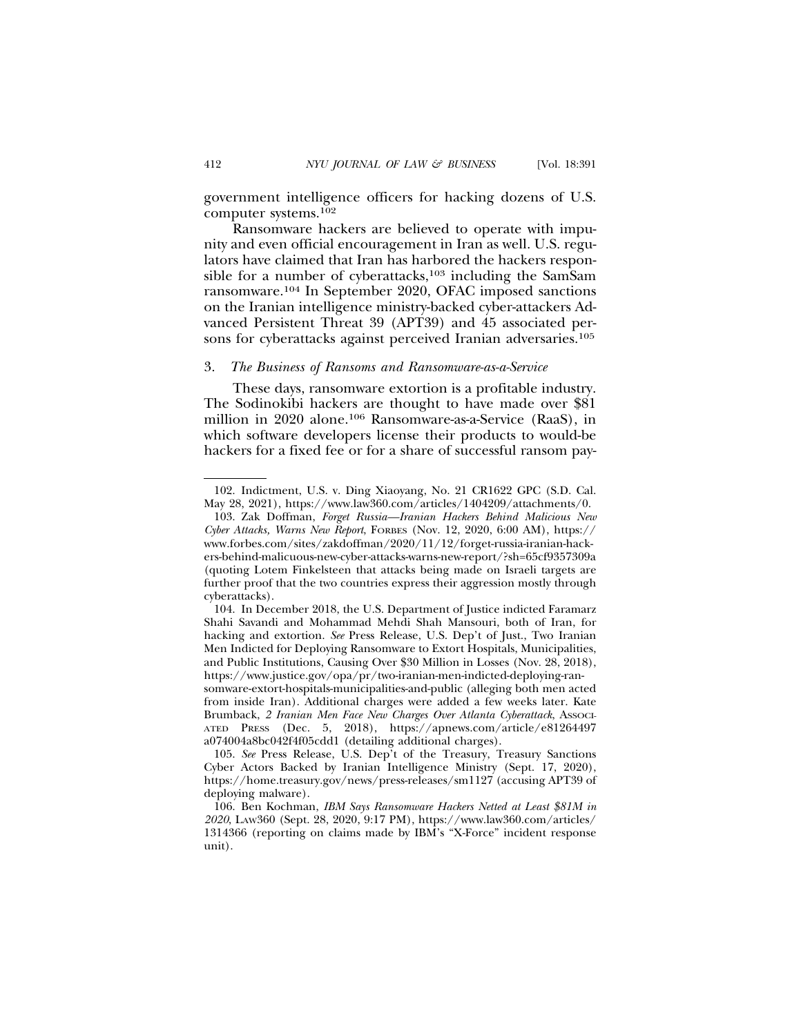government intelligence officers for hacking dozens of U.S. computer systems.102

Ransomware hackers are believed to operate with impunity and even official encouragement in Iran as well. U.S. regulators have claimed that Iran has harbored the hackers responsible for a number of cyberattacks, $103$  including the SamSam ransomware.104 In September 2020, OFAC imposed sanctions on the Iranian intelligence ministry-backed cyber-attackers Advanced Persistent Threat 39 (APT39) and 45 associated persons for cyberattacks against perceived Iranian adversaries.<sup>105</sup>

#### 3. *The Business of Ransoms and Ransomware-as-a-Service*

These days, ransomware extortion is a profitable industry. The Sodinokibi hackers are thought to have made over \$81 million in 2020 alone.106 Ransomware-as-a-Service (RaaS), in which software developers license their products to would-be hackers for a fixed fee or for a share of successful ransom pay-

<sup>102.</sup> Indictment, U.S. v. Ding Xiaoyang, No. 21 CR1622 GPC (S.D. Cal. May 28, 2021), https://www.law360.com/articles/1404209/attachments/0.

<sup>103.</sup> Zak Doffman, *Forget Russia—Iranian Hackers Behind Malicious New Cyber Attacks, Warns New Report*, FORBES (Nov. 12, 2020, 6:00 AM), https:// www.forbes.com/sites/zakdoffman/2020/11/12/forget-russia-iranian-hackers-behind-malicuous-new-cyber-attacks-warns-new-report/?sh=65cf9357309a (quoting Lotem Finkelsteen that attacks being made on Israeli targets are further proof that the two countries express their aggression mostly through cyberattacks).

<sup>104.</sup> In December 2018, the U.S. Department of Justice indicted Faramarz Shahi Savandi and Mohammad Mehdi Shah Mansouri, both of Iran, for hacking and extortion. *See* Press Release, U.S. Dep't of Just., Two Iranian Men Indicted for Deploying Ransomware to Extort Hospitals, Municipalities, and Public Institutions, Causing Over \$30 Million in Losses (Nov. 28, 2018), https://www.justice.gov/opa/pr/two-iranian-men-indicted-deploying-ran-

somware-extort-hospitals-municipalities-and-public (alleging both men acted from inside Iran). Additional charges were added a few weeks later. Kate Brumback, 2 Iranian Men Face New Charges Over Atlanta Cyberattack, Associ-ATED PRESS (Dec. 5, 2018), https://apnews.com/article/e81264497 a074004a8bc042f4f05cdd1 (detailing additional charges).

<sup>105.</sup> *See* Press Release, U.S. Dep't of the Treasury, Treasury Sanctions Cyber Actors Backed by Iranian Intelligence Ministry (Sept. 17, 2020), https://home.treasury.gov/news/press-releases/sm1127 (accusing APT39 of deploying malware).

<sup>106.</sup> Ben Kochman, *IBM Says Ransomware Hackers Netted at Least \$81M in 2020*, LAW360 (Sept. 28, 2020, 9:17 PM), https://www.law360.com/articles/ 1314366 (reporting on claims made by IBM's "X-Force" incident response unit).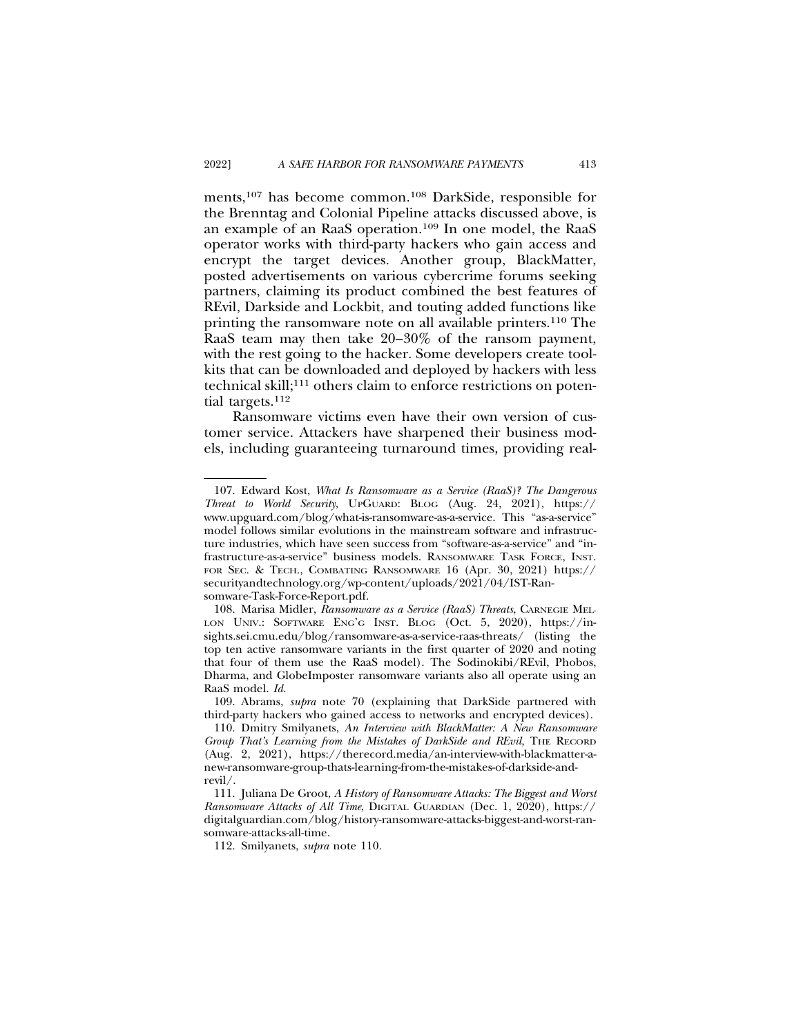ments,107 has become common.108 DarkSide, responsible for the Brenntag and Colonial Pipeline attacks discussed above, is an example of an RaaS operation.109 In one model, the RaaS operator works with third-party hackers who gain access and encrypt the target devices. Another group, BlackMatter, posted advertisements on various cybercrime forums seeking partners, claiming its product combined the best features of REvil, Darkside and Lockbit, and touting added functions like printing the ransomware note on all available printers.<sup>110</sup> The RaaS team may then take 20–30% of the ransom payment, with the rest going to the hacker. Some developers create toolkits that can be downloaded and deployed by hackers with less technical skill;<sup>111</sup> others claim to enforce restrictions on potential targets.112

Ransomware victims even have their own version of customer service. Attackers have sharpened their business models, including guaranteeing turnaround times, providing real-

<sup>107.</sup> Edward Kost, *What Is Ransomware as a Service (RaaS)? The Dangerous Threat to World Security*, UPGUARD: BLOG (Aug. 24, 2021), https:// www.upguard.com/blog/what-is-ransomware-as-a-service. This "as-a-service" model follows similar evolutions in the mainstream software and infrastructure industries, which have seen success from "software-as-a-service" and "infrastructure-as-a-service" business models. RANSOMWARE TASK FORCE, INST. FOR SEC. & TECH., COMBATING RANSOMWARE 16 (Apr. 30, 2021) https:// securityandtechnology.org/wp-content/uploads/2021/04/IST-Ransomware-Task-Force-Report.pdf.

<sup>108.</sup> Marisa Midler, *Ransomware as a Service (RaaS) Threats*, CARNEGIE MEL-LON UNIV.: SOFTWARE ENG'G INST. BLOG (Oct. 5, 2020), https://insights.sei.cmu.edu/blog/ransomware-as-a-service-raas-threats/ (listing the top ten active ransomware variants in the first quarter of 2020 and noting that four of them use the RaaS model). The Sodinokibi/REvil, Phobos, Dharma, and GlobeImposter ransomware variants also all operate using an RaaS model. *Id.*

<sup>109.</sup> Abrams, *supra* note 70 (explaining that DarkSide partnered with third-party hackers who gained access to networks and encrypted devices).

<sup>110.</sup> Dmitry Smilyanets, *An Interview with BlackMatter: A New Ransomware Group That's Learning from the Mistakes of DarkSide and REvil,* THE RECORD (Aug. 2, 2021), https://therecord.media/an-interview-with-blackmatter-anew-ransomware-group-thats-learning-from-the-mistakes-of-darkside-andrevil/.

<sup>111.</sup> Juliana De Groot, *A History of Ransomware Attacks: The Biggest and Worst Ransomware Attacks of All Time*, DIGITAL GUARDIAN (Dec. 1, 2020), https:// digitalguardian.com/blog/history-ransomware-attacks-biggest-and-worst-ransomware-attacks-all-time.

<sup>112.</sup> Smilyanets, *supra* note 110.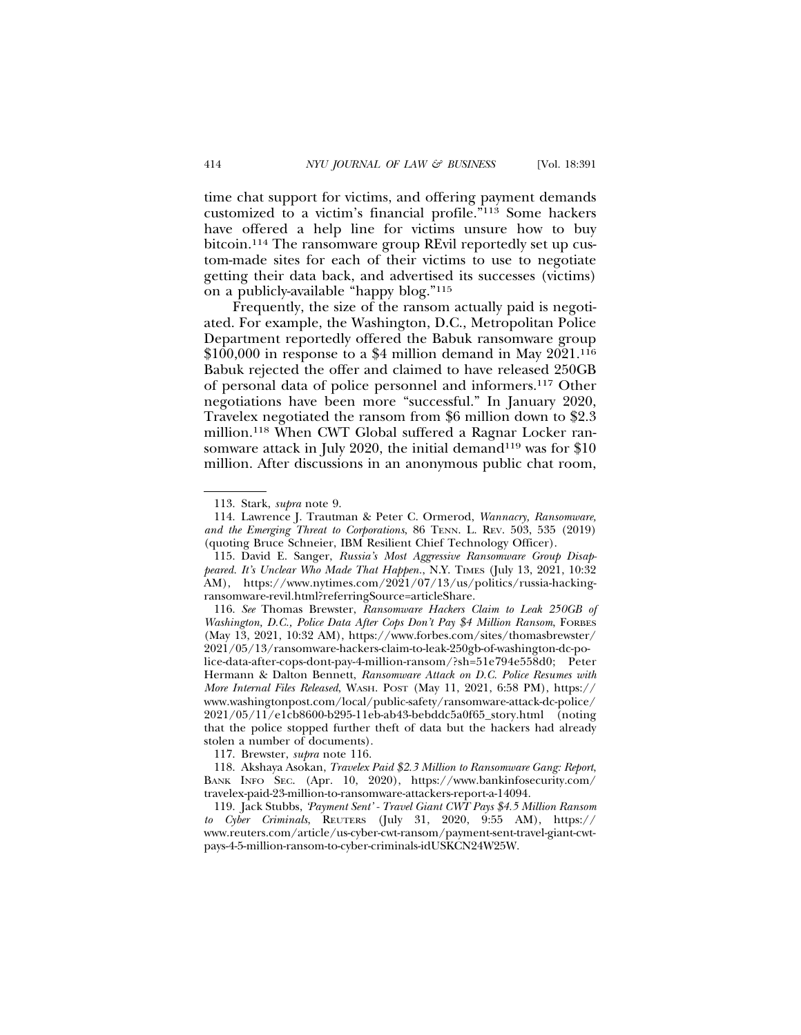time chat support for victims, and offering payment demands customized to a victim's financial profile."113 Some hackers have offered a help line for victims unsure how to buy bitcoin.114 The ransomware group REvil reportedly set up custom-made sites for each of their victims to use to negotiate getting their data back, and advertised its successes (victims) on a publicly-available "happy blog."115

Frequently, the size of the ransom actually paid is negotiated. For example, the Washington, D.C., Metropolitan Police Department reportedly offered the Babuk ransomware group  $$100,000$  in response to a \$4 million demand in May 2021.<sup>116</sup> Babuk rejected the offer and claimed to have released 250GB of personal data of police personnel and informers.117 Other negotiations have been more "successful." In January 2020, Travelex negotiated the ransom from \$6 million down to \$2.3 million.118 When CWT Global suffered a Ragnar Locker ransomware attack in July 2020, the initial demand<sup>119</sup> was for \$10 million. After discussions in an anonymous public chat room,

<sup>113.</sup> Stark, *supra* note 9.

<sup>114.</sup> Lawrence J. Trautman & Peter C. Ormerod, *Wannacry, Ransomware, and the Emerging Threat to Corporations*, 86 TENN. L. REV. 503, 535 (2019) (quoting Bruce Schneier, IBM Resilient Chief Technology Officer).

<sup>115.</sup> David E. Sanger, *Russia's Most Aggressive Ransomware Group Disappeared. It's Unclear Who Made That Happen.*, N.Y. TIMES (July 13, 2021, 10:32 AM), https://www.nytimes.com/2021/07/13/us/politics/russia-hackingransomware-revil.html?referringSource=articleShare.

<sup>116.</sup> *See* Thomas Brewster, *Ransomware Hackers Claim to Leak 250GB of Washington, D.C., Police Data After Cops Don't Pay \$4 Million Ransom*, FORBES (May 13, 2021, 10:32 AM), https://www.forbes.com/sites/thomasbrewster/ 2021/05/13/ransomware-hackers-claim-to-leak-250gb-of-washington-dc-police-data-after-cops-dont-pay-4-million-ransom/?sh=51e794e558d0; Peter Hermann & Dalton Bennett, *Ransomware Attack on D.C. Police Resumes with More Internal Files Released*, WASH. POST (May 11, 2021, 6:58 PM), https:// www.washingtonpost.com/local/public-safety/ransomware-attack-dc-police/ 2021/05/11/e1cb8600-b295-11eb-ab43-bebddc5a0f65\_story.html (noting that the police stopped further theft of data but the hackers had already stolen a number of documents).

<sup>117.</sup> Brewster, *supra* note 116.

<sup>118.</sup> Akshaya Asokan, *Travelex Paid \$2.3 Million to Ransomware Gang: Report*, BANK INFO SEC. (Apr. 10, 2020), https://www.bankinfosecurity.com/ travelex-paid-23-million-to-ransomware-attackers-report-a-14094.

<sup>119.</sup> Jack Stubbs, *'Payment Sent' - Travel Giant CWT Pays \$4.5 Million Ransom to Cyber Criminals*, REUTERS (July 31, 2020, 9:55 AM), https:// www.reuters.com/article/us-cyber-cwt-ransom/payment-sent-travel-giant-cwtpays-4-5-million-ransom-to-cyber-criminals-idUSKCN24W25W.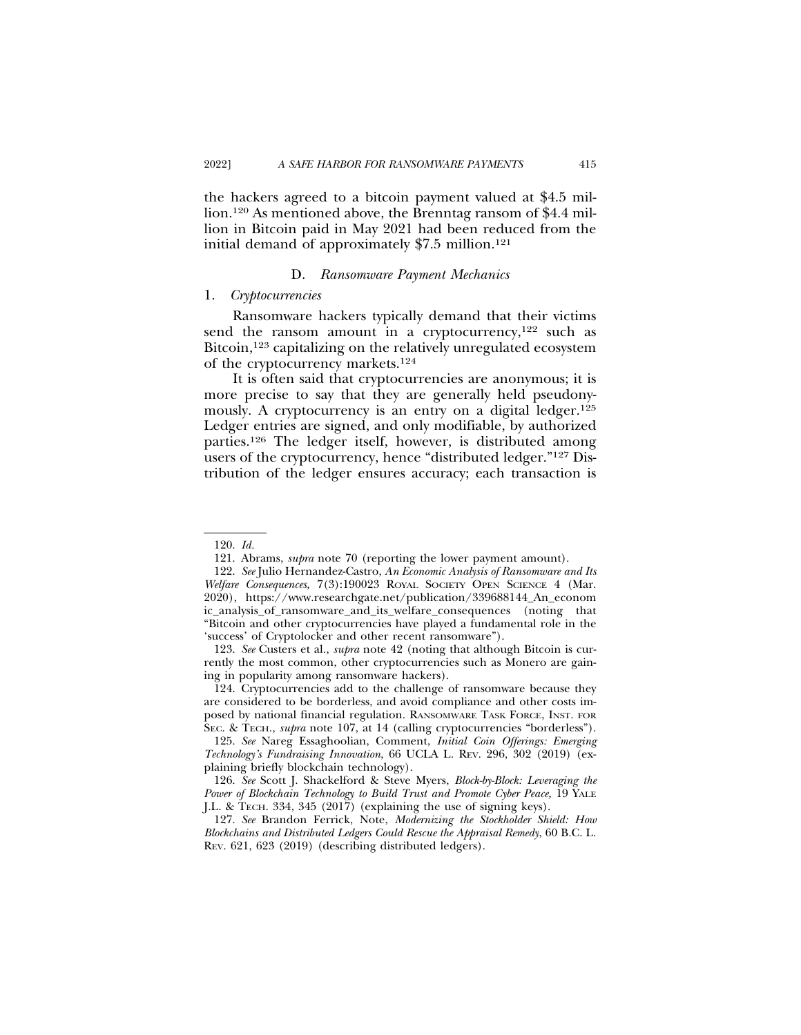the hackers agreed to a bitcoin payment valued at \$4.5 million.120 As mentioned above, the Brenntag ransom of \$4.4 million in Bitcoin paid in May 2021 had been reduced from the initial demand of approximately  $$7.5$  million.<sup>121</sup>

#### D. *Ransomware Payment Mechanics*

#### 1. *Cryptocurrencies*

Ransomware hackers typically demand that their victims send the ransom amount in a cryptocurrency, $122$  such as Bitcoin,<sup>123</sup> capitalizing on the relatively unregulated ecosystem of the cryptocurrency markets.124

It is often said that cryptocurrencies are anonymous; it is more precise to say that they are generally held pseudonymously. A cryptocurrency is an entry on a digital ledger.<sup>125</sup> Ledger entries are signed, and only modifiable, by authorized parties.126 The ledger itself, however, is distributed among users of the cryptocurrency, hence "distributed ledger."127 Distribution of the ledger ensures accuracy; each transaction is

<sup>120.</sup> *Id.*

<sup>121.</sup> Abrams, *supra* note 70 (reporting the lower payment amount).

<sup>122.</sup> *See* Julio Hernandez-Castro, *An Economic Analysis of Ransomware and Its Welfare Consequences,* 7(3):190023 ROYAL SOCIETY OPEN SCIENCE 4 (Mar. 2020), https://www.researchgate.net/publication/339688144\_An\_econom ic\_analysis\_of\_ransomware\_and\_its\_welfare\_consequences (noting that "Bitcoin and other cryptocurrencies have played a fundamental role in the 'success' of Cryptolocker and other recent ransomware").

<sup>123.</sup> *See* Custers et al., *supra* note 42 (noting that although Bitcoin is currently the most common, other cryptocurrencies such as Monero are gaining in popularity among ransomware hackers).

<sup>124.</sup> Cryptocurrencies add to the challenge of ransomware because they are considered to be borderless, and avoid compliance and other costs imposed by national financial regulation. RANSOMWARE TASK FORCE, INST. FOR SEC. & TECH., *supra* note 107, at 14 (calling cryptocurrencies "borderless").

<sup>125.</sup> *See* Nareg Essaghoolian, Comment, *Initial Coin Offerings: Emerging Technology's Fundraising Innovation*, 66 UCLA L. REV. 296, 302 (2019) (explaining briefly blockchain technology).

<sup>126.</sup> *See* Scott J. Shackelford & Steve Myers, *Block-by-Block: Leveraging the Power of Blockchain Technology to Build Trust and Promote Cyber Peace,* 19 YALE J.L. & TECH. 334, 345 (2017) (explaining the use of signing keys).

<sup>127.</sup> *See* Brandon Ferrick, Note, *Modernizing the Stockholder Shield: How Blockchains and Distributed Ledgers Could Rescue the Appraisal Remedy*, 60 B.C. L. REV. 621, 623 (2019) (describing distributed ledgers).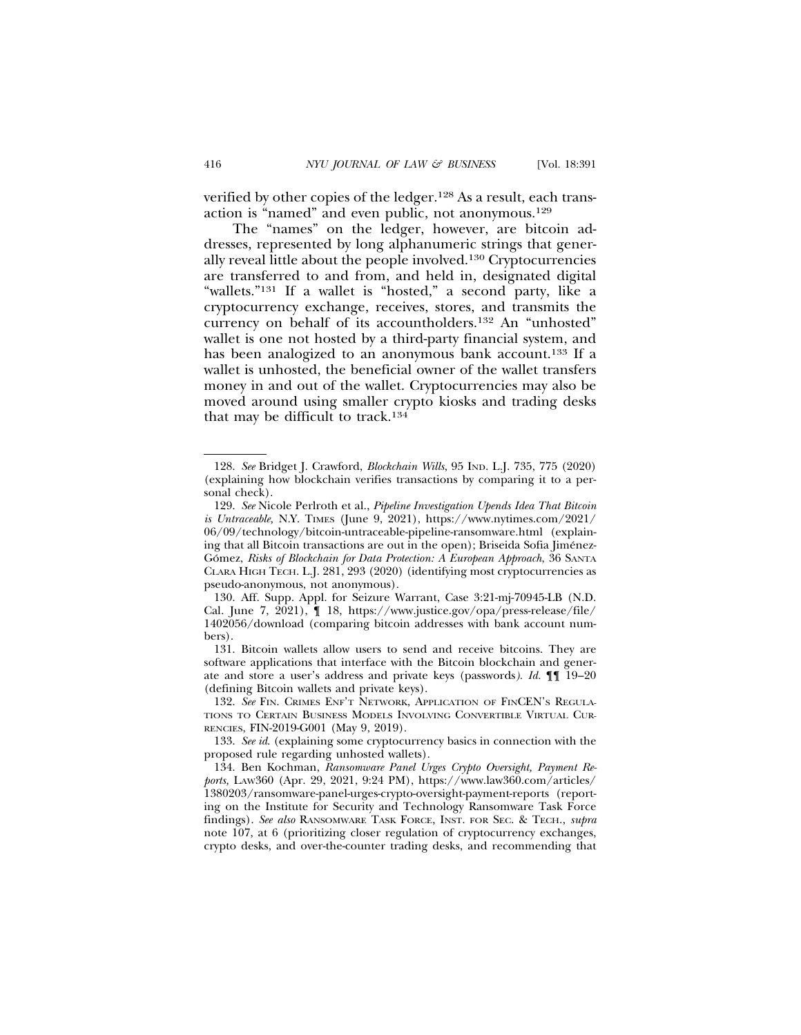verified by other copies of the ledger.128 As a result, each transaction is "named" and even public, not anonymous.<sup>129</sup>

The "names" on the ledger, however, are bitcoin addresses, represented by long alphanumeric strings that generally reveal little about the people involved.130 Cryptocurrencies are transferred to and from, and held in, designated digital "wallets."131 If a wallet is "hosted," a second party, like a cryptocurrency exchange, receives, stores, and transmits the currency on behalf of its accountholders.132 An "unhosted" wallet is one not hosted by a third-party financial system, and has been analogized to an anonymous bank account.<sup>133</sup> If a wallet is unhosted, the beneficial owner of the wallet transfers money in and out of the wallet. Cryptocurrencies may also be moved around using smaller crypto kiosks and trading desks that may be difficult to track.134

<sup>128.</sup> *See* Bridget J. Crawford, *Blockchain Wills*, 95 IND. L.J. 735, 775 (2020) (explaining how blockchain verifies transactions by comparing it to a personal check).

<sup>129.</sup> *See* Nicole Perlroth et al., *Pipeline Investigation Upends Idea That Bitcoin is Untraceable,* N.Y. TIMES (June 9, 2021), https://www.nytimes.com/2021/ 06/09/technology/bitcoin-untraceable-pipeline-ransomware.html (explaining that all Bitcoin transactions are out in the open); Briseida Sofia Jimenez- ´ Gómez, Risks of Blockchain for Data Protection: A European Approach, 36 SANTA CLARA HIGH TECH. L.J. 281, 293 (2020) (identifying most cryptocurrencies as pseudo-anonymous, not anonymous).

<sup>130.</sup> Aff. Supp. Appl. for Seizure Warrant, Case 3:21-mj-70945-LB (N.D. Cal. June 7, 2021), ¶ 18, https://www.justice.gov/opa/press-release/file/ 1402056/download (comparing bitcoin addresses with bank account numbers).

<sup>131.</sup> Bitcoin wallets allow users to send and receive bitcoins. They are software applications that interface with the Bitcoin blockchain and generate and store a user's address and private keys (passwords*). Id.* ¶¶ 19–20 (defining Bitcoin wallets and private keys).

<sup>132.</sup> *See* FIN. CRIMES ENF'T NETWORK, APPLICATION OF FINCEN'S REGULA-TIONS TO CERTAIN BUSINESS MODELS INVOLVING CONVERTIBLE VIRTUAL CUR-RENCIES, FIN-2019-G001 (May 9, 2019).

<sup>133.</sup> *See id*. (explaining some cryptocurrency basics in connection with the proposed rule regarding unhosted wallets).

<sup>134.</sup> Ben Kochman, *Ransomware Panel Urges Crypto Oversight, Payment Reports,* LAW360 (Apr. 29, 2021, 9:24 PM), https://www.law360.com/articles/ 1380203/ransomware-panel-urges-crypto-oversight-payment-reports (reporting on the Institute for Security and Technology Ransomware Task Force findings). *See also* RANSOMWARE TASK FORCE, INST. FOR SEC. & TECH., *supra* note 107, at 6 (prioritizing closer regulation of cryptocurrency exchanges, crypto desks, and over-the-counter trading desks, and recommending that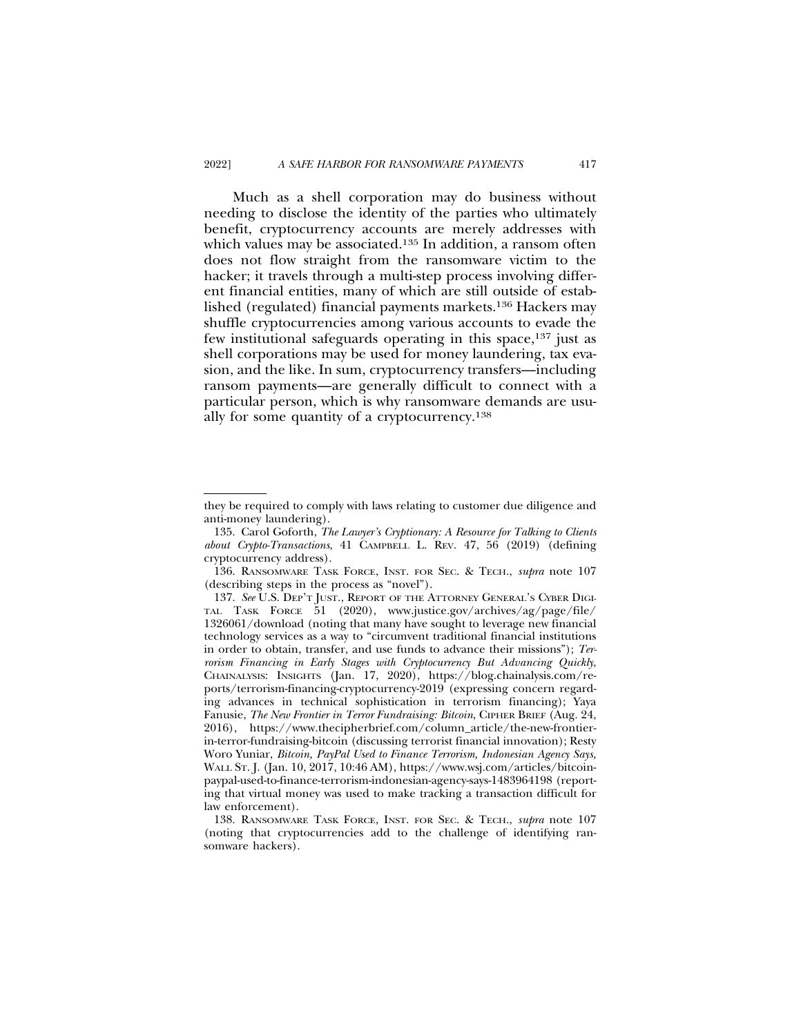Much as a shell corporation may do business without needing to disclose the identity of the parties who ultimately benefit, cryptocurrency accounts are merely addresses with which values may be associated.<sup>135</sup> In addition, a ransom often does not flow straight from the ransomware victim to the hacker; it travels through a multi-step process involving different financial entities, many of which are still outside of established (regulated) financial payments markets.136 Hackers may shuffle cryptocurrencies among various accounts to evade the few institutional safeguards operating in this space,137 just as shell corporations may be used for money laundering, tax evasion, and the like. In sum, cryptocurrency transfers—including ransom payments—are generally difficult to connect with a particular person, which is why ransomware demands are usually for some quantity of a cryptocurrency.138

they be required to comply with laws relating to customer due diligence and anti-money laundering).

<sup>135.</sup> Carol Goforth, *The Lawyer's Cryptionary: A Resource for Talking to Clients about Crypto-Transactions*, 41 CAMPBELL L. REV. 47, 56 (2019) (defining cryptocurrency address).

<sup>136.</sup> RANSOMWARE TASK FORCE, INST. FOR SEC. & TECH., *supra* note 107 (describing steps in the process as "novel").

<sup>137.</sup> *See* U.S. DEP'T JUST., REPORT OF THE ATTORNEY GENERAL'S CYBER DIGI-TAL TASK FORCE 51 (2020), www.justice.gov/archives/ag/page/file/ 1326061/download (noting that many have sought to leverage new financial technology services as a way to "circumvent traditional financial institutions in order to obtain, transfer, and use funds to advance their missions"); *Terrorism Financing in Early Stages with Cryptocurrency But Advancing Quickly*, CHAINALYSIS: INSIGHTS (Jan. 17, 2020), https://blog.chainalysis.com/reports/terrorism-financing-cryptocurrency-2019 (expressing concern regarding advances in technical sophistication in terrorism financing); Yaya Fanusie, *The New Frontier in Terror Fundraising: Bitcoin*, CIPHER BRIEF (Aug. 24, 2016), https://www.thecipherbrief.com/column\_article/the-new-frontierin-terror-fundraising-bitcoin (discussing terrorist financial innovation); Resty Woro Yuniar, *Bitcoin, PayPal Used to Finance Terrorism, Indonesian Agency Says,* WALL ST. J. (Jan. 10, 2017, 10:46 AM), https://www.wsj.com/articles/bitcoinpaypal-used-to-finance-terrorism-indonesian-agency-says-1483964198 (reporting that virtual money was used to make tracking a transaction difficult for law enforcement).

<sup>138.</sup> RANSOMWARE TASK FORCE, INST. FOR SEC. & TECH., *supra* note 107 (noting that cryptocurrencies add to the challenge of identifying ransomware hackers).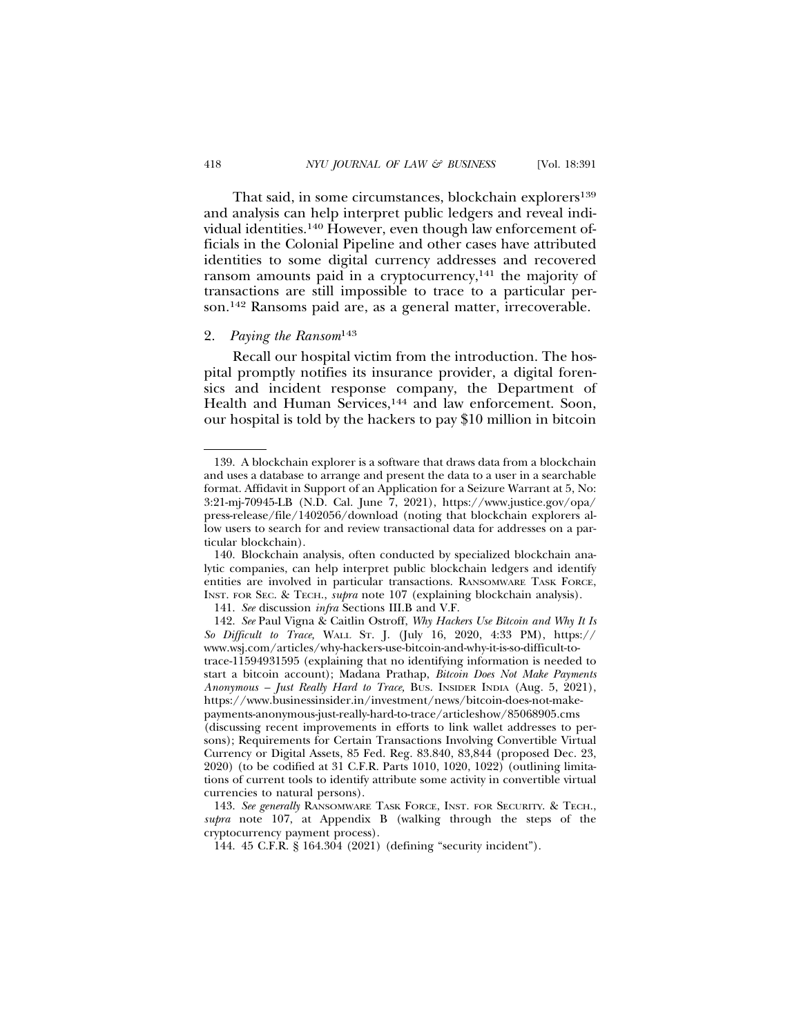That said, in some circumstances, blockchain explorers<sup>139</sup> and analysis can help interpret public ledgers and reveal individual identities.140 However, even though law enforcement officials in the Colonial Pipeline and other cases have attributed identities to some digital currency addresses and recovered ransom amounts paid in a cryptocurrency,<sup>141</sup> the majority of transactions are still impossible to trace to a particular person.142 Ransoms paid are, as a general matter, irrecoverable.

# 2. *Paying the Ransom*<sup>143</sup>

Recall our hospital victim from the introduction. The hospital promptly notifies its insurance provider, a digital forensics and incident response company, the Department of Health and Human Services,<sup>144</sup> and law enforcement. Soon, our hospital is told by the hackers to pay \$10 million in bitcoin

<sup>139.</sup> A blockchain explorer is a software that draws data from a blockchain and uses a database to arrange and present the data to a user in a searchable format. Affidavit in Support of an Application for a Seizure Warrant at 5, No: 3:21-mj-70945-LB (N.D. Cal. June 7, 2021), https://www.justice.gov/opa/ press-release/file/1402056/download (noting that blockchain explorers allow users to search for and review transactional data for addresses on a particular blockchain).

<sup>140.</sup> Blockchain analysis, often conducted by specialized blockchain analytic companies, can help interpret public blockchain ledgers and identify entities are involved in particular transactions. RANSOMWARE TASK FORCE, INST. FOR SEC. & TECH., *supra* note 107 (explaining blockchain analysis).

<sup>141.</sup> *See* discussion *infra* Sections III.B and V.F.

<sup>142.</sup> *See* Paul Vigna & Caitlin Ostroff, *Why Hackers Use Bitcoin and Why It Is So Difficult to Trace,* WALL ST. J. (July 16, 2020, 4:33 PM), https:// www.wsj.com/articles/why-hackers-use-bitcoin-and-why-it-is-so-difficult-totrace-11594931595 (explaining that no identifying information is needed to start a bitcoin account); Madana Prathap, *Bitcoin Does Not Make Payments Anonymous – Just Really Hard to Trace,* BUS. INSIDER INDIA (Aug. 5, 2021), https://www.businessinsider.in/investment/news/bitcoin-does-not-makepayments-anonymous-just-really-hard-to-trace/articleshow/85068905.cms (discussing recent improvements in efforts to link wallet addresses to persons); Requirements for Certain Transactions Involving Convertible Virtual Currency or Digital Assets, 85 Fed. Reg. 83.840, 83,844 (proposed Dec. 23, 2020) (to be codified at 31 C.F.R. Parts 1010, 1020, 1022) (outlining limitations of current tools to identify attribute some activity in convertible virtual currencies to natural persons).

<sup>143.</sup> *See generally* RANSOMWARE TASK FORCE, INST. FOR SECURITY. & TECH., *supra* note 107, at Appendix B (walking through the steps of the cryptocurrency payment process).

<sup>144. 45</sup> C.F.R. § 164.304 (2021) (defining "security incident").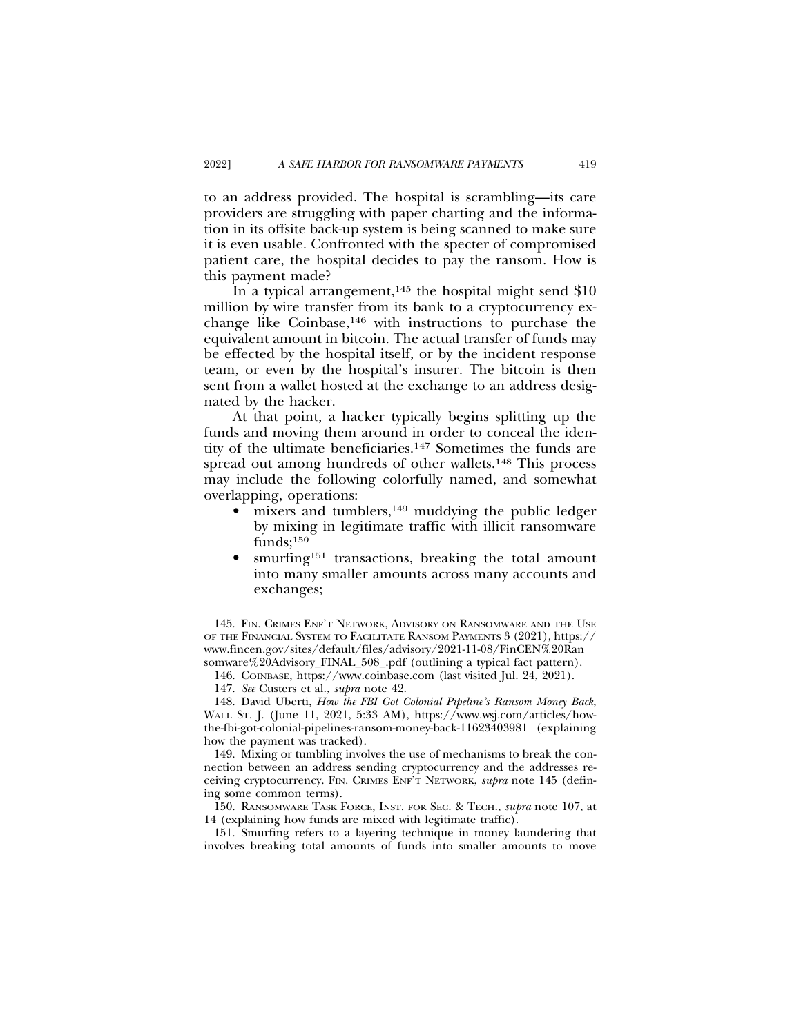to an address provided. The hospital is scrambling—its care providers are struggling with paper charting and the information in its offsite back-up system is being scanned to make sure it is even usable. Confronted with the specter of compromised patient care, the hospital decides to pay the ransom. How is this payment made?

In a typical arrangement,<sup>145</sup> the hospital might send  $$10$ million by wire transfer from its bank to a cryptocurrency exchange like Coinbase, $146$  with instructions to purchase the equivalent amount in bitcoin. The actual transfer of funds may be effected by the hospital itself, or by the incident response team, or even by the hospital's insurer. The bitcoin is then sent from a wallet hosted at the exchange to an address designated by the hacker.

At that point, a hacker typically begins splitting up the funds and moving them around in order to conceal the identity of the ultimate beneficiaries.147 Sometimes the funds are spread out among hundreds of other wallets.<sup>148</sup> This process may include the following colorfully named, and somewhat overlapping, operations:

- $\bullet$  mixers and tumblers,<sup>149</sup> muddying the public ledger by mixing in legitimate traffic with illicit ransomware  $funds;150$
- smurfing<sup>151</sup> transactions, breaking the total amount into many smaller amounts across many accounts and exchanges;

151. Smurfing refers to a layering technique in money laundering that involves breaking total amounts of funds into smaller amounts to move

<sup>145.</sup> FIN. CRIMES ENF'T NETWORK, ADVISORY ON RANSOMWARE AND THE USE OF THE FINANCIAL SYSTEM TO FACILITATE RANSOM PAYMENTS 3 (2021), https:// www.fincen.gov/sites/default/files/advisory/2021-11-08/FinCEN%20Ran somware%20Advisory\_FINAL\_508\_.pdf (outlining a typical fact pattern).

<sup>146.</sup> COINBASE, https://www.coinbase.com (last visited Jul. 24, 2021).

<sup>147.</sup> *See* Custers et al., *supra* note 42.

<sup>148.</sup> David Uberti, *How the FBI Got Colonial Pipeline's Ransom Money Back*, WALL ST. J. (June 11, 2021, 5:33 AM), https://www.wsj.com/articles/howthe-fbi-got-colonial-pipelines-ransom-money-back-11623403981 (explaining how the payment was tracked).

<sup>149.</sup> Mixing or tumbling involves the use of mechanisms to break the connection between an address sending cryptocurrency and the addresses receiving cryptocurrency. FIN. CRIMES ENF'T NETWORK, *supra* note 145 (defining some common terms).

<sup>150.</sup> RANSOMWARE TASK FORCE, INST. FOR SEC. & TECH., *supra* note 107, at 14 (explaining how funds are mixed with legitimate traffic).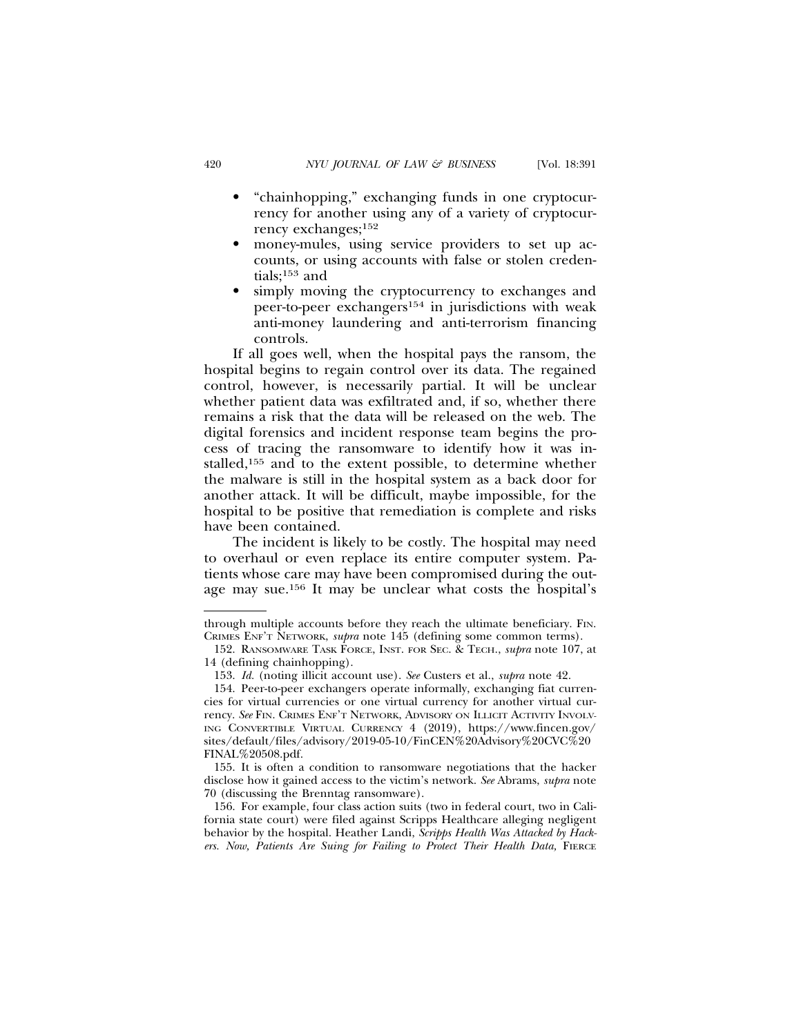- "chainhopping," exchanging funds in one cryptocurrency for another using any of a variety of cryptocurrency exchanges;152
- money-mules, using service providers to set up accounts, or using accounts with false or stolen credentials;153 and
- simply moving the cryptocurrency to exchanges and peer-to-peer exchangers154 in jurisdictions with weak anti-money laundering and anti-terrorism financing controls.

If all goes well, when the hospital pays the ransom, the hospital begins to regain control over its data. The regained control, however, is necessarily partial. It will be unclear whether patient data was exfiltrated and, if so, whether there remains a risk that the data will be released on the web. The digital forensics and incident response team begins the process of tracing the ransomware to identify how it was installed,155 and to the extent possible, to determine whether the malware is still in the hospital system as a back door for another attack. It will be difficult, maybe impossible, for the hospital to be positive that remediation is complete and risks have been contained.

The incident is likely to be costly. The hospital may need to overhaul or even replace its entire computer system. Patients whose care may have been compromised during the outage may sue.156 It may be unclear what costs the hospital's

through multiple accounts before they reach the ultimate beneficiary. FIN. CRIMES ENF'T NETWORK, *supra* note 145 (defining some common terms).

<sup>152.</sup> RANSOMWARE TASK FORCE, INST. FOR SEC. & TECH., *supra* note 107, at 14 (defining chainhopping).

<sup>153.</sup> *Id.* (noting illicit account use). *See* Custers et al., *supra* note 42.

<sup>154.</sup> Peer-to-peer exchangers operate informally, exchanging fiat currencies for virtual currencies or one virtual currency for another virtual currency. *See* FIN. CRIMES ENF'T NETWORK, ADVISORY ON ILLICIT ACTIVITY INVOLV-ING CONVERTIBLE VIRTUAL CURRENCY 4 (2019), https://www.fincen.gov/ sites/default/files/advisory/2019-05-10/FinCEN%20Advisory%20CVC%20 FINAL%20508.pdf.

<sup>155.</sup> It is often a condition to ransomware negotiations that the hacker disclose how it gained access to the victim's network. *See* Abrams, *supra* note 70 (discussing the Brenntag ransomware).

<sup>156.</sup> For example, four class action suits (two in federal court, two in California state court) were filed against Scripps Healthcare alleging negligent behavior by the hospital. Heather Landi, *Scripps Health Was Attacked by Hackers. Now, Patients Are Suing for Failing to Protect Their Health Data,* FIERCE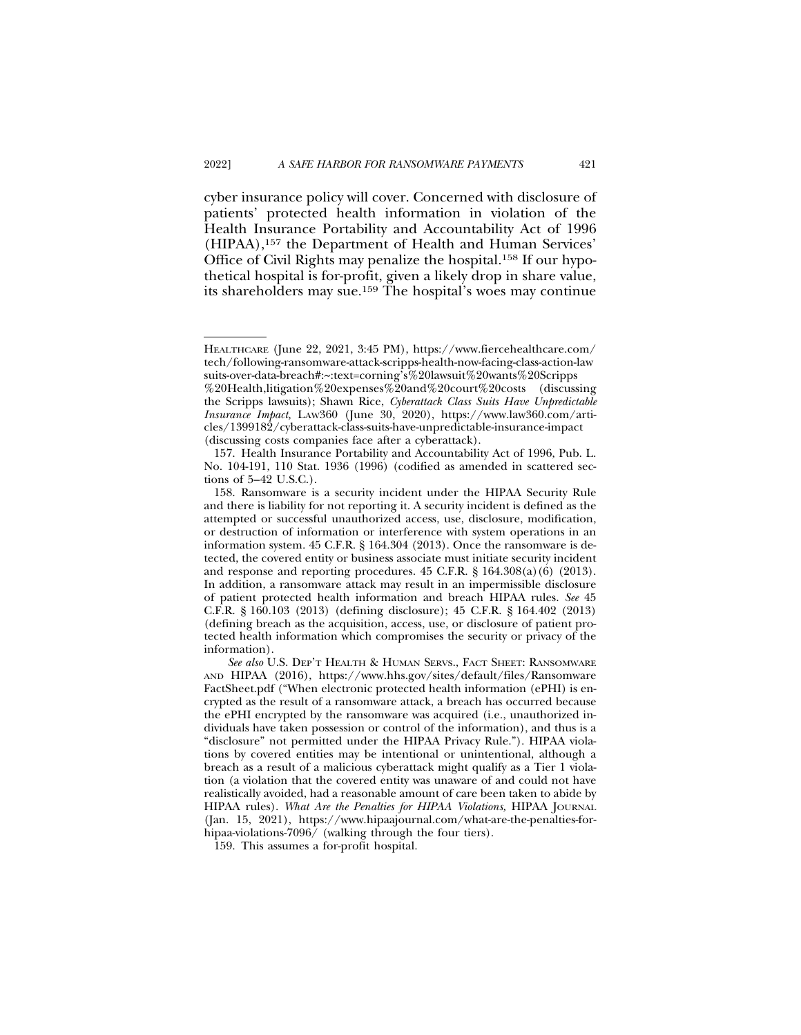cyber insurance policy will cover. Concerned with disclosure of patients' protected health information in violation of the Health Insurance Portability and Accountability Act of 1996 (HIPAA),157 the Department of Health and Human Services' Office of Civil Rights may penalize the hospital.158 If our hypothetical hospital is for-profit, given a likely drop in share value, its shareholders may sue.159 The hospital's woes may continue

159. This assumes a for-profit hospital.

HEALTHCARE (June 22, 2021, 3:45 PM), https://www.fiercehealthcare.com/ tech/following-ransomware-attack-scripps-health-now-facing-class-action-law suits-over-data-breach#:~:text=corning's%20lawsuit%20wants%20Scripps %20Health,litigation%20expenses%20and%20court%20costs (discussing the Scripps lawsuits); Shawn Rice, *Cyberattack Class Suits Have Unpredictable Insurance Impact,* LAW360 (June 30, 2020), https://www.law360.com/articles/1399182/cyberattack-class-suits-have-unpredictable-insurance-impact (discussing costs companies face after a cyberattack).

<sup>157.</sup> Health Insurance Portability and Accountability Act of 1996, Pub. L. No. 104-191, 110 Stat. 1936 (1996) (codified as amended in scattered sections of 5–42 U.S.C.).

<sup>158.</sup> Ransomware is a security incident under the HIPAA Security Rule and there is liability for not reporting it. A security incident is defined as the attempted or successful unauthorized access, use, disclosure, modification, or destruction of information or interference with system operations in an information system. 45 C.F.R. § 164.304 (2013). Once the ransomware is detected, the covered entity or business associate must initiate security incident and response and reporting procedures.  $45$  C.F.R.  $\S$  164.308(a)(6) (2013). In addition, a ransomware attack may result in an impermissible disclosure of patient protected health information and breach HIPAA rules. *See* 45 C.F.R. § 160.103 (2013) (defining disclosure); 45 C.F.R. § 164.402 (2013) (defining breach as the acquisition, access, use, or disclosure of patient protected health information which compromises the security or privacy of the information).

*See also* U.S. DEP'T HEALTH & HUMAN SERVS., FACT SHEET: RANSOMWARE AND HIPAA (2016), https://www.hhs.gov/sites/default/files/Ransomware FactSheet.pdf ("When electronic protected health information (ePHI) is encrypted as the result of a ransomware attack, a breach has occurred because the ePHI encrypted by the ransomware was acquired (i.e., unauthorized individuals have taken possession or control of the information), and thus is a "disclosure" not permitted under the HIPAA Privacy Rule."). HIPAA violations by covered entities may be intentional or unintentional, although a breach as a result of a malicious cyberattack might qualify as a Tier 1 violation (a violation that the covered entity was unaware of and could not have realistically avoided, had a reasonable amount of care been taken to abide by HIPAA rules). *What Are the Penalties for HIPAA Violations,* HIPAA JOURNAL (Jan. 15, 2021), https://www.hipaajournal.com/what-are-the-penalties-forhipaa-violations-7096/ (walking through the four tiers).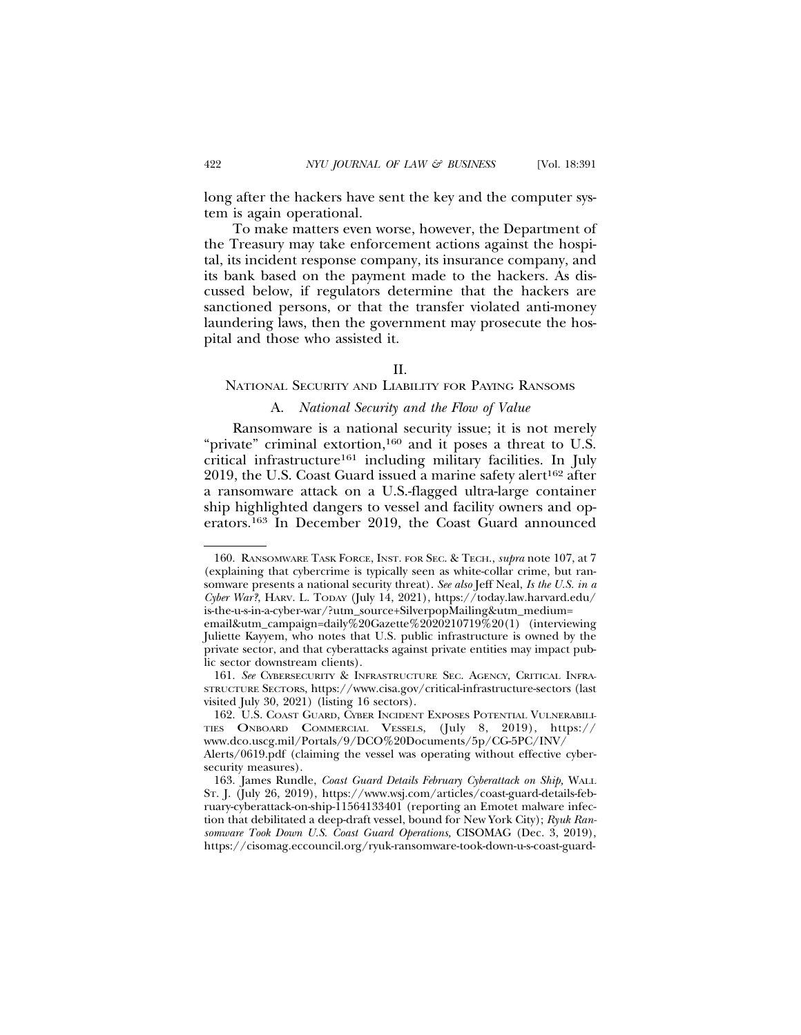long after the hackers have sent the key and the computer system is again operational.

To make matters even worse, however, the Department of the Treasury may take enforcement actions against the hospital, its incident response company, its insurance company, and its bank based on the payment made to the hackers. As discussed below, if regulators determine that the hackers are sanctioned persons, or that the transfer violated anti-money laundering laws, then the government may prosecute the hospital and those who assisted it.

#### II.

#### NATIONAL SECURITY AND LIABILITY FOR PAYING RANSOMS

#### A. *National Security and the Flow of Value*

Ransomware is a national security issue; it is not merely "private" criminal extortion,<sup>160</sup> and it poses a threat to U.S. critical infrastructure161 including military facilities. In July  $2019$ , the U.S. Coast Guard issued a marine safety alert<sup>162</sup> after a ransomware attack on a U.S.-flagged ultra-large container ship highlighted dangers to vessel and facility owners and operators.163 In December 2019, the Coast Guard announced

<sup>160.</sup> RANSOMWARE TASK FORCE, INST. FOR SEC. & TECH., *supra* note 107, at 7 (explaining that cybercrime is typically seen as white-collar crime, but ransomware presents a national security threat). *See also* Jeff Neal, *Is the U.S. in a Cyber War?*, HARV. L. TODAY (July 14, 2021), https://today.law.harvard.edu/ is-the-u-s-in-a-cyber-war/?utm\_source+SilverpopMailing&utm\_medium=

email&utm\_campaign=daily%20Gazette%2020210719%20(1) (interviewing Juliette Kayyem, who notes that U.S. public infrastructure is owned by the private sector, and that cyberattacks against private entities may impact public sector downstream clients).

<sup>161.</sup> *See* CYBERSECURITY & INFRASTRUCTURE SEC. AGENCY, CRITICAL INFRA-STRUCTURE SECTORS, https://www.cisa.gov/critical-infrastructure-sectors (last visited July 30, 2021) (listing 16 sectors).

<sup>162.</sup> U.S. COAST GUARD, CYBER INCIDENT EXPOSES POTENTIAL VULNERABILI-TIES ONBOARD COMMERCIAL VESSELS, (July 8, 2019), https:// www.dco.uscg.mil/Portals/9/DCO%20Documents/5p/CG-5PC/INV/

Alerts/0619.pdf (claiming the vessel was operating without effective cybersecurity measures).

<sup>163.</sup> James Rundle, *Coast Guard Details February Cyberattack on Ship,* WALL ST. J. (July 26, 2019), https://www.wsj.com/articles/coast-guard-details-february-cyberattack-on-ship-11564133401 (reporting an Emotet malware infection that debilitated a deep-draft vessel, bound for New York City); *Ryuk Ransomware Took Down U.S. Coast Guard Operations,* CISOMAG (Dec. 3, 2019), https://cisomag.eccouncil.org/ryuk-ransomware-took-down-u-s-coast-guard-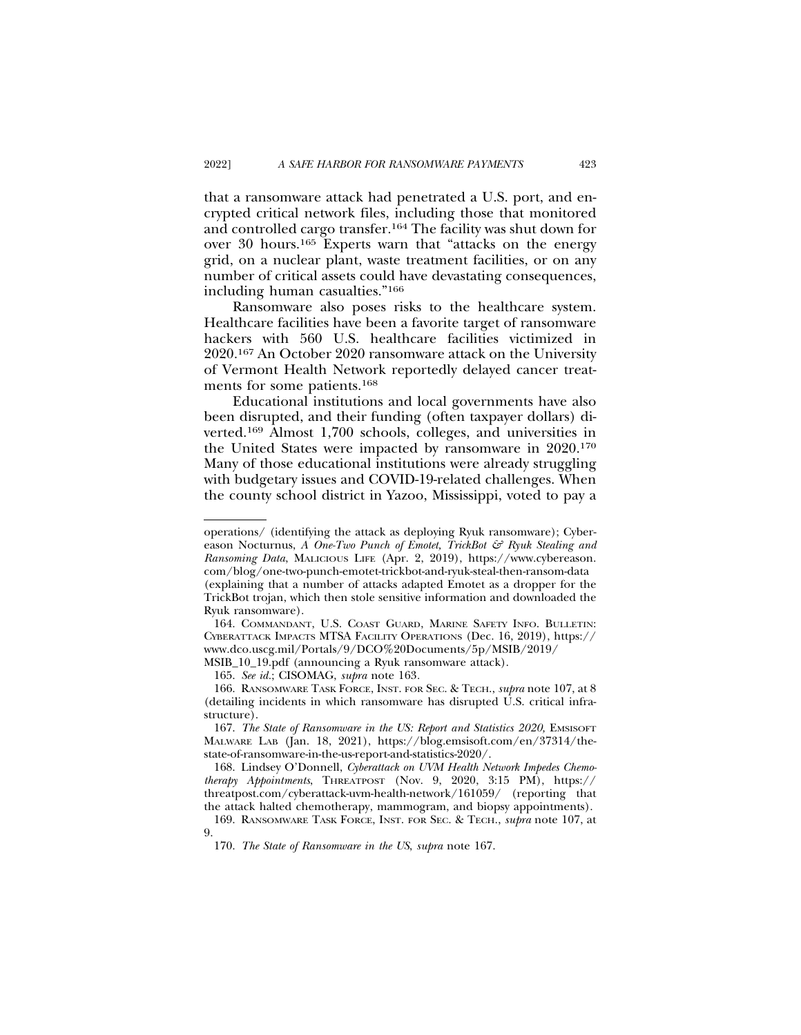that a ransomware attack had penetrated a U.S. port, and encrypted critical network files, including those that monitored and controlled cargo transfer.164 The facility was shut down for over 30 hours.165 Experts warn that "attacks on the energy grid, on a nuclear plant, waste treatment facilities, or on any number of critical assets could have devastating consequences, including human casualties."166

Ransomware also poses risks to the healthcare system. Healthcare facilities have been a favorite target of ransomware hackers with 560 U.S. healthcare facilities victimized in 2020.167 An October 2020 ransomware attack on the University of Vermont Health Network reportedly delayed cancer treatments for some patients.168

Educational institutions and local governments have also been disrupted, and their funding (often taxpayer dollars) diverted.169 Almost 1,700 schools, colleges, and universities in the United States were impacted by ransomware in 2020.170 Many of those educational institutions were already struggling with budgetary issues and COVID-19-related challenges. When the county school district in Yazoo, Mississippi, voted to pay a

165. *See id.*; CISOMAG, *supra* note 163*.*

operations/ (identifying the attack as deploying Ryuk ransomware); Cybereason Nocturnus, *A One-Two Punch of Emotet, TrickBot & Ryuk Stealing and Ransoming Data*, MALICIOUS LIFE (Apr. 2, 2019), https://www.cybereason. com/blog/one-two-punch-emotet-trickbot-and-ryuk-steal-then-ransom-data (explaining that a number of attacks adapted Emotet as a dropper for the TrickBot trojan, which then stole sensitive information and downloaded the Ryuk ransomware).

<sup>164.</sup> COMMANDANT, U.S. COAST GUARD, MARINE SAFETY INFO. BULLETIN: CYBERATTACK IMPACTS MTSA FACILITY OPERATIONS (Dec. 16, 2019), https:// www.dco.uscg.mil/Portals/9/DCO%20Documents/5p/MSIB/2019/ MSIB\_10\_19.pdf (announcing a Ryuk ransomware attack).

<sup>166.</sup> RANSOMWARE TASK FORCE, INST. FOR SEC. & TECH., *supra* note 107, at 8 (detailing incidents in which ransomware has disrupted U.S. critical infrastructure).

<sup>167.</sup> *The State of Ransomware in the US: Report and Statistics 2020,* EMSISOFT MALWARE LAB (Jan. 18, 2021), https://blog.emsisoft.com/en/37314/thestate-of-ransomware-in-the-us-report-and-statistics-2020/.

<sup>168.</sup> Lindsey O'Donnell, *Cyberattack on UVM Health Network Impedes Chemotherapy Appointments*, THREATPOST (Nov. 9, 2020, 3:15 PM), https:// threatpost.com/cyberattack-uvm-health-network/161059/ (reporting that the attack halted chemotherapy, mammogram, and biopsy appointments).

<sup>169.</sup> RANSOMWARE TASK FORCE, INST. FOR SEC. & TECH., *supra* note 107, at 9.

<sup>170.</sup> *The State of Ransomware in the US*, *supra* note 167.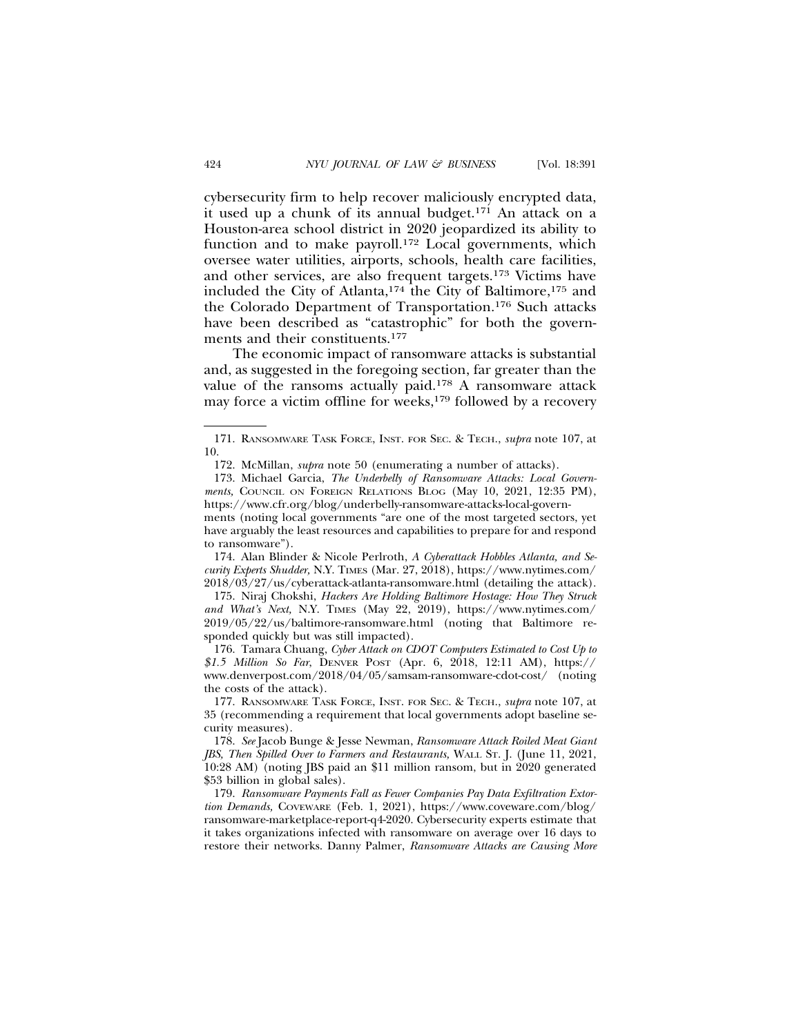cybersecurity firm to help recover maliciously encrypted data, it used up a chunk of its annual budget.171 An attack on a Houston-area school district in 2020 jeopardized its ability to function and to make payroll.<sup>172</sup> Local governments, which oversee water utilities, airports, schools, health care facilities, and other services, are also frequent targets.173 Victims have included the City of Atlanta,174 the City of Baltimore,175 and the Colorado Department of Transportation.176 Such attacks have been described as "catastrophic" for both the governments and their constituents.177

The economic impact of ransomware attacks is substantial and, as suggested in the foregoing section, far greater than the value of the ransoms actually paid.178 A ransomware attack may force a victim offline for weeks,<sup>179</sup> followed by a recovery

have arguably the least resources and capabilities to prepare for and respond to ransomware").

174. Alan Blinder & Nicole Perlroth, *A Cyberattack Hobbles Atlanta, and Security Experts Shudder,* N.Y. TIMES (Mar. 27, 2018), https://www.nytimes.com/ 2018/03/27/us/cyberattack-atlanta-ransomware.html (detailing the attack).

175. Niraj Chokshi, *Hackers Are Holding Baltimore Hostage: How They Struck and What's Next,* N.Y. TIMES (May 22, 2019), https://www.nytimes.com/ 2019/05/22/us/baltimore-ransomware.html (noting that Baltimore responded quickly but was still impacted).

176. Tamara Chuang, *Cyber Attack on CDOT Computers Estimated to Cost Up to \$1.5 Million So Far*, DENVER POST (Apr. 6, 2018, 12:11 AM), https:// www.denverpost.com/2018/04/05/samsam-ransomware-cdot-cost/ (noting the costs of the attack).

177. RANSOMWARE TASK FORCE, INST. FOR SEC. & TECH., *supra* note 107, at 35 (recommending a requirement that local governments adopt baseline security measures).

178. *See* Jacob Bunge & Jesse Newman, *Ransomware Attack Roiled Meat Giant JBS, Then Spilled Over to Farmers and Restaurants,* WALL ST. J. (June 11, 2021, 10:28 AM) (noting JBS paid an \$11 million ransom, but in 2020 generated \$53 billion in global sales).

179. *Ransomware Payments Fall as Fewer Companies Pay Data Exfiltration Extortion Demands,* COVEWARE (Feb. 1, 2021), https://www.coveware.com/blog/ ransomware-marketplace-report-q4-2020. Cybersecurity experts estimate that it takes organizations infected with ransomware on average over 16 days to restore their networks. Danny Palmer, *Ransomware Attacks are Causing More*

<sup>171.</sup> RANSOMWARE TASK FORCE, INST. FOR SEC. & TECH., *supra* note 107, at 10.

<sup>172.</sup> McMillan, *supra* note 50 (enumerating a number of attacks).

<sup>173.</sup> Michael Garcia, *The Underbelly of Ransomware Attacks: Local Governments,* COUNCIL ON FOREIGN RELATIONS BLOG (May 10, 2021, 12:35 PM), https://www.cfr.org/blog/underbelly-ransomware-attacks-local-governments (noting local governments "are one of the most targeted sectors, yet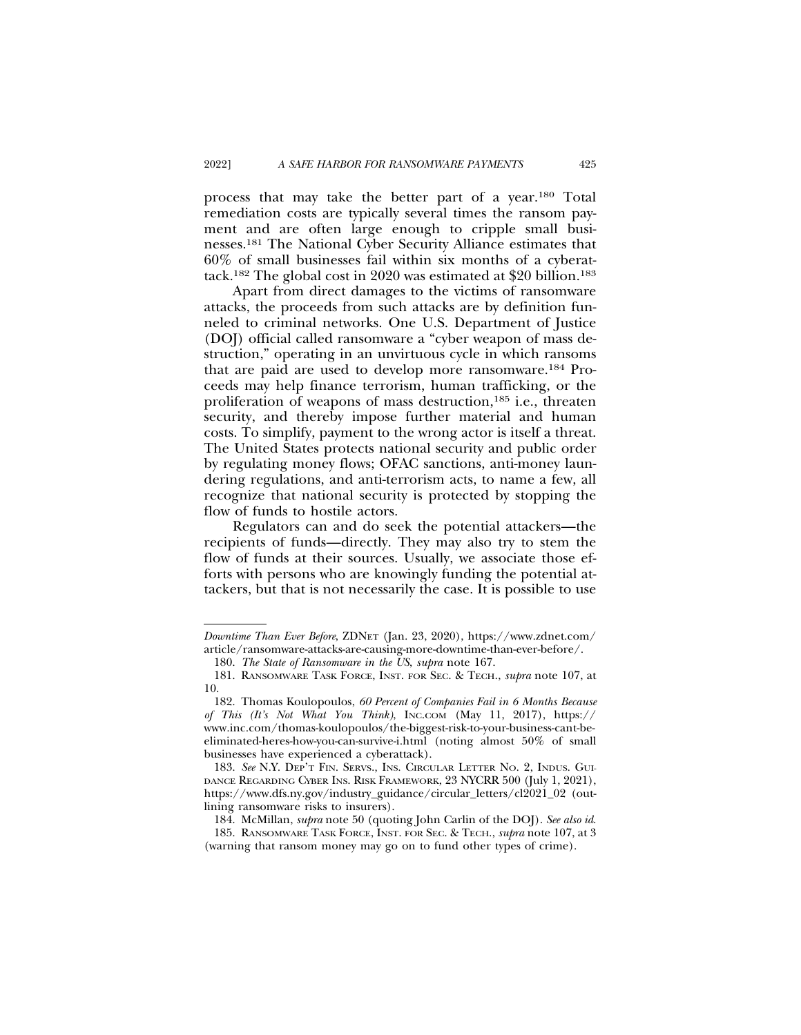process that may take the better part of a year.180 Total remediation costs are typically several times the ransom payment and are often large enough to cripple small businesses.181 The National Cyber Security Alliance estimates that 60% of small businesses fail within six months of a cyberattack.182 The global cost in 2020 was estimated at \$20 billion.183

Apart from direct damages to the victims of ransomware attacks, the proceeds from such attacks are by definition funneled to criminal networks. One U.S. Department of Justice (DOJ) official called ransomware a "cyber weapon of mass destruction," operating in an unvirtuous cycle in which ransoms that are paid are used to develop more ransomware.184 Proceeds may help finance terrorism, human trafficking, or the proliferation of weapons of mass destruction,185 i.e., threaten security, and thereby impose further material and human costs. To simplify, payment to the wrong actor is itself a threat. The United States protects national security and public order by regulating money flows; OFAC sanctions, anti-money laundering regulations, and anti-terrorism acts, to name a few, all recognize that national security is protected by stopping the flow of funds to hostile actors.

Regulators can and do seek the potential attackers—the recipients of funds—directly. They may also try to stem the flow of funds at their sources. Usually, we associate those efforts with persons who are knowingly funding the potential attackers, but that is not necessarily the case. It is possible to use

*Downtime Than Ever Before*, ZDNET (Jan. 23, 2020), https://www.zdnet.com/ article/ransomware-attacks-are-causing-more-downtime-than-ever-before/.

<sup>180.</sup> *The State of Ransomware in the US*, *supra* note 167.

<sup>181.</sup> RANSOMWARE TASK FORCE, INST. FOR SEC. & TECH., *supra* note 107, at 10.

<sup>182.</sup> Thomas Koulopoulos, *60 Percent of Companies Fail in 6 Months Because of This (It's Not What You Think)*, INC.COM (May 11, 2017), https:// www.inc.com/thomas-koulopoulos/the-biggest-risk-to-your-business-cant-beeliminated-heres-how-you-can-survive-i.html (noting almost 50% of small businesses have experienced a cyberattack).

<sup>183.</sup> *See* N.Y. DEP'T FIN. SERVS., INS. CIRCULAR LETTER NO. 2, INDUS. GUI-DANCE REGARDING CYBER INS. RISK FRAMEWORK, 23 NYCRR 500 (July 1, 2021), https://www.dfs.ny.gov/industry\_guidance/circular\_letters/cl2021\_02 (outlining ransomware risks to insurers).

<sup>184.</sup> McMillan, *supra* note 50 (quoting John Carlin of the DOJ). *See also id*.

<sup>185.</sup> RANSOMWARE TASK FORCE, INST. FOR SEC. & TECH., *supra* note 107, at 3 (warning that ransom money may go on to fund other types of crime).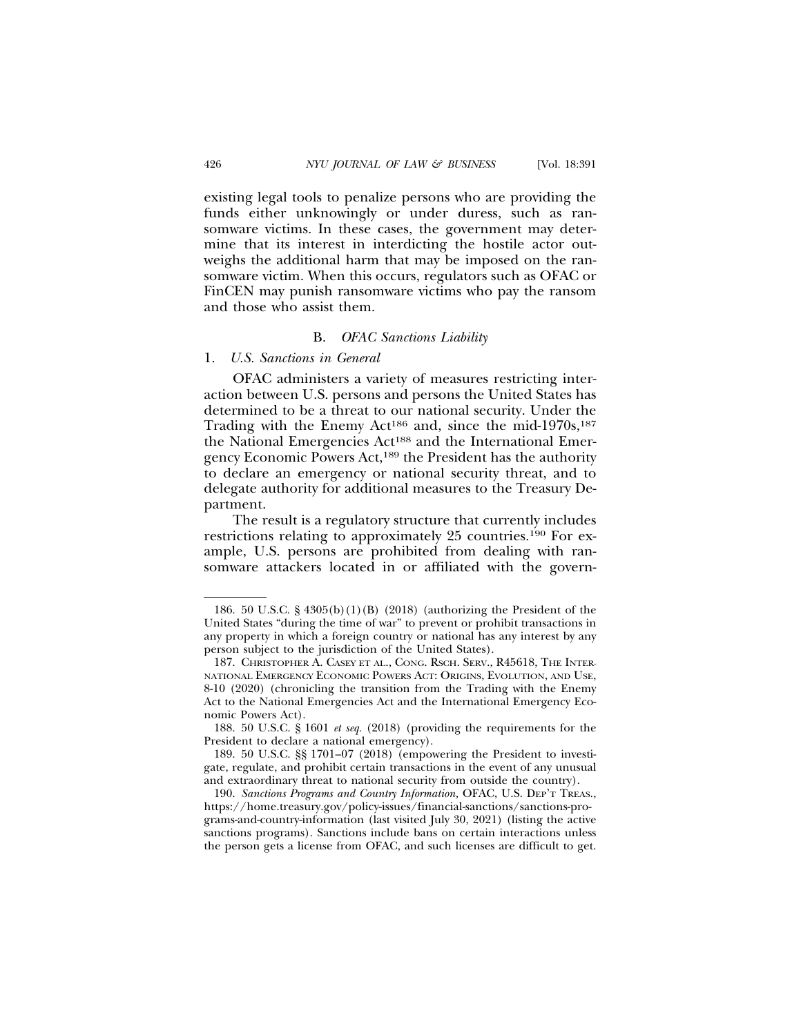existing legal tools to penalize persons who are providing the funds either unknowingly or under duress, such as ransomware victims. In these cases, the government may determine that its interest in interdicting the hostile actor outweighs the additional harm that may be imposed on the ransomware victim. When this occurs, regulators such as OFAC or FinCEN may punish ransomware victims who pay the ransom and those who assist them.

#### B. *OFAC Sanctions Liability*

#### 1. *U.S. Sanctions in General*

OFAC administers a variety of measures restricting interaction between U.S. persons and persons the United States has determined to be a threat to our national security. Under the Trading with the Enemy Act<sup>186</sup> and, since the mid-1970s,<sup>187</sup> the National Emergencies Act<sup>188</sup> and the International Emergency Economic Powers Act,189 the President has the authority to declare an emergency or national security threat, and to delegate authority for additional measures to the Treasury Department.

The result is a regulatory structure that currently includes restrictions relating to approximately 25 countries.190 For example, U.S. persons are prohibited from dealing with ransomware attackers located in or affiliated with the govern-

<sup>186. 50</sup> U.S.C. § 4305(b)(1)(B) (2018) (authorizing the President of the United States "during the time of war" to prevent or prohibit transactions in any property in which a foreign country or national has any interest by any person subject to the jurisdiction of the United States).

<sup>187.</sup> CHRISTOPHER A. CASEY ET AL., CONG. RSCH. SERV., R45618, THE INTER-NATIONAL EMERGENCY ECONOMIC POWERS ACT: ORIGINS, EVOLUTION, AND USE, 8-10 (2020) (chronicling the transition from the Trading with the Enemy Act to the National Emergencies Act and the International Emergency Economic Powers Act).

<sup>188. 50</sup> U.S.C. § 1601 *et seq.* (2018) (providing the requirements for the President to declare a national emergency).

<sup>189. 50</sup> U.S.C. §§ 1701–07 (2018) (empowering the President to investigate, regulate, and prohibit certain transactions in the event of any unusual and extraordinary threat to national security from outside the country).

<sup>190.</sup> *Sanctions Programs and Country Information,* OFAC, U.S. DEP'T TREAS., https://home.treasury.gov/policy-issues/financial-sanctions/sanctions-programs-and-country-information (last visited July 30, 2021) (listing the active sanctions programs). Sanctions include bans on certain interactions unless the person gets a license from OFAC, and such licenses are difficult to get.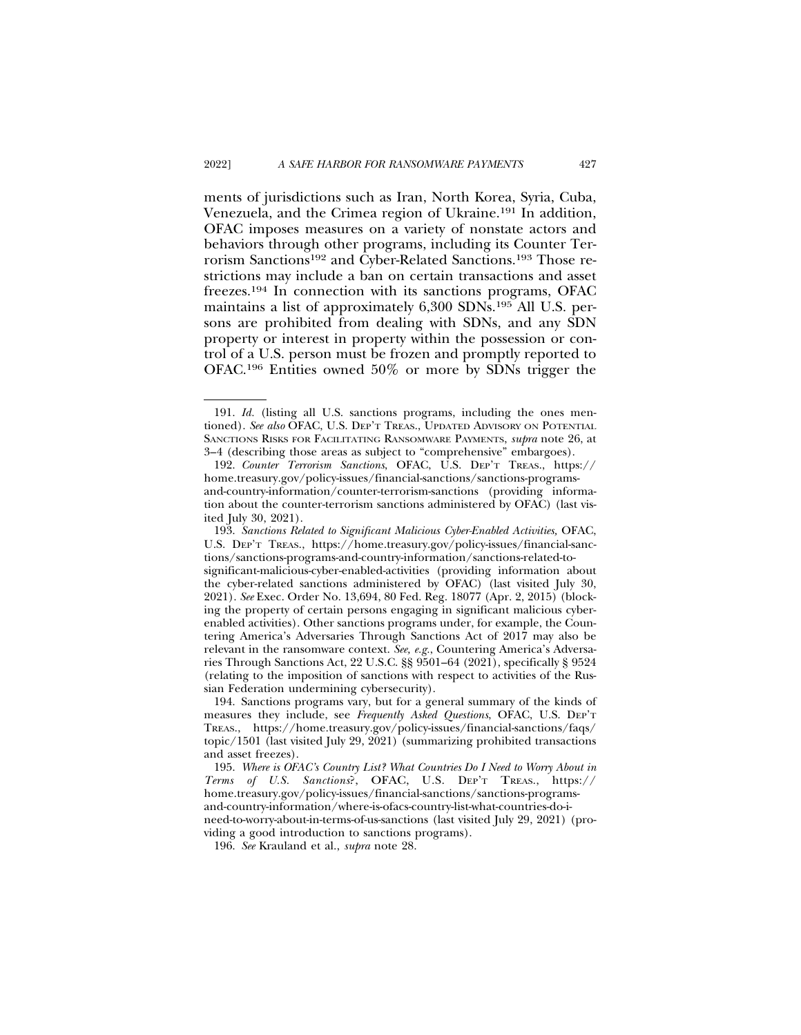ments of jurisdictions such as Iran, North Korea, Syria, Cuba, Venezuela, and the Crimea region of Ukraine.191 In addition, OFAC imposes measures on a variety of nonstate actors and behaviors through other programs, including its Counter Terrorism Sanctions192 and Cyber-Related Sanctions.193 Those restrictions may include a ban on certain transactions and asset freezes.194 In connection with its sanctions programs, OFAC maintains a list of approximately 6,300 SDNs.195 All U.S. persons are prohibited from dealing with SDNs, and any SDN property or interest in property within the possession or control of a U.S. person must be frozen and promptly reported to OFAC.196 Entities owned 50% or more by SDNs trigger the

<sup>191.</sup> *Id.* (listing all U.S. sanctions programs, including the ones mentioned). *See also* OFAC, U.S. DEP'T TREAS., UPDATED ADVISORY ON POTENTIAL SANCTIONS RISKS FOR FACILITATING RANSOMWARE PAYMENTS, *supra* note 26, at 3–4 (describing those areas as subject to "comprehensive" embargoes).

<sup>192.</sup> *Counter Terrorism Sanctions*, OFAC, U.S. DEP'T TREAS., https:// home.treasury.gov/policy-issues/financial-sanctions/sanctions-programsand-country-information/counter-terrorism-sanctions (providing information about the counter-terrorism sanctions administered by OFAC) (last visited July 30, 2021).

<sup>193.</sup> *Sanctions Related to Significant Malicious Cyber-Enabled Activities,* OFAC, U.S. DEP'T TREAS., https://home.treasury.gov/policy-issues/financial-sanctions/sanctions-programs-and-country-information/sanctions-related-tosignificant-malicious-cyber-enabled-activities (providing information about the cyber-related sanctions administered by OFAC) (last visited July 30, 2021). *See* Exec. Order No. 13,694, 80 Fed. Reg. 18077 (Apr. 2, 2015) (blocking the property of certain persons engaging in significant malicious cyberenabled activities). Other sanctions programs under, for example, the Countering America's Adversaries Through Sanctions Act of 2017 may also be relevant in the ransomware context. *See, e.g.*, Countering America's Adversaries Through Sanctions Act, 22 U.S.C. §§ 9501–64 (2021), specifically § 9524 (relating to the imposition of sanctions with respect to activities of the Russian Federation undermining cybersecurity).

<sup>194.</sup> Sanctions programs vary, but for a general summary of the kinds of measures they include, see *Frequently Asked Questions*, OFAC, U.S. DEP'T TREAS., https://home.treasury.gov/policy-issues/financial-sanctions/faqs/ topic/1501 (last visited July 29, 2021) (summarizing prohibited transactions and asset freezes).

<sup>195.</sup> *Where is OFAC's Country List? What Countries Do I Need to Worry About in Terms of U.S. Sanctions*?, OFAC, U.S. DEP'T TREAS., https:// home.treasury.gov/policy-issues/financial-sanctions/sanctions-programsand-country-information/where-is-ofacs-country-list-what-countries-do-ineed-to-worry-about-in-terms-of-us-sanctions (last visited July 29, 2021) (providing a good introduction to sanctions programs).

<sup>196.</sup> *See* Krauland et al., *supra* note 28.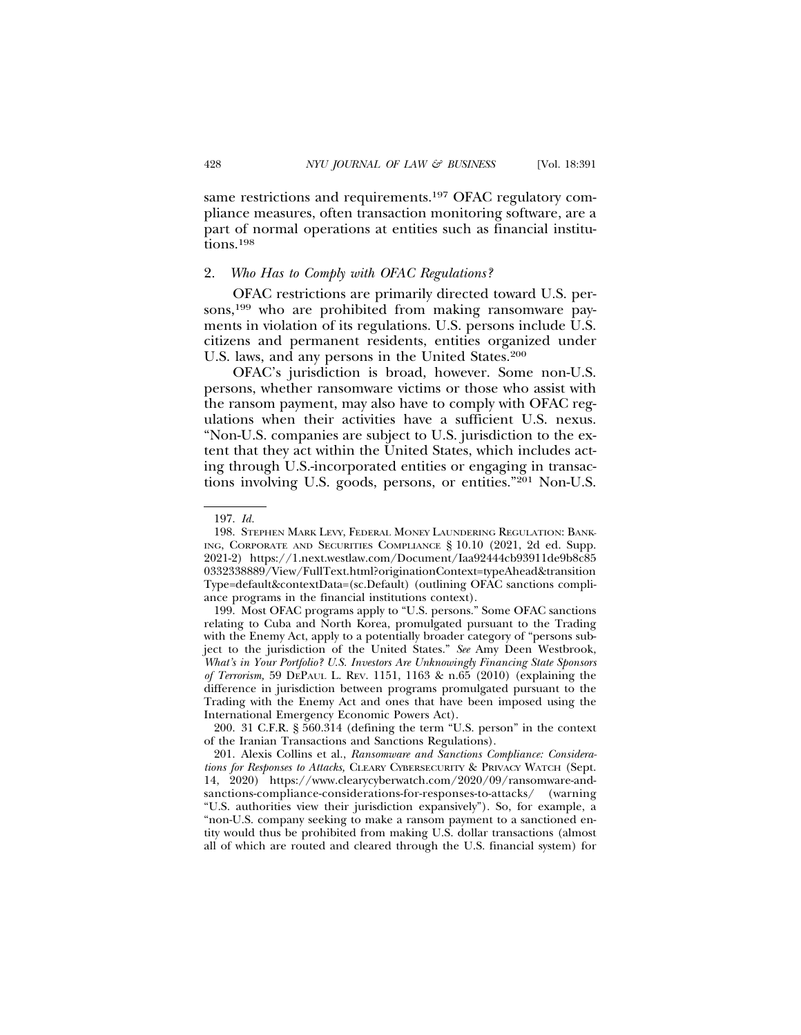same restrictions and requirements.<sup>197</sup> OFAC regulatory compliance measures, often transaction monitoring software, are a part of normal operations at entities such as financial institutions.198

## 2. *Who Has to Comply with OFAC Regulations?*

OFAC restrictions are primarily directed toward U.S. persons,<sup>199</sup> who are prohibited from making ransomware payments in violation of its regulations. U.S. persons include U.S. citizens and permanent residents, entities organized under U.S. laws, and any persons in the United States.<sup>200</sup>

OFAC's jurisdiction is broad, however. Some non-U.S. persons, whether ransomware victims or those who assist with the ransom payment, may also have to comply with OFAC regulations when their activities have a sufficient U.S. nexus. "Non-U.S. companies are subject to U.S. jurisdiction to the extent that they act within the United States, which includes acting through U.S.-incorporated entities or engaging in transactions involving U.S. goods, persons, or entities."201 Non-U.S.

<sup>197.</sup> *Id.*

<sup>198.</sup> STEPHEN MARK LEVY, FEDERAL MONEY LAUNDERING REGULATION: BANK-ING, CORPORATE AND SECURITIES COMPLIANCE § 10.10 (2021, 2d ed. Supp. 2021-2) https://1.next.westlaw.com/Document/Iaa92444cb93911de9b8c85 0332338889/View/FullText.html?originationContext=typeAhead&transition Type=default&contextData=(sc.Default) (outlining OFAC sanctions compliance programs in the financial institutions context).

<sup>199.</sup> Most OFAC programs apply to "U.S. persons." Some OFAC sanctions relating to Cuba and North Korea, promulgated pursuant to the Trading with the Enemy Act, apply to a potentially broader category of "persons subject to the jurisdiction of the United States." *See* Amy Deen Westbrook, *What's in Your Portfolio? U.S. Investors Are Unknowingly Financing State Sponsors of Terrorism,* 59 DEPAUL L. REV. 1151, 1163 & n.65 (2010) (explaining the difference in jurisdiction between programs promulgated pursuant to the Trading with the Enemy Act and ones that have been imposed using the International Emergency Economic Powers Act).

<sup>200. 31</sup> C.F.R. § 560.314 (defining the term "U.S. person" in the context of the Iranian Transactions and Sanctions Regulations).

<sup>201.</sup> Alexis Collins et al., *Ransomware and Sanctions Compliance: Considerations for Responses to Attacks,* CLEARY CYBERSECURITY & PRIVACY WATCH (Sept. 14, 2020) https://www.clearycyberwatch.com/2020/09/ransomware-andsanctions-compliance-considerations-for-responses-to-attacks/ (warning "U.S. authorities view their jurisdiction expansively"). So, for example, a "non-U.S. company seeking to make a ransom payment to a sanctioned entity would thus be prohibited from making U.S. dollar transactions (almost all of which are routed and cleared through the U.S. financial system) for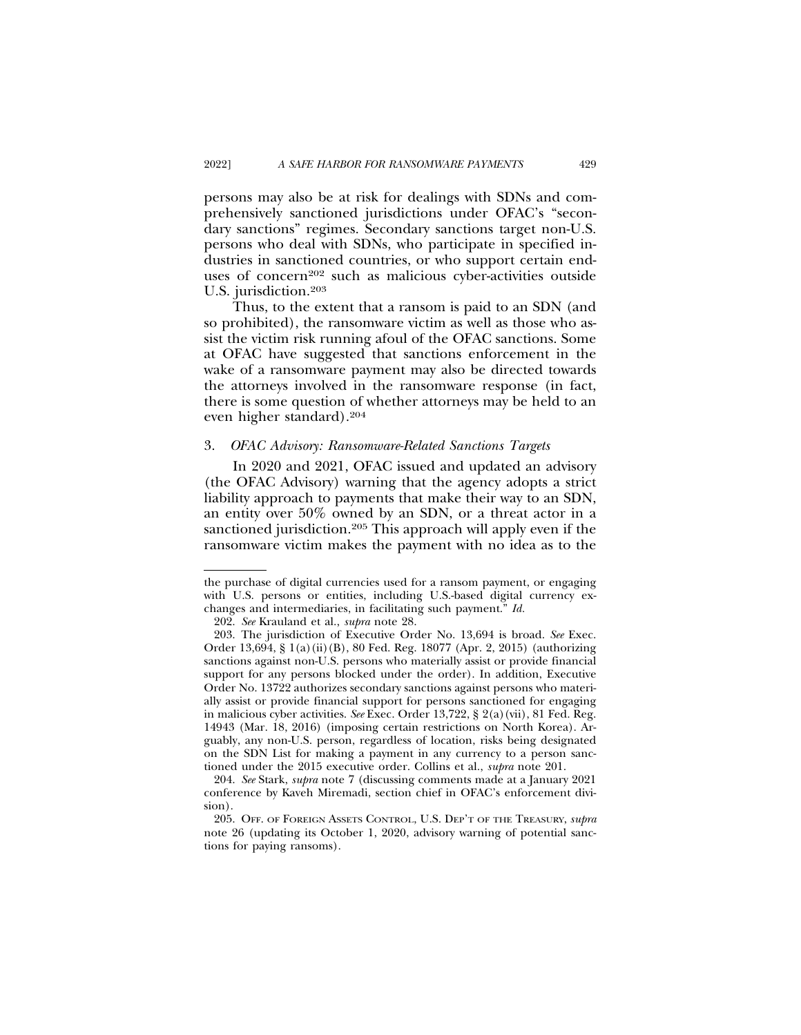persons may also be at risk for dealings with SDNs and comprehensively sanctioned jurisdictions under OFAC's "secondary sanctions" regimes. Secondary sanctions target non-U.S. persons who deal with SDNs, who participate in specified industries in sanctioned countries, or who support certain enduses of concern<sup>202</sup> such as malicious cyber-activities outside U.S. jurisdiction.<sup>203</sup>

Thus, to the extent that a ransom is paid to an SDN (and so prohibited), the ransomware victim as well as those who assist the victim risk running afoul of the OFAC sanctions. Some at OFAC have suggested that sanctions enforcement in the wake of a ransomware payment may also be directed towards the attorneys involved in the ransomware response (in fact, there is some question of whether attorneys may be held to an even higher standard).204

#### 3. *OFAC Advisory: Ransomware-Related Sanctions Targets*

In 2020 and 2021, OFAC issued and updated an advisory (the OFAC Advisory) warning that the agency adopts a strict liability approach to payments that make their way to an SDN, an entity over 50% owned by an SDN, or a threat actor in a sanctioned jurisdiction.<sup>205</sup> This approach will apply even if the ransomware victim makes the payment with no idea as to the

the purchase of digital currencies used for a ransom payment, or engaging with U.S. persons or entities, including U.S.-based digital currency exchanges and intermediaries, in facilitating such payment." *Id.*

<sup>202.</sup> *See* Krauland et al., *supra* note 28.

<sup>203.</sup> The jurisdiction of Executive Order No. 13,694 is broad. *See* Exec. Order 13,694, § 1(a)(ii)(B), 80 Fed. Reg. 18077 (Apr. 2, 2015) (authorizing sanctions against non-U.S. persons who materially assist or provide financial support for any persons blocked under the order). In addition, Executive Order No. 13722 authorizes secondary sanctions against persons who materially assist or provide financial support for persons sanctioned for engaging in malicious cyber activities. *See* Exec. Order 13,722, § 2(a)(vii), 81 Fed. Reg. 14943 (Mar. 18, 2016) (imposing certain restrictions on North Korea). Arguably, any non-U.S. person, regardless of location, risks being designated on the SDN List for making a payment in any currency to a person sanctioned under the 2015 executive order. Collins et al., *supra* note 201.

<sup>204.</sup> *See* Stark, *supra* note 7 (discussing comments made at a January 2021 conference by Kaveh Miremadi, section chief in OFAC's enforcement division).

<sup>205.</sup> OFF. OF FOREIGN ASSETS CONTROL, U.S. DEP'T OF THE TREASURY, *supra* note 26 (updating its October 1, 2020, advisory warning of potential sanctions for paying ransoms).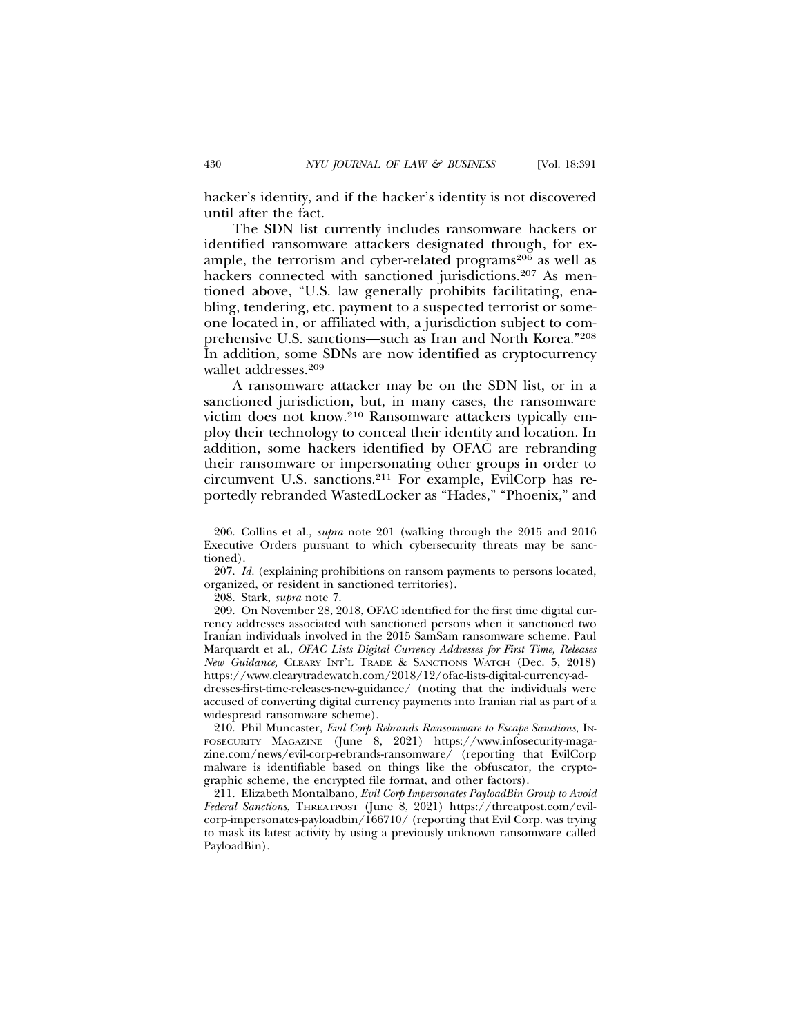hacker's identity, and if the hacker's identity is not discovered until after the fact.

The SDN list currently includes ransomware hackers or identified ransomware attackers designated through, for example, the terrorism and cyber-related programs<sup>206</sup> as well as hackers connected with sanctioned jurisdictions.<sup>207</sup> As mentioned above, "U.S. law generally prohibits facilitating, enabling, tendering, etc. payment to a suspected terrorist or someone located in, or affiliated with, a jurisdiction subject to comprehensive U.S. sanctions—such as Iran and North Korea."208 In addition, some SDNs are now identified as cryptocurrency wallet addresses.209

A ransomware attacker may be on the SDN list, or in a sanctioned jurisdiction, but, in many cases, the ransomware victim does not know.210 Ransomware attackers typically employ their technology to conceal their identity and location. In addition, some hackers identified by OFAC are rebranding their ransomware or impersonating other groups in order to circumvent U.S. sanctions.211 For example, EvilCorp has reportedly rebranded WastedLocker as "Hades," "Phoenix," and

208. Stark, *supra* note 7.

209. On November 28, 2018, OFAC identified for the first time digital currency addresses associated with sanctioned persons when it sanctioned two Iranian individuals involved in the 2015 SamSam ransomware scheme. Paul Marquardt et al., *OFAC Lists Digital Currency Addresses for First Time, Releases New Guidance,* CLEARY INT'L TRADE & SANCTIONS WATCH (Dec. 5, 2018) https://www.clearytradewatch.com/2018/12/ofac-lists-digital-currency-addresses-first-time-releases-new-guidance/ (noting that the individuals were

accused of converting digital currency payments into Iranian rial as part of a widespread ransomware scheme).

210. Phil Muncaster, *Evil Corp Rebrands Ransomware to Escape Sanctions,* IN-FOSECURITY MAGAZINE (June 8, 2021) https://www.infosecurity-magazine.com/news/evil-corp-rebrands-ransomware/ (reporting that EvilCorp malware is identifiable based on things like the obfuscator, the cryptographic scheme, the encrypted file format, and other factors).

211. Elizabeth Montalbano, *Evil Corp Impersonates PayloadBin Group to Avoid Federal Sanctions*, THREATPOST (June 8, 2021) https://threatpost.com/evilcorp-impersonates-payloadbin/166710/ (reporting that Evil Corp. was trying to mask its latest activity by using a previously unknown ransomware called PayloadBin).

<sup>206.</sup> Collins et al., *supra* note 201 (walking through the 2015 and 2016 Executive Orders pursuant to which cybersecurity threats may be sanctioned).

<sup>207.</sup> *Id.* (explaining prohibitions on ransom payments to persons located, organized, or resident in sanctioned territories).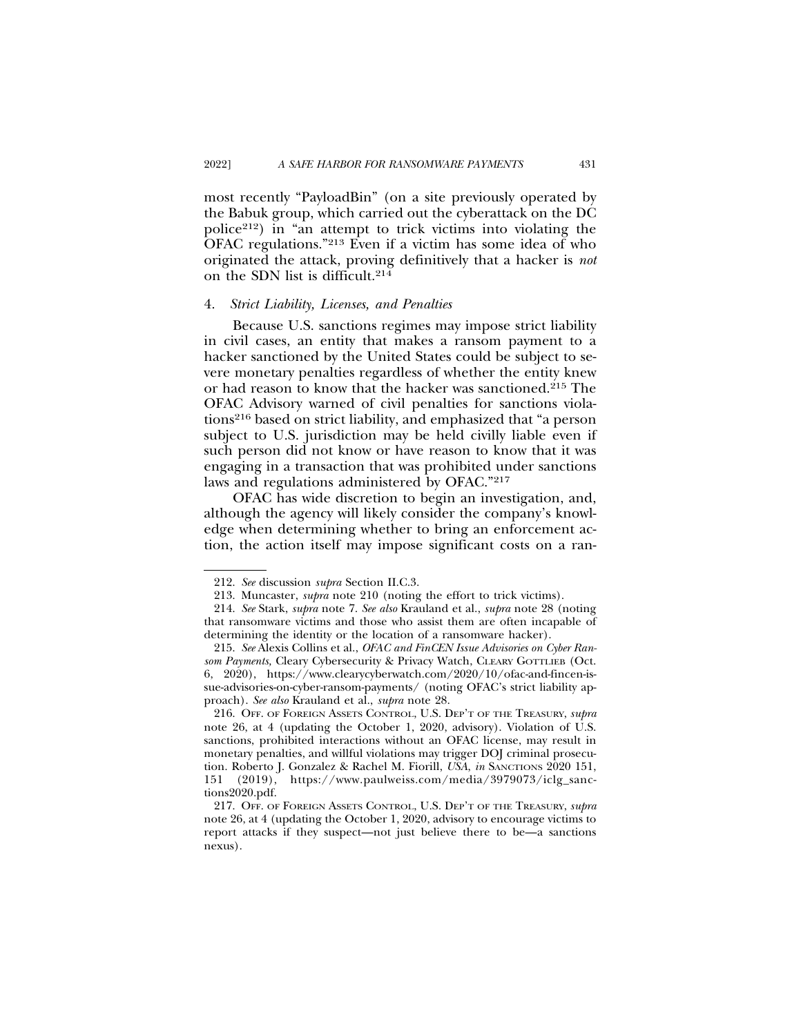most recently "PayloadBin" (on a site previously operated by the Babuk group, which carried out the cyberattack on the DC police212) in "an attempt to trick victims into violating the OFAC regulations."213 Even if a victim has some idea of who originated the attack, proving definitively that a hacker is *not* on the SDN list is difficult.214

#### 4. *Strict Liability, Licenses, and Penalties*

Because U.S. sanctions regimes may impose strict liability in civil cases, an entity that makes a ransom payment to a hacker sanctioned by the United States could be subject to severe monetary penalties regardless of whether the entity knew or had reason to know that the hacker was sanctioned.215 The OFAC Advisory warned of civil penalties for sanctions violations216 based on strict liability, and emphasized that "a person subject to U.S. jurisdiction may be held civilly liable even if such person did not know or have reason to know that it was engaging in a transaction that was prohibited under sanctions laws and regulations administered by OFAC."217

OFAC has wide discretion to begin an investigation, and, although the agency will likely consider the company's knowledge when determining whether to bring an enforcement action, the action itself may impose significant costs on a ran-

<sup>212.</sup> *See* discussion *supra* Section II.C.3.

<sup>213.</sup> Muncaster, *supra* note 210 (noting the effort to trick victims).

<sup>214.</sup> *See* Stark, *supra* note 7. *See also* Krauland et al., *supra* note 28 (noting that ransomware victims and those who assist them are often incapable of determining the identity or the location of a ransomware hacker).

<sup>215.</sup> *See* Alexis Collins et al., *OFAC and FinCEN Issue Advisories on Cyber Ransom Payments,* Cleary Cybersecurity & Privacy Watch, CLEARY GOTTLIEB (Oct. 6, 2020), https://www.clearycyberwatch.com/2020/10/ofac-and-fincen-issue-advisories-on-cyber-ransom-payments/ (noting OFAC's strict liability approach). *See also* Krauland et al., *supra* note 28.

<sup>216.</sup> OFF. OF FOREIGN ASSETS CONTROL, U.S. DEP'T OF THE TREASURY, *supra* note 26, at 4 (updating the October 1, 2020, advisory). Violation of U.S. sanctions, prohibited interactions without an OFAC license, may result in monetary penalties, and willful violations may trigger DOJ criminal prosecution. Roberto J. Gonzalez & Rachel M. Fiorill, *USA*, *in* SANCTIONS 2020 151, 151 (2019), https://www.paulweiss.com/media/3979073/iclg\_sanctions2020.pdf.

<sup>217.</sup> OFF. OF FOREIGN ASSETS CONTROL, U.S. DEP'T OF THE TREASURY, *supra* note 26, at 4 (updating the October 1, 2020, advisory to encourage victims to report attacks if they suspect—not just believe there to be—a sanctions nexus).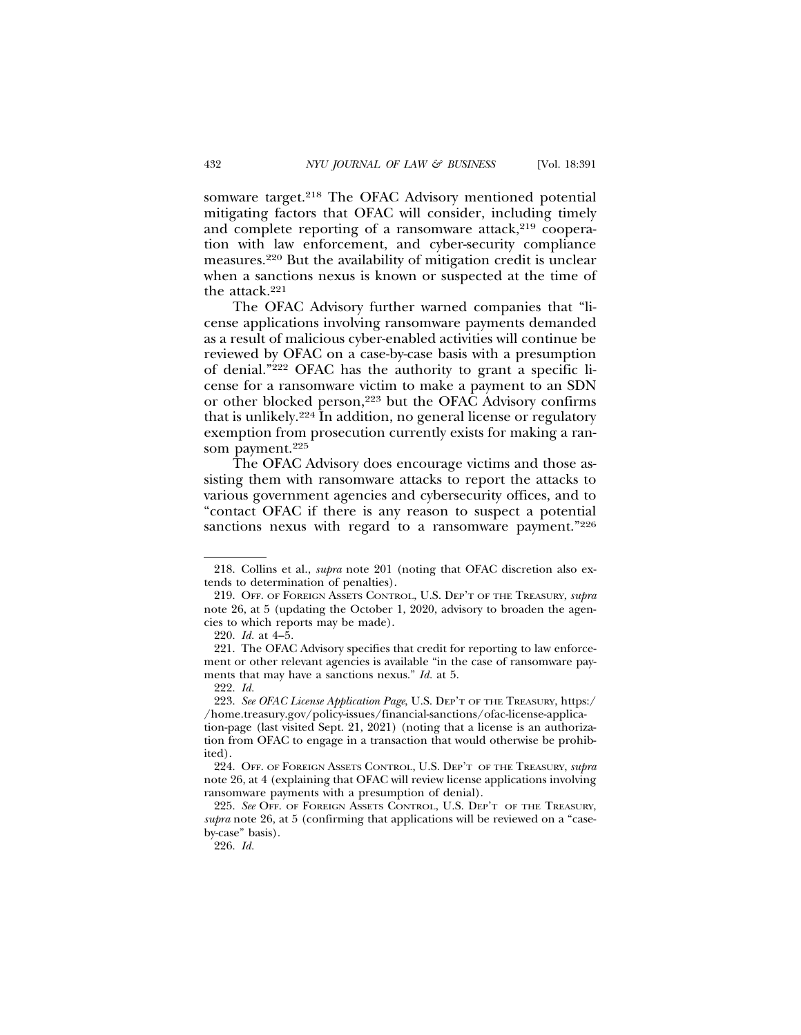somware target.<sup>218</sup> The OFAC Advisory mentioned potential mitigating factors that OFAC will consider, including timely and complete reporting of a ransomware attack, $2^{19}$  cooperation with law enforcement, and cyber-security compliance measures.220 But the availability of mitigation credit is unclear when a sanctions nexus is known or suspected at the time of the attack.<sup>221</sup>

The OFAC Advisory further warned companies that "license applications involving ransomware payments demanded as a result of malicious cyber-enabled activities will continue be reviewed by OFAC on a case-by-case basis with a presumption of denial."222 OFAC has the authority to grant a specific license for a ransomware victim to make a payment to an SDN or other blocked person,223 but the OFAC Advisory confirms that is unlikely.224 In addition, no general license or regulatory exemption from prosecution currently exists for making a ransom payment.<sup>225</sup>

The OFAC Advisory does encourage victims and those assisting them with ransomware attacks to report the attacks to various government agencies and cybersecurity offices, and to "contact OFAC if there is any reason to suspect a potential sanctions nexus with regard to a ransomware payment."226

<sup>218.</sup> Collins et al., *supra* note 201 (noting that OFAC discretion also extends to determination of penalties).

<sup>219.</sup> OFF. OF FOREIGN ASSETS CONTROL, U.S. DEP'T OF THE TREASURY, *supra* note 26, at 5 (updating the October 1, 2020, advisory to broaden the agencies to which reports may be made).

<sup>220.</sup> *Id.* at 4–5.

<sup>221.</sup> The OFAC Advisory specifies that credit for reporting to law enforcement or other relevant agencies is available "in the case of ransomware payments that may have a sanctions nexus." *Id.* at 5.

<sup>222.</sup> *Id.*

<sup>223.</sup> *See OFAC License Application Page*, U.S. DEP'T OF THE TREASURY, https:/ /home.treasury.gov/policy-issues/financial-sanctions/ofac-license-applica-

tion-page (last visited Sept. 21, 2021) (noting that a license is an authorization from OFAC to engage in a transaction that would otherwise be prohibited).

<sup>224.</sup> OFF. OF FOREIGN ASSETS CONTROL, U.S. DEP'T OF THE TREASURY, *supra* note 26, at 4 (explaining that OFAC will review license applications involving ransomware payments with a presumption of denial).

<sup>225.</sup> *See* OFF. OF FOREIGN ASSETS CONTROL, U.S. DEP'T OF THE TREASURY, *supra* note 26, at 5 (confirming that applications will be reviewed on a "caseby-case" basis).

<sup>226.</sup> *Id.*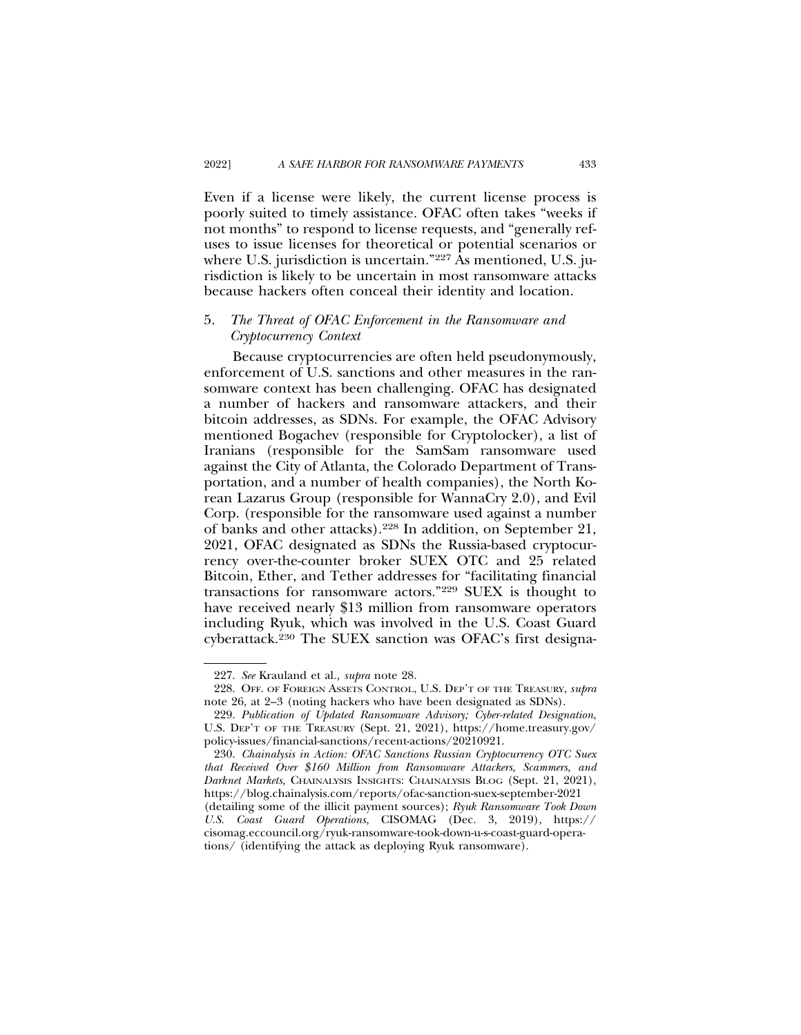Even if a license were likely, the current license process is poorly suited to timely assistance. OFAC often takes "weeks if not months" to respond to license requests, and "generally refuses to issue licenses for theoretical or potential scenarios or where U.S. jurisdiction is uncertain."<sup>227</sup> As mentioned, U.S. jurisdiction is likely to be uncertain in most ransomware attacks because hackers often conceal their identity and location.

### 5. *The Threat of OFAC Enforcement in the Ransomware and Cryptocurrency Context*

Because cryptocurrencies are often held pseudonymously, enforcement of U.S. sanctions and other measures in the ransomware context has been challenging. OFAC has designated a number of hackers and ransomware attackers, and their bitcoin addresses, as SDNs. For example, the OFAC Advisory mentioned Bogachev (responsible for Cryptolocker), a list of Iranians (responsible for the SamSam ransomware used against the City of Atlanta, the Colorado Department of Transportation, and a number of health companies), the North Korean Lazarus Group (responsible for WannaCry 2.0), and Evil Corp. (responsible for the ransomware used against a number of banks and other attacks).228 In addition, on September 21, 2021, OFAC designated as SDNs the Russia-based cryptocurrency over-the-counter broker SUEX OTC and 25 related Bitcoin, Ether, and Tether addresses for "facilitating financial transactions for ransomware actors."229 SUEX is thought to have received nearly \$13 million from ransomware operators including Ryuk, which was involved in the U.S. Coast Guard cyberattack.230 The SUEX sanction was OFAC's first designa-

<sup>227.</sup> *See* Krauland et al., *supra* note 28.

<sup>228.</sup> OFF. OF FOREIGN ASSETS CONTROL, U.S. DEP'T OF THE TREASURY, *supra* note 26, at 2–3 (noting hackers who have been designated as SDNs).

<sup>229.</sup> *Publication of Updated Ransomware Advisory; Cyber-related Designation*, U.S. DEP'T OF THE TREASURY (Sept. 21, 2021), https://home.treasury.gov/ policy-issues/financial-sanctions/recent-actions/20210921.

<sup>230.</sup> *Chainalysis in Action: OFAC Sanctions Russian Cryptocurrency OTC Suex that Received Over \$160 Million from Ransomware Attackers, Scammers, and Darknet Markets,* CHAINALYSIS INSIGHTS: CHAINALYSIS BLOG (Sept. 21, 2021), https://blog.chainalysis.com/reports/ofac-sanction-suex-september-2021 (detailing some of the illicit payment sources); *Ryuk Ransomware Took Down U.S. Coast Guard Operations,* CISOMAG (Dec. 3, 2019), https:// cisomag.eccouncil.org/ryuk-ransomware-took-down-u-s-coast-guard-operations/ (identifying the attack as deploying Ryuk ransomware).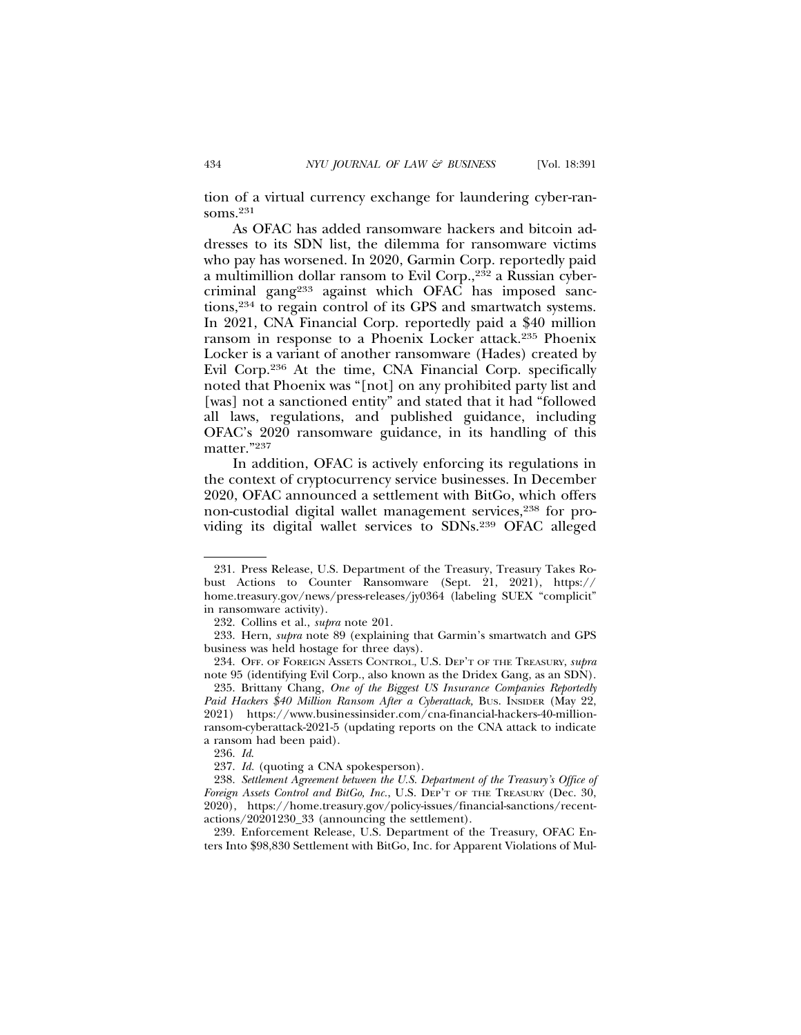tion of a virtual currency exchange for laundering cyber-ransoms.231

As OFAC has added ransomware hackers and bitcoin addresses to its SDN list, the dilemma for ransomware victims who pay has worsened. In 2020, Garmin Corp. reportedly paid a multimillion dollar ransom to Evil Corp.,232 a Russian cybercriminal gang233 against which OFAC has imposed sanctions,234 to regain control of its GPS and smartwatch systems. In 2021, CNA Financial Corp. reportedly paid a \$40 million ransom in response to a Phoenix Locker attack.235 Phoenix Locker is a variant of another ransomware (Hades) created by Evil Corp.236 At the time, CNA Financial Corp. specifically noted that Phoenix was "[not] on any prohibited party list and [was] not a sanctioned entity" and stated that it had "followed all laws, regulations, and published guidance, including OFAC's 2020 ransomware guidance, in its handling of this matter."237

In addition, OFAC is actively enforcing its regulations in the context of cryptocurrency service businesses. In December 2020, OFAC announced a settlement with BitGo, which offers non-custodial digital wallet management services,<sup>238</sup> for providing its digital wallet services to SDNs.239 OFAC alleged

239. Enforcement Release, U.S. Department of the Treasury, OFAC Enters Into \$98,830 Settlement with BitGo, Inc. for Apparent Violations of Mul-

<sup>231.</sup> Press Release, U.S. Department of the Treasury, Treasury Takes Robust Actions to Counter Ransomware (Sept. 21, 2021), https:// home.treasury.gov/news/press-releases/jy0364 (labeling SUEX "complicit" in ransomware activity).

<sup>232.</sup> Collins et al., *supra* note 201.

<sup>233.</sup> Hern, *supra* note 89 (explaining that Garmin's smartwatch and GPS business was held hostage for three days).

<sup>234.</sup> OFF. OF FOREIGN ASSETS CONTROL, U.S. DEP'T OF THE TREASURY, *supra* note 95 (identifying Evil Corp., also known as the Dridex Gang, as an SDN).

<sup>235.</sup> Brittany Chang, *One of the Biggest US Insurance Companies Reportedly Paid Hackers \$40 Million Ransom After a Cyberattack,* BUS. INSIDER (May 22, 2021) https://www.businessinsider.com/cna-financial-hackers-40-millionransom-cyberattack-2021-5 (updating reports on the CNA attack to indicate a ransom had been paid).

<sup>236.</sup> *Id*.

<sup>237.</sup> *Id.* (quoting a CNA spokesperson).

<sup>238.</sup> *Settlement Agreement between the U.S. Department of the Treasury's Office of Foreign Assets Control and BitGo, Inc.*, U.S. DEP'T OF THE TREASURY (Dec. 30, 2020), https://home.treasury.gov/policy-issues/financial-sanctions/recentactions/20201230\_33 (announcing the settlement).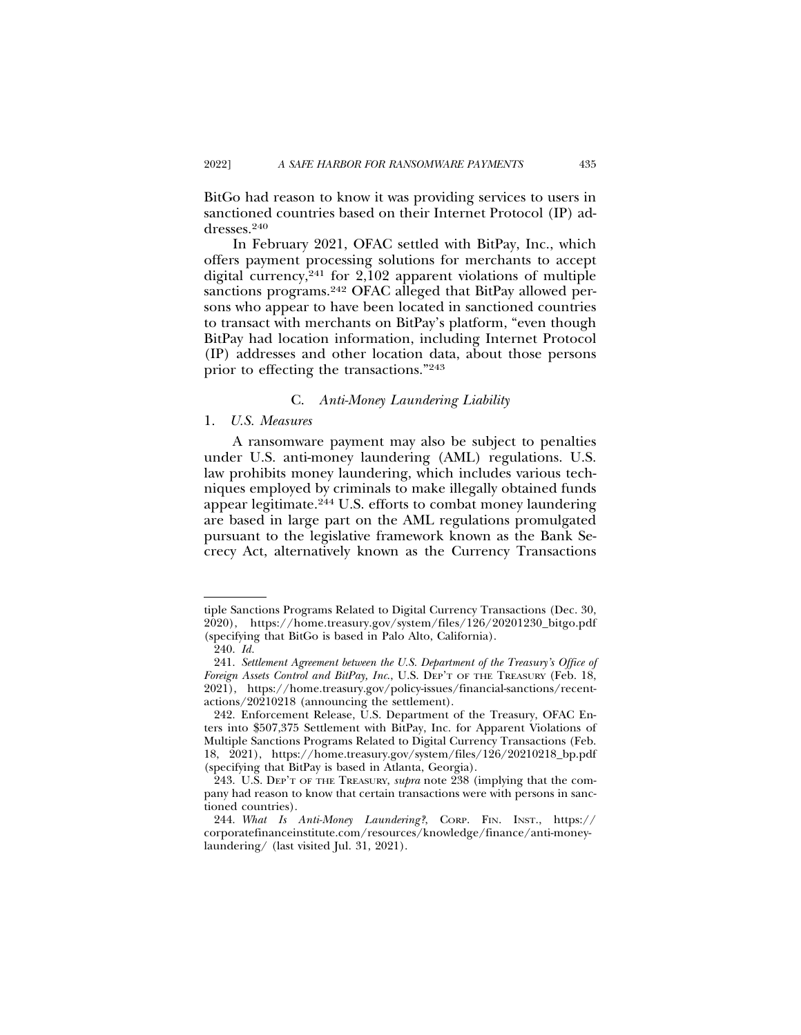BitGo had reason to know it was providing services to users in sanctioned countries based on their Internet Protocol (IP) addresses.240

In February 2021, OFAC settled with BitPay, Inc., which offers payment processing solutions for merchants to accept digital currency,241 for 2,102 apparent violations of multiple sanctions programs.<sup>242</sup> OFAC alleged that BitPay allowed persons who appear to have been located in sanctioned countries to transact with merchants on BitPay's platform, "even though BitPay had location information, including Internet Protocol (IP) addresses and other location data, about those persons prior to effecting the transactions."243

#### C. *Anti-Money Laundering Liability*

### 1. *U.S. Measures*

A ransomware payment may also be subject to penalties under U.S. anti-money laundering (AML) regulations. U.S. law prohibits money laundering, which includes various techniques employed by criminals to make illegally obtained funds appear legitimate.244 U.S. efforts to combat money laundering are based in large part on the AML regulations promulgated pursuant to the legislative framework known as the Bank Secrecy Act, alternatively known as the Currency Transactions

tiple Sanctions Programs Related to Digital Currency Transactions (Dec. 30, 2020), https://home.treasury.gov/system/files/126/20201230\_bitgo.pdf (specifying that BitGo is based in Palo Alto, California).

<sup>240.</sup> *Id.*

<sup>241.</sup> *Settlement Agreement between the U.S. Department of the Treasury's Office of Foreign Assets Control and BitPay, Inc*., U.S. DEP'T OF THE TREASURY (Feb. 18, 2021), https://home.treasury.gov/policy-issues/financial-sanctions/recentactions/20210218 (announcing the settlement).

<sup>242.</sup> Enforcement Release, U.S. Department of the Treasury, OFAC Enters into \$507,375 Settlement with BitPay, Inc. for Apparent Violations of Multiple Sanctions Programs Related to Digital Currency Transactions (Feb. 18, 2021), https://home.treasury.gov/system/files/126/20210218\_bp.pdf (specifying that BitPay is based in Atlanta, Georgia).

<sup>243.</sup> U.S. DEP'T OF THE TREASURY, *supra* note 238 (implying that the company had reason to know that certain transactions were with persons in sanctioned countries).

<sup>244.</sup> *What Is Anti-Money Laundering?*, CORP. FIN. INST., https:// corporatefinanceinstitute.com/resources/knowledge/finance/anti-moneylaundering/ (last visited Jul. 31, 2021).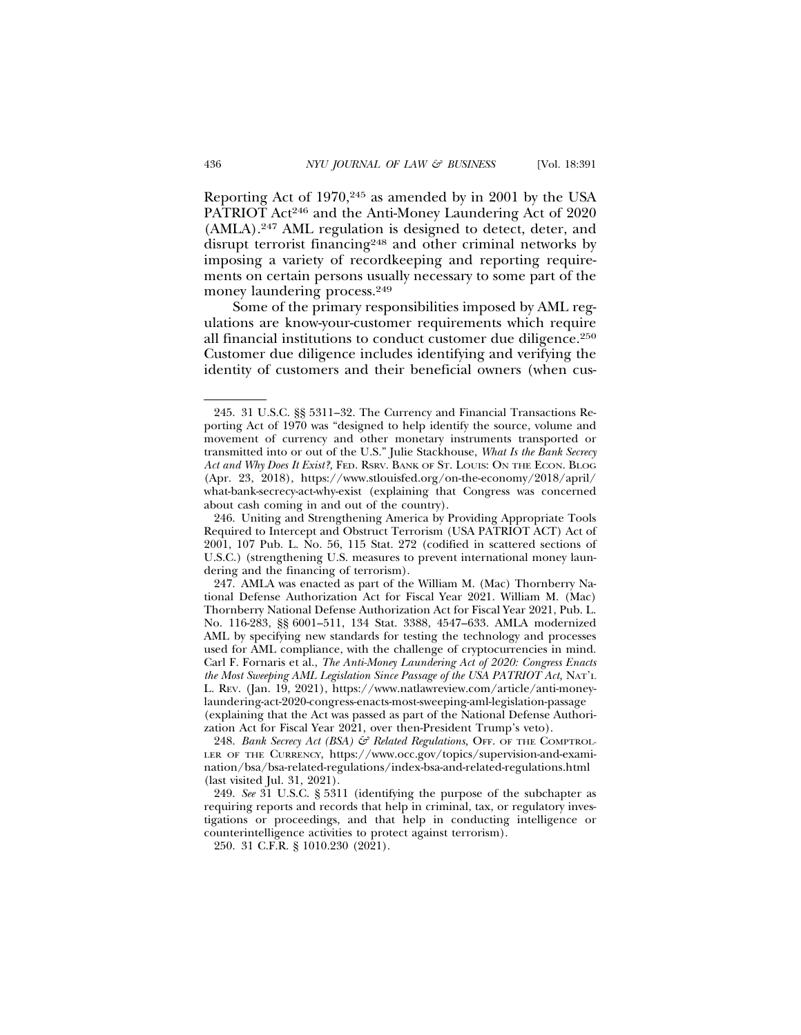Reporting Act of 1970,245 as amended by in 2001 by the USA PATRIOT Act<sup>246</sup> and the Anti-Money Laundering Act of 2020 (AMLA).247 AML regulation is designed to detect, deter, and disrupt terrorist financing248 and other criminal networks by imposing a variety of recordkeeping and reporting requirements on certain persons usually necessary to some part of the money laundering process.<sup>249</sup>

Some of the primary responsibilities imposed by AML regulations are know-your-customer requirements which require all financial institutions to conduct customer due diligence.250 Customer due diligence includes identifying and verifying the identity of customers and their beneficial owners (when cus-

250. 31 C.F.R. § 1010.230 (2021).

<sup>245. 31</sup> U.S.C. §§ 5311–32. The Currency and Financial Transactions Reporting Act of 1970 was "designed to help identify the source, volume and movement of currency and other monetary instruments transported or transmitted into or out of the U.S." Julie Stackhouse, *What Is the Bank Secrecy Act and Why Does It Exist?,* FED. RSRV. BANK OF ST. LOUIS: ON THE ECON. BLOG (Apr. 23, 2018), https://www.stlouisfed.org/on-the-economy/2018/april/ what-bank-secrecy-act-why-exist (explaining that Congress was concerned about cash coming in and out of the country).

<sup>246.</sup> Uniting and Strengthening America by Providing Appropriate Tools Required to Intercept and Obstruct Terrorism (USA PATRIOT ACT) Act of 2001, 107 Pub. L. No. 56, 115 Stat. 272 (codified in scattered sections of U.S.C.) (strengthening U.S. measures to prevent international money laundering and the financing of terrorism).

<sup>247.</sup> AMLA was enacted as part of the William M. (Mac) Thornberry National Defense Authorization Act for Fiscal Year 2021. William M. (Mac) Thornberry National Defense Authorization Act for Fiscal Year 2021, Pub. L. No. 116-283, §§ 6001–511, 134 Stat. 3388, 4547–633. AMLA modernized AML by specifying new standards for testing the technology and processes used for AML compliance, with the challenge of cryptocurrencies in mind. Carl F. Fornaris et al., *The Anti-Money Laundering Act of 2020: Congress Enacts the Most Sweeping AML Legislation Since Passage of the USA PATRIOT Act,* NAT'L L. REV. (Jan. 19, 2021), https://www.natlawreview.com/article/anti-moneylaundering-act-2020-congress-enacts-most-sweeping-aml-legislation-passage (explaining that the Act was passed as part of the National Defense Authorization Act for Fiscal Year 2021, over then-President Trump's veto).

<sup>248.</sup> *Bank Secrecy Act (BSA) & Related Regulations, OFF. OF THE COMPTROL-*LER OF THE CURRENCY, https://www.occ.gov/topics/supervision-and-examination/bsa/bsa-related-regulations/index-bsa-and-related-regulations.html (last visited Jul. 31, 2021).

<sup>249.</sup> *See* 31 U.S.C. § 5311 (identifying the purpose of the subchapter as requiring reports and records that help in criminal, tax, or regulatory investigations or proceedings, and that help in conducting intelligence or counterintelligence activities to protect against terrorism).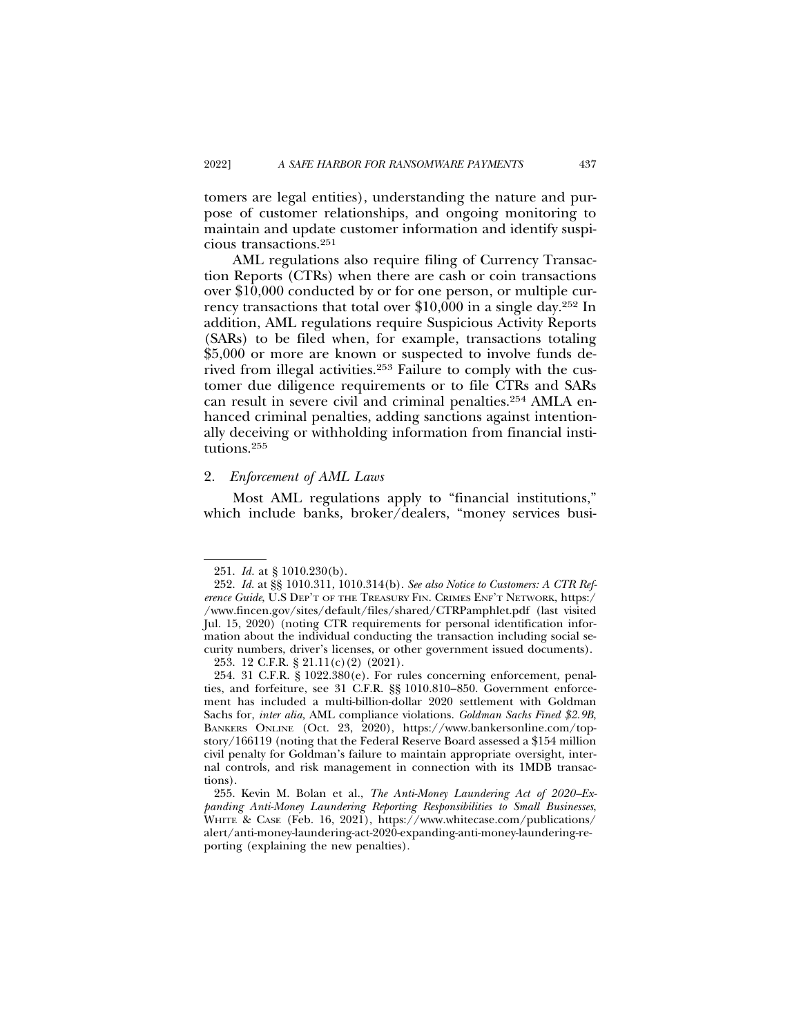tomers are legal entities), understanding the nature and purpose of customer relationships, and ongoing monitoring to maintain and update customer information and identify suspicious transactions.251

AML regulations also require filing of Currency Transaction Reports (CTRs) when there are cash or coin transactions over \$10,000 conducted by or for one person, or multiple currency transactions that total over \$10,000 in a single day.252 In addition, AML regulations require Suspicious Activity Reports (SARs) to be filed when, for example, transactions totaling \$5,000 or more are known or suspected to involve funds derived from illegal activities.253 Failure to comply with the customer due diligence requirements or to file CTRs and SARs can result in severe civil and criminal penalties.254 AMLA enhanced criminal penalties, adding sanctions against intentionally deceiving or withholding information from financial institutions.255

#### 2. *Enforcement of AML Laws*

Most AML regulations apply to "financial institutions," which include banks, broker/dealers, "money services busi-

<sup>251.</sup> *Id.* at § 1010.230(b).

<sup>252.</sup> *Id.* at §§ 1010.311, 1010.314(b). *See also Notice to Customers: A CTR Reference Guide*, U.S DEP'T OF THE TREASURY FIN. CRIMES ENF'T NETWORK, https:/ /www.fincen.gov/sites/default/files/shared/CTRPamphlet.pdf (last visited Jul. 15, 2020) (noting CTR requirements for personal identification information about the individual conducting the transaction including social security numbers, driver's licenses, or other government issued documents).

<sup>253. 12</sup> C.F.R. § 21.11(c)(2) (2021).

<sup>254. 31</sup> C.F.R. § 1022.380(e). For rules concerning enforcement, penalties, and forfeiture, see 31 C.F.R. §§ 1010.810–850. Government enforcement has included a multi-billion-dollar 2020 settlement with Goldman Sachs for, *inter alia,* AML compliance violations. *Goldman Sachs Fined \$2.9B*, BANKERS ONLINE (Oct. 23, 2020), https://www.bankersonline.com/topstory/166119 (noting that the Federal Reserve Board assessed a \$154 million civil penalty for Goldman's failure to maintain appropriate oversight, internal controls, and risk management in connection with its 1MDB transactions).

<sup>255.</sup> Kevin M. Bolan et al., *The Anti-Money Laundering Act of 2020–Expanding Anti-Money Laundering Reporting Responsibilities to Small Businesses*, WHITE & CASE (Feb. 16, 2021), https://www.whitecase.com/publications/ alert/anti-money-laundering-act-2020-expanding-anti-money-laundering-reporting (explaining the new penalties).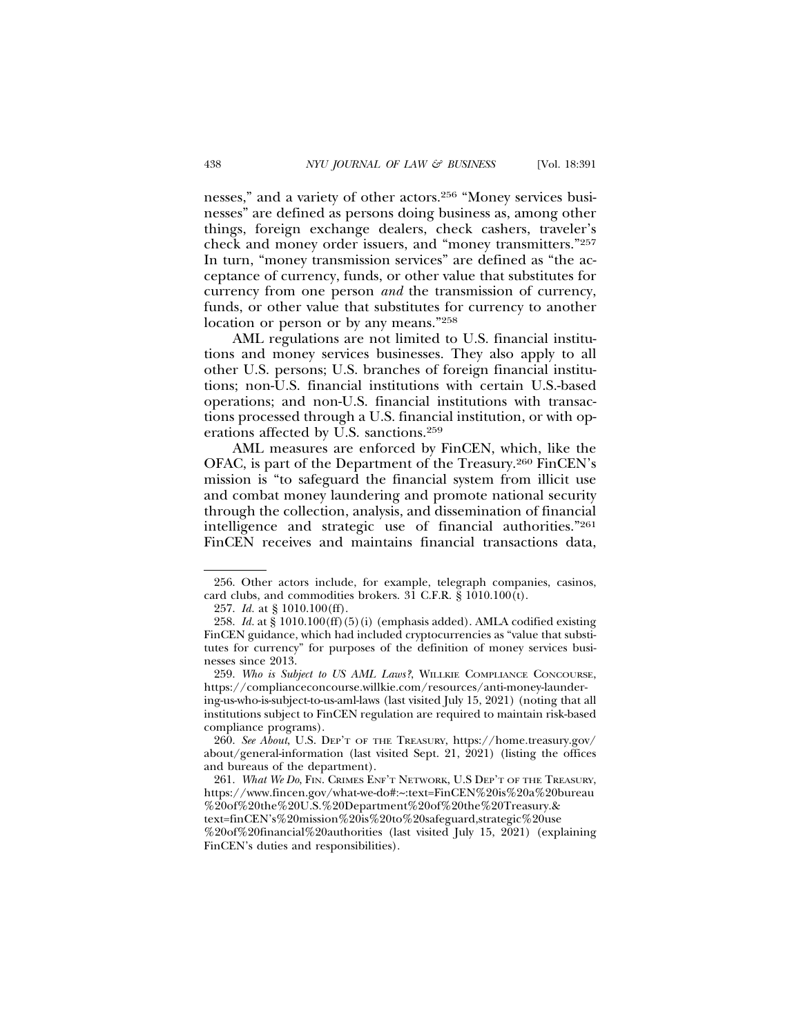nesses," and a variety of other actors.256 "Money services businesses" are defined as persons doing business as, among other things, foreign exchange dealers, check cashers, traveler's check and money order issuers, and "money transmitters."257 In turn, "money transmission services" are defined as "the acceptance of currency, funds, or other value that substitutes for currency from one person *and* the transmission of currency, funds, or other value that substitutes for currency to another location or person or by any means."258

AML regulations are not limited to U.S. financial institutions and money services businesses. They also apply to all other U.S. persons; U.S. branches of foreign financial institutions; non-U.S. financial institutions with certain U.S.-based operations; and non-U.S. financial institutions with transactions processed through a U.S. financial institution, or with operations affected by U.S. sanctions.259

AML measures are enforced by FinCEN, which, like the OFAC, is part of the Department of the Treasury.260 FinCEN's mission is "to safeguard the financial system from illicit use and combat money laundering and promote national security through the collection, analysis, and dissemination of financial intelligence and strategic use of financial authorities."261 FinCEN receives and maintains financial transactions data,

<sup>256.</sup> Other actors include, for example, telegraph companies, casinos, card clubs, and commodities brokers.  $3\overline{1}$  C.F.R.  $\overline{8}$   $1010.100(t)$ .

<sup>257.</sup> *Id.* at § 1010.100(ff).

<sup>258.</sup> *Id.* at § 1010.100(ff)(5)(i) (emphasis added). AMLA codified existing FinCEN guidance, which had included cryptocurrencies as "value that substitutes for currency" for purposes of the definition of money services businesses since 2013.

<sup>259.</sup> *Who is Subject to US AML Laws?*, WILLKIE COMPLIANCE CONCOURSE, https://complianceconcourse.willkie.com/resources/anti-money-laundering-us-who-is-subject-to-us-aml-laws (last visited July 15, 2021) (noting that all institutions subject to FinCEN regulation are required to maintain risk-based compliance programs).

<sup>260.</sup> *See About*, U.S. DEP'T OF THE TREASURY, https://home.treasury.gov/ about/general-information (last visited Sept. 21, 2021) (listing the offices and bureaus of the department).

<sup>261.</sup> *What We Do*, FIN. CRIMES ENF'T NETWORK, U.S DEP'T OF THE TREASURY, https://www.fincen.gov/what-we-do#:~:text=FinCEN%20is%20a%20bureau %20of%20the%20U.S.%20Department%20of%20the%20Treasury.& text=finCEN's%20mission%20is%20to%20safeguard,strategic%20use %20of%20financial%20authorities (last visited July 15, 2021) (explaining FinCEN's duties and responsibilities).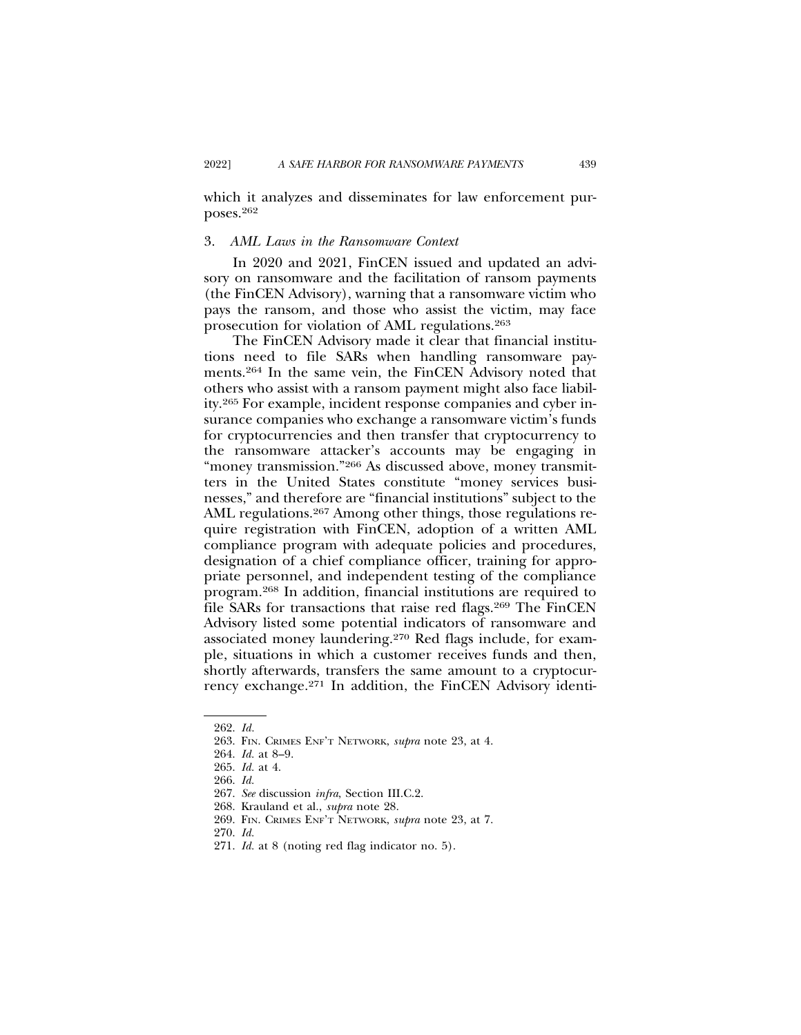which it analyzes and disseminates for law enforcement purposes.262

#### 3. *AML Laws in the Ransomware Context*

In 2020 and 2021, FinCEN issued and updated an advisory on ransomware and the facilitation of ransom payments (the FinCEN Advisory), warning that a ransomware victim who pays the ransom, and those who assist the victim, may face prosecution for violation of AML regulations.263

The FinCEN Advisory made it clear that financial institutions need to file SARs when handling ransomware payments.264 In the same vein, the FinCEN Advisory noted that others who assist with a ransom payment might also face liability.265 For example, incident response companies and cyber insurance companies who exchange a ransomware victim's funds for cryptocurrencies and then transfer that cryptocurrency to the ransomware attacker's accounts may be engaging in "money transmission."266 As discussed above, money transmitters in the United States constitute "money services businesses," and therefore are "financial institutions" subject to the AML regulations.<sup>267</sup> Among other things, those regulations require registration with FinCEN, adoption of a written AML compliance program with adequate policies and procedures, designation of a chief compliance officer, training for appropriate personnel, and independent testing of the compliance program.268 In addition, financial institutions are required to file SARs for transactions that raise red flags.269 The FinCEN Advisory listed some potential indicators of ransomware and associated money laundering.270 Red flags include, for example, situations in which a customer receives funds and then, shortly afterwards, transfers the same amount to a cryptocurrency exchange.271 In addition, the FinCEN Advisory identi-

<sup>262.</sup> *Id.*

<sup>263.</sup> FIN. CRIMES ENF'T NETWORK, *supra* note 23, at 4.

<sup>264.</sup> *Id.* at 8–9.

<sup>265.</sup> *Id.* at 4.

<sup>266.</sup> *Id.*

<sup>267.</sup> *See* discussion *infra*, Section III.C.2.

<sup>268.</sup> Krauland et al., *supra* note 28.

<sup>269.</sup> FIN. CRIMES ENF'T NETWORK, *supra* note 23, at 7.

<sup>270.</sup> *Id.*

<sup>271.</sup> *Id.* at 8 (noting red flag indicator no. 5).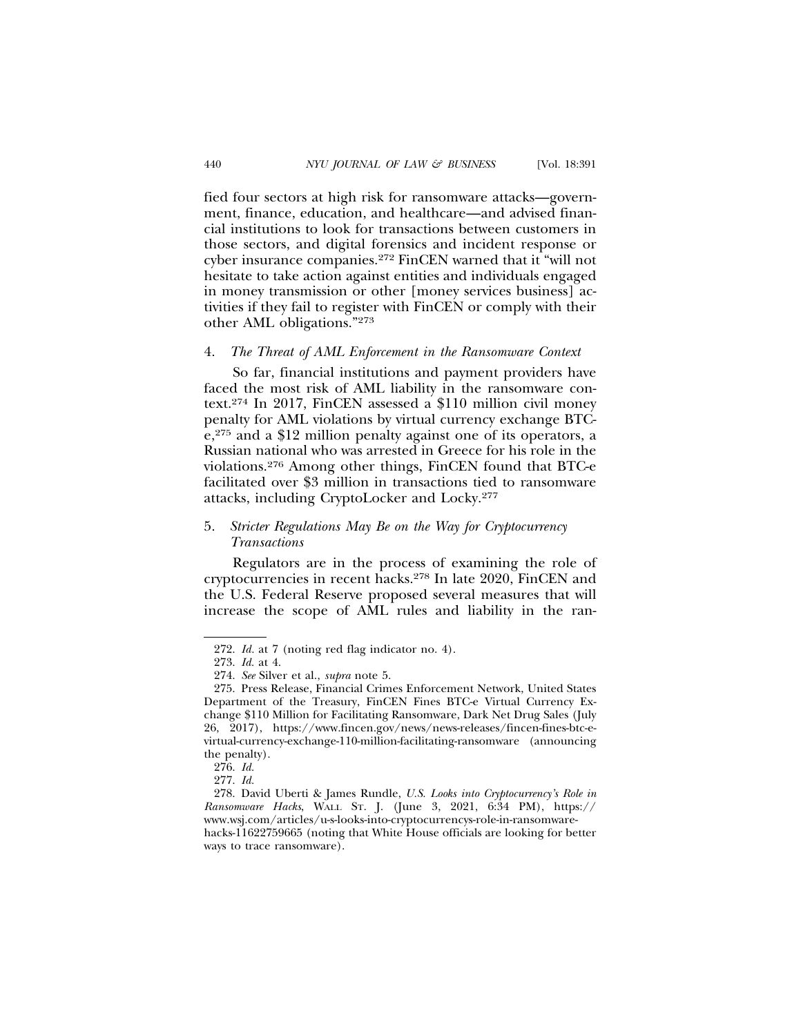fied four sectors at high risk for ransomware attacks—government, finance, education, and healthcare—and advised financial institutions to look for transactions between customers in those sectors, and digital forensics and incident response or cyber insurance companies.272 FinCEN warned that it "will not hesitate to take action against entities and individuals engaged in money transmission or other [money services business] activities if they fail to register with FinCEN or comply with their other AML obligations."273

#### 4. *The Threat of AML Enforcement in the Ransomware Context*

So far, financial institutions and payment providers have faced the most risk of AML liability in the ransomware context.274 In 2017, FinCEN assessed a \$110 million civil money penalty for AML violations by virtual currency exchange BTCe,275 and a \$12 million penalty against one of its operators, a Russian national who was arrested in Greece for his role in the violations.276 Among other things, FinCEN found that BTC-e facilitated over \$3 million in transactions tied to ransomware attacks, including CryptoLocker and Locky.277

# 5. *Stricter Regulations May Be on the Way for Cryptocurrency Transactions*

Regulators are in the process of examining the role of cryptocurrencies in recent hacks.278 In late 2020, FinCEN and the U.S. Federal Reserve proposed several measures that will increase the scope of AML rules and liability in the ran-

<sup>272.</sup> *Id.* at 7 (noting red flag indicator no. 4).

<sup>273.</sup> *Id.* at 4.

<sup>274.</sup> *See* Silver et al., *supra* note 5.

<sup>275.</sup> Press Release, Financial Crimes Enforcement Network, United States Department of the Treasury, FinCEN Fines BTC-e Virtual Currency Exchange \$110 Million for Facilitating Ransomware, Dark Net Drug Sales (July 26, 2017), https://www.fincen.gov/news/news-releases/fincen-fines-btc-evirtual-currency-exchange-110-million-facilitating-ransomware (announcing the penalty).

<sup>276.</sup> *Id.*

<sup>277.</sup> *Id.*

<sup>278.</sup> David Uberti & James Rundle, *U.S. Looks into Cryptocurrency's Role in Ransomware Hacks*, WALL ST. J. (June 3, 2021, 6:34 PM), https:// www.wsj.com/articles/u-s-looks-into-cryptocurrencys-role-in-ransomwarehacks-11622759665 (noting that White House officials are looking for better ways to trace ransomware).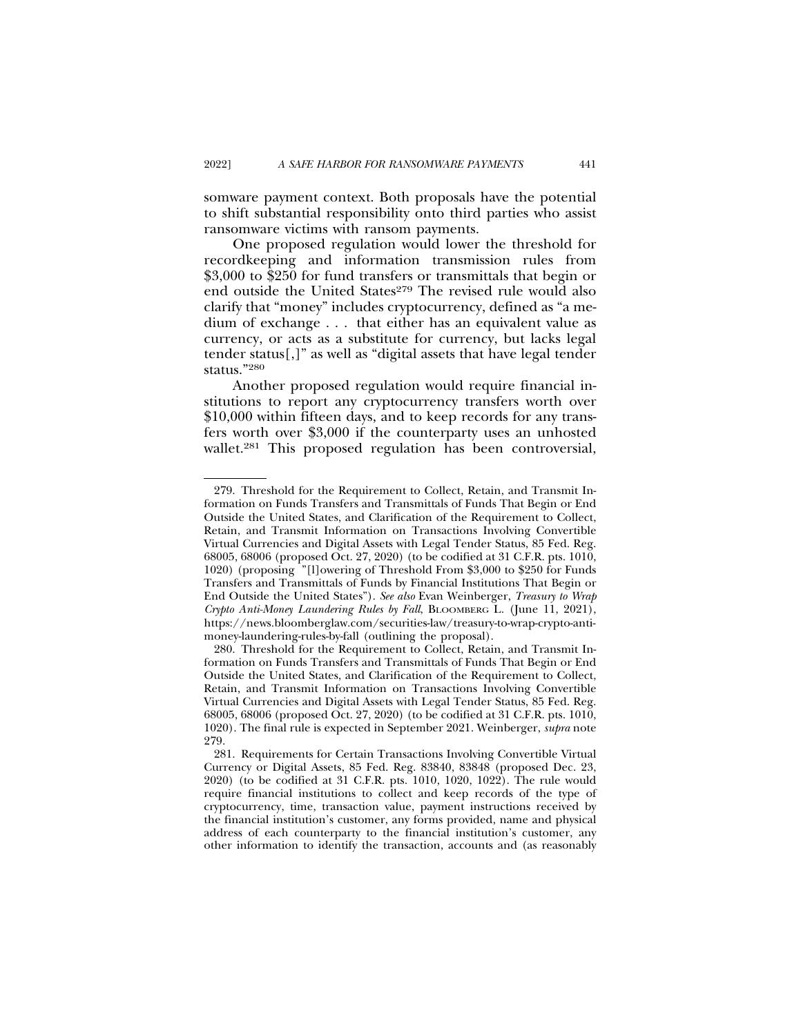somware payment context. Both proposals have the potential to shift substantial responsibility onto third parties who assist ransomware victims with ransom payments.

One proposed regulation would lower the threshold for recordkeeping and information transmission rules from \$3,000 to \$250 for fund transfers or transmittals that begin or end outside the United States<sup>279</sup> The revised rule would also clarify that "money" includes cryptocurrency, defined as "a medium of exchange . . . that either has an equivalent value as currency, or acts as a substitute for currency, but lacks legal tender status[,]" as well as "digital assets that have legal tender status."280

Another proposed regulation would require financial institutions to report any cryptocurrency transfers worth over \$10,000 within fifteen days, and to keep records for any transfers worth over \$3,000 if the counterparty uses an unhosted wallet.<sup>281</sup> This proposed regulation has been controversial,

<sup>279.</sup> Threshold for the Requirement to Collect, Retain, and Transmit Information on Funds Transfers and Transmittals of Funds That Begin or End Outside the United States, and Clarification of the Requirement to Collect, Retain, and Transmit Information on Transactions Involving Convertible Virtual Currencies and Digital Assets with Legal Tender Status, 85 Fed. Reg. 68005, 68006 (proposed Oct. 27, 2020) (to be codified at 31 C.F.R. pts. 1010, 1020) (proposing "[l]owering of Threshold From \$3,000 to \$250 for Funds Transfers and Transmittals of Funds by Financial Institutions That Begin or End Outside the United States"). *See also* Evan Weinberger, *Treasury to Wrap Crypto Anti-Money Laundering Rules by Fall*, BLOOMBERG L. (June 11, 2021), https://news.bloomberglaw.com/securities-law/treasury-to-wrap-crypto-antimoney-laundering-rules-by-fall (outlining the proposal).

<sup>280.</sup> Threshold for the Requirement to Collect, Retain, and Transmit Information on Funds Transfers and Transmittals of Funds That Begin or End Outside the United States, and Clarification of the Requirement to Collect, Retain, and Transmit Information on Transactions Involving Convertible Virtual Currencies and Digital Assets with Legal Tender Status, 85 Fed. Reg. 68005, 68006 (proposed Oct. 27, 2020) (to be codified at 31 C.F.R. pts. 1010, 1020). The final rule is expected in September 2021. Weinberger, *supra* note 279.

<sup>281.</sup> Requirements for Certain Transactions Involving Convertible Virtual Currency or Digital Assets, 85 Fed. Reg. 83840, 83848 (proposed Dec. 23, 2020) (to be codified at 31 C.F.R. pts. 1010, 1020, 1022). The rule would require financial institutions to collect and keep records of the type of cryptocurrency, time, transaction value, payment instructions received by the financial institution's customer, any forms provided, name and physical address of each counterparty to the financial institution's customer, any other information to identify the transaction, accounts and (as reasonably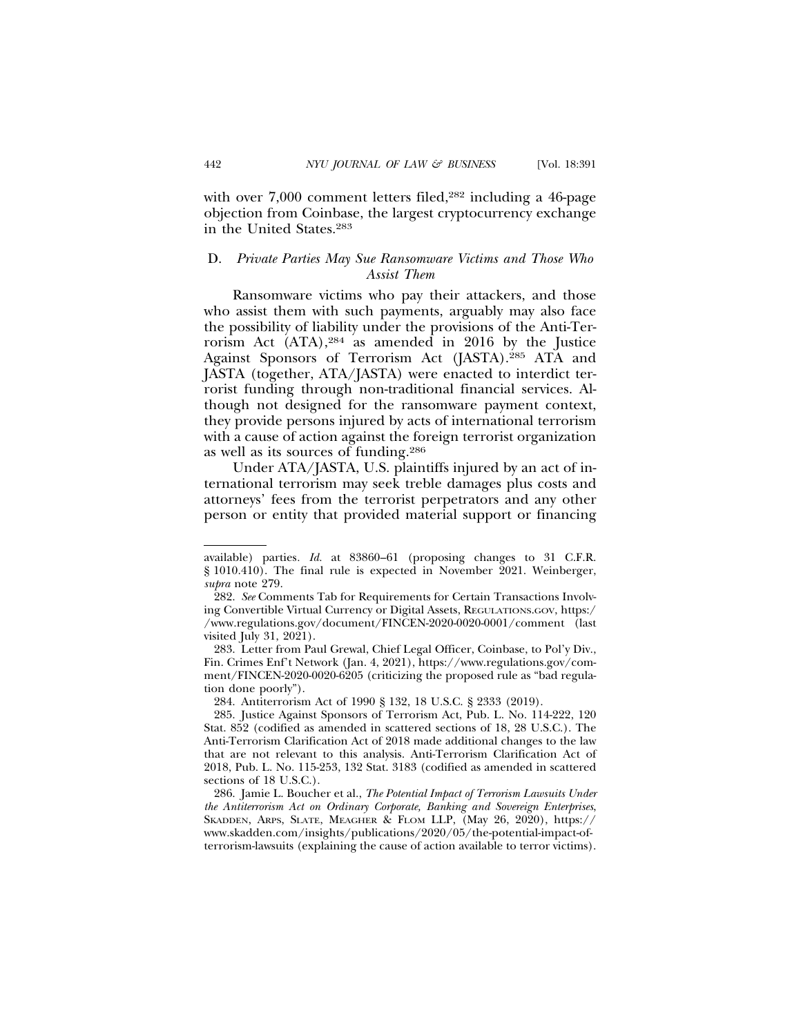with over 7,000 comment letters filed,<sup>282</sup> including a 46-page objection from Coinbase, the largest cryptocurrency exchange in the United States.283

# D. *Private Parties May Sue Ransomware Victims and Those Who Assist Them*

Ransomware victims who pay their attackers, and those who assist them with such payments, arguably may also face the possibility of liability under the provisions of the Anti-Terrorism Act (ATA),284 as amended in 2016 by the Justice Against Sponsors of Terrorism Act (JASTA).285 ATA and JASTA (together, ATA/JASTA) were enacted to interdict terrorist funding through non-traditional financial services. Although not designed for the ransomware payment context, they provide persons injured by acts of international terrorism with a cause of action against the foreign terrorist organization as well as its sources of funding.286

Under ATA/JASTA, U.S. plaintiffs injured by an act of international terrorism may seek treble damages plus costs and attorneys' fees from the terrorist perpetrators and any other person or entity that provided material support or financing

available) parties*. Id.* at 83860–61 (proposing changes to 31 C.F.R. § 1010.410). The final rule is expected in November 2021. Weinberger, *supra* note 279.

<sup>282.</sup> *See* Comments Tab for Requirements for Certain Transactions Involving Convertible Virtual Currency or Digital Assets, REGULATIONS.GOV, https:/ /www.regulations.gov/document/FINCEN-2020-0020-0001/comment (last visited July 31, 2021).

<sup>283.</sup> Letter from Paul Grewal, Chief Legal Officer, Coinbase, to Pol'y Div., Fin. Crimes Enf't Network (Jan. 4, 2021), https://www.regulations.gov/comment/FINCEN-2020-0020-6205 (criticizing the proposed rule as "bad regulation done poorly").

<sup>284.</sup> Antiterrorism Act of 1990 § 132, 18 U.S.C. § 2333 (2019).

<sup>285.</sup> Justice Against Sponsors of Terrorism Act, Pub. L. No. 114-222, 120 Stat. 852 (codified as amended in scattered sections of 18, 28 U.S.C.). The Anti-Terrorism Clarification Act of 2018 made additional changes to the law that are not relevant to this analysis. Anti-Terrorism Clarification Act of 2018, Pub. L. No. 115-253, 132 Stat. 3183 (codified as amended in scattered sections of 18 U.S.C.).

<sup>286.</sup> Jamie L. Boucher et al., *The Potential Impact of Terrorism Lawsuits Under the Antiterrorism Act on Ordinary Corporate, Banking and Sovereign Enterprises*, SKADDEN, ARPS, SLATE, MEAGHER & FLOM LLP, (May 26, 2020), https:// www.skadden.com/insights/publications/2020/05/the-potential-impact-ofterrorism-lawsuits (explaining the cause of action available to terror victims).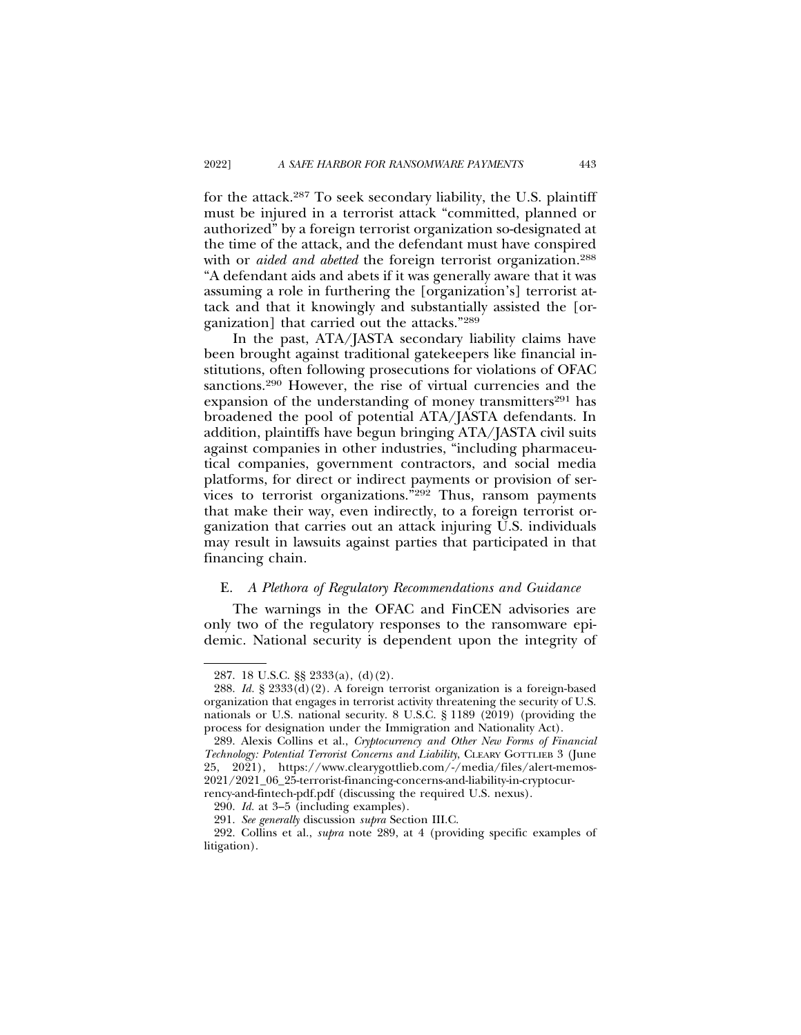for the attack.287 To seek secondary liability, the U.S. plaintiff must be injured in a terrorist attack "committed, planned or authorized" by a foreign terrorist organization so-designated at the time of the attack, and the defendant must have conspired with or *aided and abetted* the foreign terrorist organization.<sup>288</sup> "A defendant aids and abets if it was generally aware that it was assuming a role in furthering the [organization's] terrorist attack and that it knowingly and substantially assisted the [organization] that carried out the attacks."289

In the past, ATA/JASTA secondary liability claims have been brought against traditional gatekeepers like financial institutions, often following prosecutions for violations of OFAC sanctions.<sup>290</sup> However, the rise of virtual currencies and the expansion of the understanding of money transmitters<sup>291</sup> has broadened the pool of potential ATA/JASTA defendants. In addition, plaintiffs have begun bringing ATA/JASTA civil suits against companies in other industries, "including pharmaceutical companies, government contractors, and social media platforms, for direct or indirect payments or provision of services to terrorist organizations."292 Thus, ransom payments that make their way, even indirectly, to a foreign terrorist organization that carries out an attack injuring U.S. individuals may result in lawsuits against parties that participated in that financing chain.

### E. *A Plethora of Regulatory Recommendations and Guidance*

The warnings in the OFAC and FinCEN advisories are only two of the regulatory responses to the ransomware epidemic. National security is dependent upon the integrity of

<sup>287. 18</sup> U.S.C. §§ 2333(a), (d)(2).

<sup>288.</sup> *Id.* § 2333(d)(2). A foreign terrorist organization is a foreign-based organization that engages in terrorist activity threatening the security of U.S. nationals or U.S. national security. 8 U.S.C. § 1189 (2019) (providing the process for designation under the Immigration and Nationality Act).

<sup>289.</sup> Alexis Collins et al., *Cryptocurrency and Other New Forms of Financial Technology: Potential Terrorist Concerns and Liability*, CLEARY GOTTLIEB 3 (June 25, 2021), https://www.clearygottlieb.com/-/media/files/alert-memos-2021/2021\_06\_25-terrorist-financing-concerns-and-liability-in-cryptocurrency-and-fintech-pdf.pdf (discussing the required U.S. nexus).

<sup>290.</sup> *Id.* at 3–5 (including examples).

<sup>291.</sup> *See generally* discussion *supra* Section III.C.

<sup>292.</sup> Collins et al., *supra* note 289, at 4 (providing specific examples of litigation).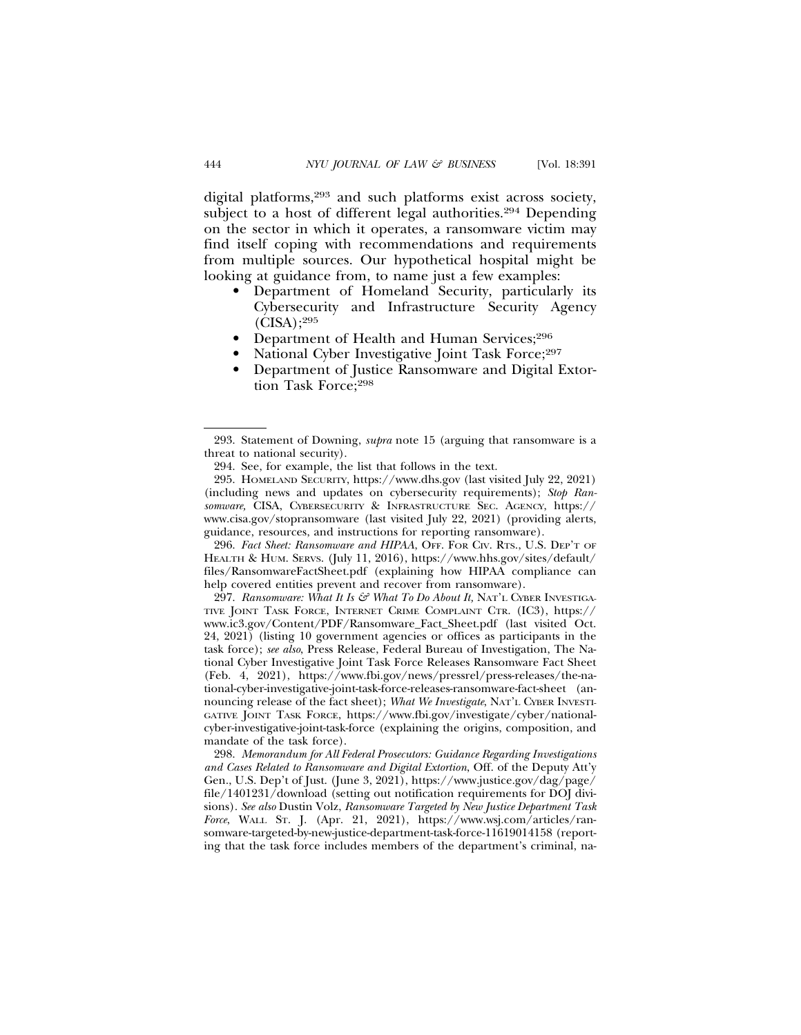digital platforms,293 and such platforms exist across society, subject to a host of different legal authorities.<sup>294</sup> Depending on the sector in which it operates, a ransomware victim may find itself coping with recommendations and requirements from multiple sources. Our hypothetical hospital might be looking at guidance from, to name just a few examples:

- Department of Homeland Security, particularly its Cybersecurity and Infrastructure Security Agency  $(CISA);^{295}$
- Department of Health and Human Services;296
- National Cyber Investigative Joint Task Force;<sup>297</sup>
- Department of Justice Ransomware and Digital Extortion Task Force;298

296. Fact Sheet: Ransomware and HIPAA, OFF. FOR CIV. RTS., U.S. DEP'T OF HEALTH & HUM. SERVS. (July 11, 2016), https://www.hhs.gov/sites/default/ files/RansomwareFactSheet.pdf (explaining how HIPAA compliance can help covered entities prevent and recover from ransomware).

297. Ransomware: What It Is & What To Do About It, NAT'L CYBER INVESTIGA-TIVE JOINT TASK FORCE, INTERNET CRIME COMPLAINT CTR. (IC3), https:// www.ic3.gov/Content/PDF/Ransomware\_Fact\_Sheet.pdf (last visited Oct. 24, 2021) (listing 10 government agencies or offices as participants in the task force); *see also*, Press Release, Federal Bureau of Investigation, The National Cyber Investigative Joint Task Force Releases Ransomware Fact Sheet (Feb. 4, 2021), https://www.fbi.gov/news/pressrel/press-releases/the-national-cyber-investigative-joint-task-force-releases-ransomware-fact-sheet (announcing release of the fact sheet); *What We Investigate*, NAT'L CYBER INVESTI-GATIVE JOINT TASK FORCE, https://www.fbi.gov/investigate/cyber/nationalcyber-investigative-joint-task-force (explaining the origins, composition, and mandate of the task force).

298. *Memorandum for All Federal Prosecutors: Guidance Regarding Investigations and Cases Related to Ransomware and Digital Extortion*, Off. of the Deputy Att'y Gen., U.S. Dep't of Just. (June 3, 2021), https://www.justice.gov/dag/page/ file/1401231/download (setting out notification requirements for DOJ divisions). *See also* Dustin Volz, *Ransomware Targeted by New Justice Department Task Force*, WALL ST. J. (Apr. 21, 2021), https://www.wsj.com/articles/ransomware-targeted-by-new-justice-department-task-force-11619014158 (reporting that the task force includes members of the department's criminal, na-

<sup>293.</sup> Statement of Downing, *supra* note 15 (arguing that ransomware is a threat to national security).

<sup>294.</sup> See, for example, the list that follows in the text.

<sup>295.</sup> HOMELAND SECURITY, https://www.dhs.gov (last visited July 22, 2021) (including news and updates on cybersecurity requirements); *Stop Ransomware,* CISA, CYBERSECURITY & INFRASTRUCTURE SEC. AGENCY, https:// www.cisa.gov/stopransomware (last visited July 22, 2021) (providing alerts, guidance, resources, and instructions for reporting ransomware).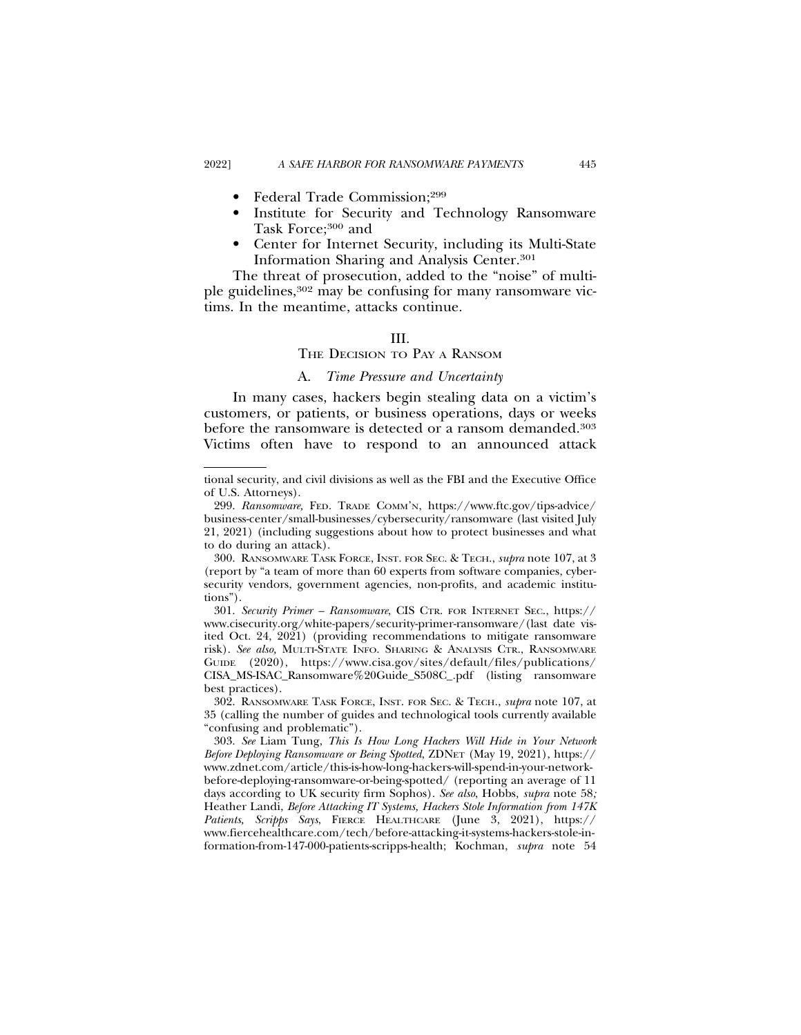- Federal Trade Commission;299
- Institute for Security and Technology Ransomware Task Force;<sup>300</sup> and
- Center for Internet Security, including its Multi-State Information Sharing and Analysis Center.301

The threat of prosecution, added to the "noise" of multiple guidelines,302 may be confusing for many ransomware victims. In the meantime, attacks continue.

#### III.

# THE DECISION TO PAY A RANSOM

# A. *Time Pressure and Uncertainty*

In many cases, hackers begin stealing data on a victim's customers, or patients, or business operations, days or weeks before the ransomware is detected or a ransom demanded.303 Victims often have to respond to an announced attack

tional security, and civil divisions as well as the FBI and the Executive Office of U.S. Attorneys).

<sup>299.</sup> *Ransomware,* FED. TRADE COMM'N, https://www.ftc.gov/tips-advice/ business-center/small-businesses/cybersecurity/ransomware (last visited July 21, 2021) (including suggestions about how to protect businesses and what to do during an attack).

<sup>300.</sup> RANSOMWARE TASK FORCE, INST. FOR SEC. & TECH., *supra* note 107, at 3 (report by "a team of more than 60 experts from software companies, cybersecurity vendors, government agencies, non-profits, and academic institutions").

<sup>301.</sup> *Security Primer – Ransomware*, CIS CTR. FOR INTERNET SEC., https:// www.cisecurity.org/white-papers/security-primer-ransomware/(last date visited Oct. 24, 2021) (providing recommendations to mitigate ransomware risk). *See also,* MULTI-STATE INFO. SHARING & ANALYSIS CTR., RANSOMWARE GUIDE (2020), https://www.cisa.gov/sites/default/files/publications/ CISA\_MS-ISAC\_Ransomware%20Guide\_S508C\_.pdf (listing ransomware best practices).

<sup>302.</sup> RANSOMWARE TASK FORCE, INST. FOR SEC. & TECH., *supra* note 107, at 35 (calling the number of guides and technological tools currently available "confusing and problematic").

<sup>303.</sup> *See* Liam Tung, *This Is How Long Hackers Will Hide in Your Network Before Deploying Ransomware or Being Spotted*, ZDNET (May 19, 2021), https:// www.zdnet.com/article/this-is-how-long-hackers-will-spend-in-your-networkbefore-deploying-ransomware-or-being-spotted/ (reporting an average of 11 days according to UK security firm Sophos). *See also*, Hobbs*, supra* note 58*;* Heather Landi, *Before Attacking IT Systems, Hackers Stole Information from 147K Patients, Scripps Says*, FIERCE HEALTHCARE (June 3, 2021), https:// www.fiercehealthcare.com/tech/before-attacking-it-systems-hackers-stole-information-from-147-000-patients-scripps-health; Kochman, *supra* note 54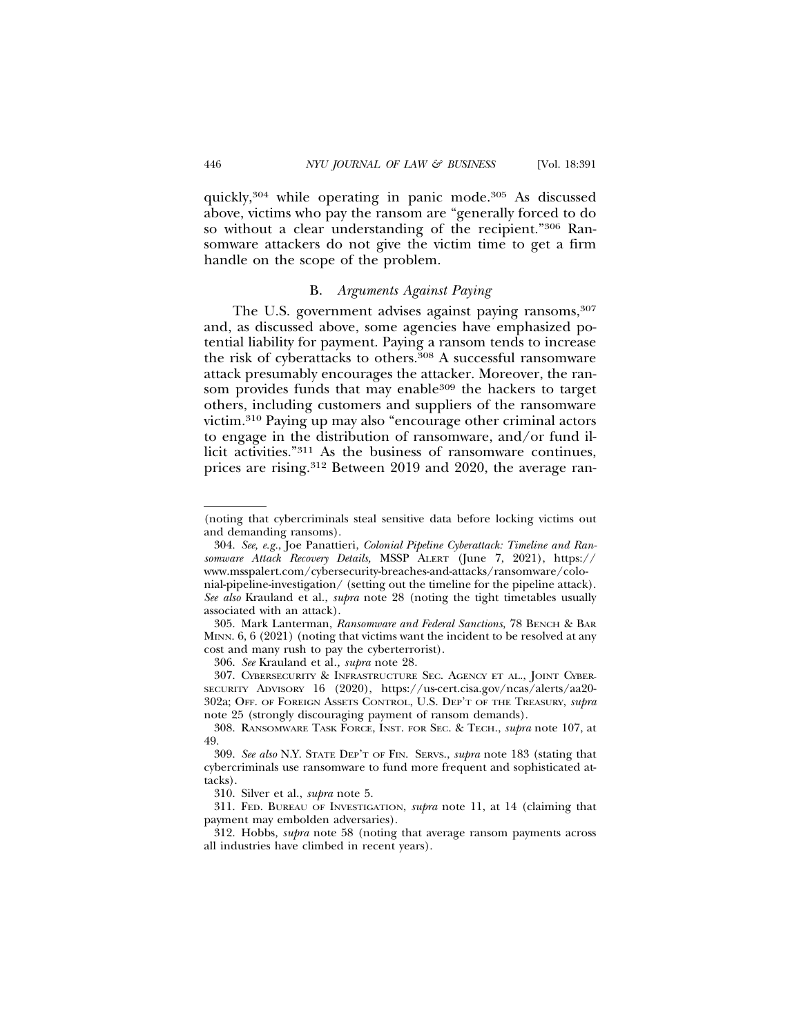quickly,304 while operating in panic mode.305 As discussed above, victims who pay the ransom are "generally forced to do so without a clear understanding of the recipient."306 Ransomware attackers do not give the victim time to get a firm handle on the scope of the problem.

#### B. *Arguments Against Paying*

The U.S. government advises against paying ransoms, 307 and, as discussed above, some agencies have emphasized potential liability for payment. Paying a ransom tends to increase the risk of cyberattacks to others.308 A successful ransomware attack presumably encourages the attacker. Moreover, the ransom provides funds that may enable<sup>309</sup> the hackers to target others, including customers and suppliers of the ransomware victim.310 Paying up may also "encourage other criminal actors to engage in the distribution of ransomware, and/or fund illicit activities."311 As the business of ransomware continues, prices are rising.312 Between 2019 and 2020, the average ran-

306. *See* Krauland et al*., supra* note 28*.*

<sup>(</sup>noting that cybercriminals steal sensitive data before locking victims out and demanding ransoms).

<sup>304.</sup> *See, e.g.*, Joe Panattieri, *Colonial Pipeline Cyberattack: Timeline and Ransomware Attack Recovery Details,* MSSP ALERT (June 7, 2021), https:// www.msspalert.com/cybersecurity-breaches-and-attacks/ransomware/colonial-pipeline-investigation/ (setting out the timeline for the pipeline attack). *See also* Krauland et al., *supra* note 28 (noting the tight timetables usually associated with an attack).

<sup>305.</sup> Mark Lanterman, *Ransomware and Federal Sanctions,* 78 BENCH & BAR MINN. 6, 6 (2021) (noting that victims want the incident to be resolved at any cost and many rush to pay the cyberterrorist).

<sup>307.</sup> CYBERSECURITY & INFRASTRUCTURE SEC. AGENCY ET AL., JOINT CYBER-SECURITY ADVISORY 16 (2020), https://us-cert.cisa.gov/ncas/alerts/aa20- 302a; OFF. OF FOREIGN ASSETS CONTROL, U.S. DEP'T OF THE TREASURY, *supra* note 25 (strongly discouraging payment of ransom demands).

<sup>308.</sup> RANSOMWARE TASK FORCE, INST. FOR SEC. & TECH., *supra* note 107, at 49.

<sup>309.</sup> *See also* N.Y. STATE DEP'T OF FIN. SERVS., *supra* note 183 (stating that cybercriminals use ransomware to fund more frequent and sophisticated attacks).

<sup>310.</sup> Silver et al., *supra* note 5.

<sup>311.</sup> FED. BUREAU OF INVESTIGATION, *supra* note 11, at 14 (claiming that payment may embolden adversaries).

<sup>312.</sup> Hobbs*, supra* note 58 (noting that average ransom payments across all industries have climbed in recent years).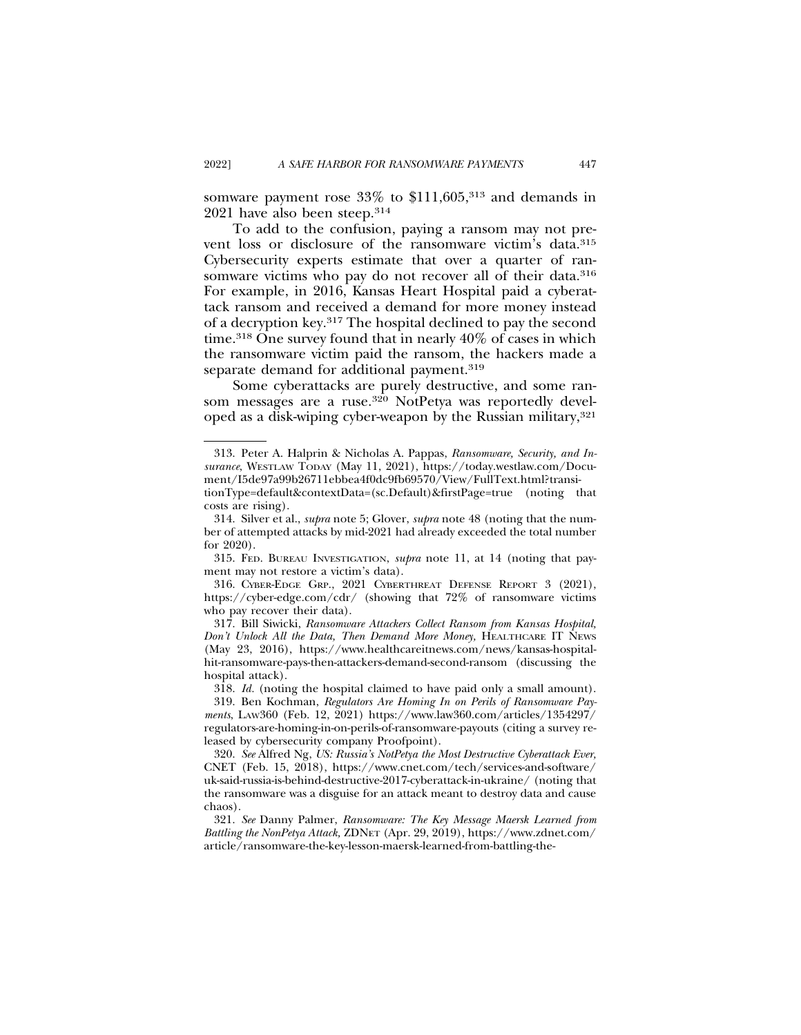somware payment rose  $33\%$  to \$111,605,<sup>313</sup> and demands in 2021 have also been steep.314

To add to the confusion, paying a ransom may not prevent loss or disclosure of the ransomware victim's data.315 Cybersecurity experts estimate that over a quarter of ransomware victims who pay do not recover all of their data.<sup>316</sup> For example, in 2016, Kansas Heart Hospital paid a cyberattack ransom and received a demand for more money instead of a decryption key.317 The hospital declined to pay the second time.318 One survey found that in nearly 40% of cases in which the ransomware victim paid the ransom, the hackers made a separate demand for additional payment.<sup>319</sup>

Some cyberattacks are purely destructive, and some ransom messages are a ruse.320 NotPetya was reportedly developed as a disk-wiping cyber-weapon by the Russian military,<sup>321</sup>

<sup>313.</sup> Peter A. Halprin & Nicholas A. Pappas, *Ransomware, Security, and In*surance, WESTLAW TODAY (May 11, 2021), https://today.westlaw.com/Document/I5de97a99b26711ebbea4f0dc9fb69570/View/FullText.html?transitionType=default&contextData=(sc.Default)&firstPage=true (noting that costs are rising).

<sup>314.</sup> Silver et al., *supra* note 5; Glover, *supra* note 48 (noting that the number of attempted attacks by mid-2021 had already exceeded the total number for 2020).

<sup>315.</sup> FED. BUREAU INVESTIGATION, *supra* note 11, at 14 (noting that payment may not restore a victim's data).

<sup>316.</sup> CYBER-EDGE GRP., 2021 CYBERTHREAT DEFENSE REPORT 3 (2021), https://cyber-edge.com/cdr/ (showing that 72% of ransomware victims who pay recover their data).

<sup>317.</sup> Bill Siwicki, *Ransomware Attackers Collect Ransom from Kansas Hospital, Don't Unlock All the Data, Then Demand More Money,* HEALTHCARE IT NEWS (May 23, 2016), https://www.healthcareitnews.com/news/kansas-hospitalhit-ransomware-pays-then-attackers-demand-second-ransom (discussing the hospital attack).

<sup>318.</sup> *Id.* (noting the hospital claimed to have paid only a small amount).

<sup>319.</sup> Ben Kochman, *Regulators Are Homing In on Perils of Ransomware Payments*, LAW360 (Feb. 12, 2021) https://www.law360.com/articles/1354297/ regulators-are-homing-in-on-perils-of-ransomware-payouts (citing a survey released by cybersecurity company Proofpoint).

<sup>320.</sup> *See* Alfred Ng, *US: Russia's NotPetya the Most Destructive Cyberattack Ever,* CNET (Feb. 15, 2018), https://www.cnet.com/tech/services-and-software/ uk-said-russia-is-behind-destructive-2017-cyberattack-in-ukraine/ (noting that the ransomware was a disguise for an attack meant to destroy data and cause chaos).

<sup>321.</sup> *See* Danny Palmer, *Ransomware: The Key Message Maersk Learned from Battling the NonPetya Attack,* ZDNET (Apr. 29, 2019), https://www.zdnet.com/ article/ransomware-the-key-lesson-maersk-learned-from-battling-the-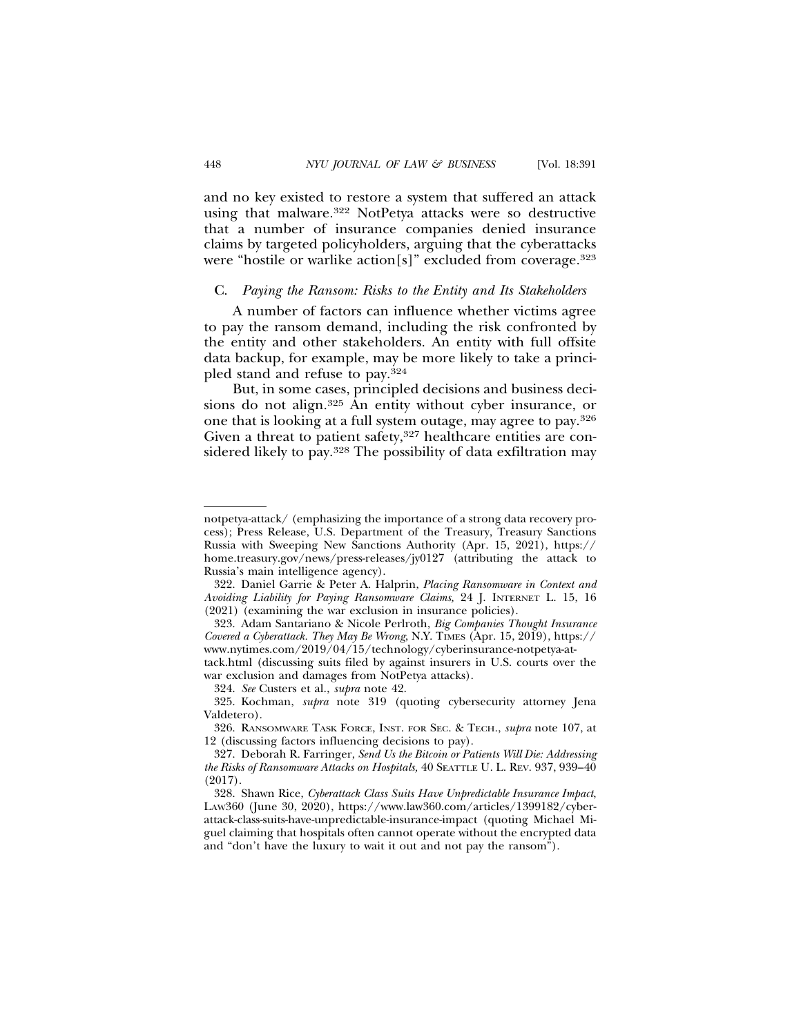and no key existed to restore a system that suffered an attack using that malware.322 NotPetya attacks were so destructive that a number of insurance companies denied insurance claims by targeted policyholders, arguing that the cyberattacks were "hostile or warlike action[s]" excluded from coverage.<sup>323</sup>

#### C. *Paying the Ransom: Risks to the Entity and Its Stakeholders*

A number of factors can influence whether victims agree to pay the ransom demand, including the risk confronted by the entity and other stakeholders. An entity with full offsite data backup, for example, may be more likely to take a principled stand and refuse to pay.324

But, in some cases, principled decisions and business decisions do not align.325 An entity without cyber insurance, or one that is looking at a full system outage, may agree to pay.326 Given a threat to patient safety,<sup>327</sup> healthcare entities are considered likely to pay.328 The possibility of data exfiltration may

notpetya-attack/ (emphasizing the importance of a strong data recovery process); Press Release, U.S. Department of the Treasury, Treasury Sanctions Russia with Sweeping New Sanctions Authority (Apr. 15, 2021), https:// home.treasury.gov/news/press-releases/jy0127 (attributing the attack to Russia's main intelligence agency).

<sup>322.</sup> Daniel Garrie & Peter A. Halprin, *Placing Ransomware in Context and Avoiding Liability for Paying Ransomware Claims,* 24 J. INTERNET L. 15, 16 (2021) (examining the war exclusion in insurance policies).

<sup>323.</sup> Adam Santariano & Nicole Perlroth, *Big Companies Thought Insurance Covered a Cyberattack. They May Be Wrong*, N.Y. TIMES (Apr. 15, 2019), https:// www.nytimes.com/2019/04/15/technology/cyberinsurance-notpetya-at-

tack.html (discussing suits filed by against insurers in U.S. courts over the war exclusion and damages from NotPetya attacks).

<sup>324.</sup> *See* Custers et al., *supra* note 42.

<sup>325.</sup> Kochman, *supra* note 319 (quoting cybersecurity attorney Jena Valdetero).

<sup>326.</sup> RANSOMWARE TASK FORCE, INST. FOR SEC. & TECH., *supra* note 107, at 12 (discussing factors influencing decisions to pay).

<sup>327.</sup> Deborah R. Farringer, *Send Us the Bitcoin or Patients Will Die: Addressing the Risks of Ransomware Attacks on Hospitals,* 40 SEATTLE U. L. REV. 937, 939–40 (2017).

<sup>328.</sup> Shawn Rice, *Cyberattack Class Suits Have Unpredictable Insurance Impact*, LAW360 (June 30, 2020), https://www.law360.com/articles/1399182/cyberattack-class-suits-have-unpredictable-insurance-impact (quoting Michael Miguel claiming that hospitals often cannot operate without the encrypted data and "don't have the luxury to wait it out and not pay the ransom").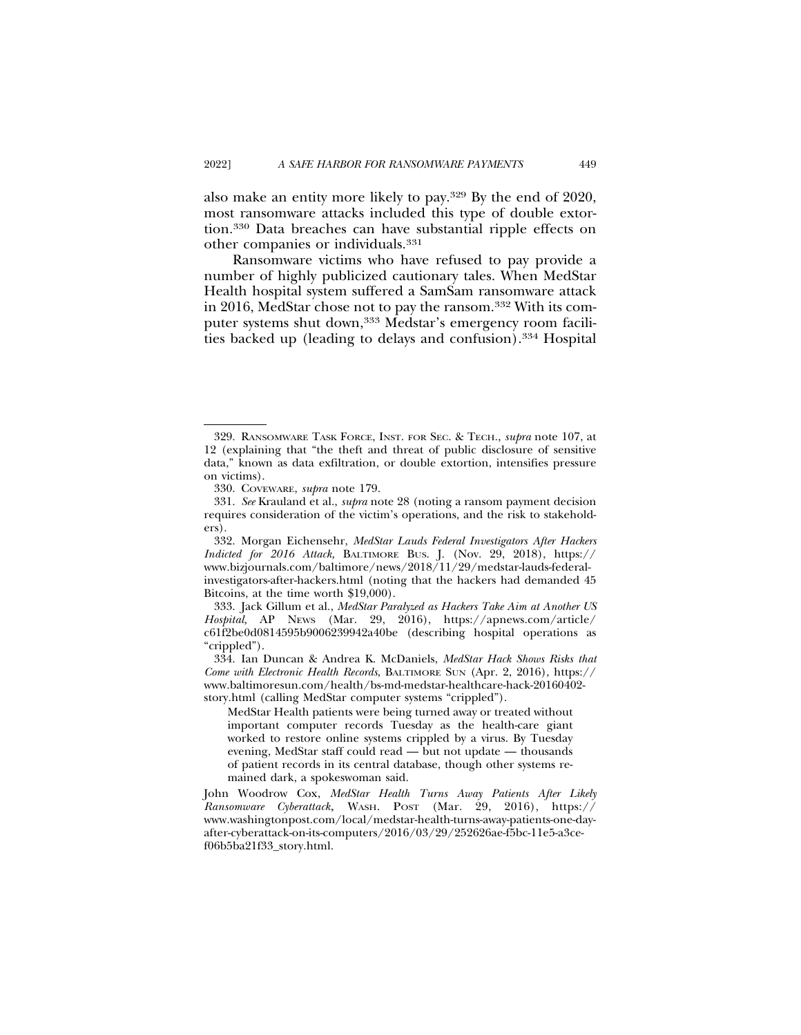also make an entity more likely to pay.329 By the end of 2020, most ransomware attacks included this type of double extortion.330 Data breaches can have substantial ripple effects on other companies or individuals.331

Ransomware victims who have refused to pay provide a number of highly publicized cautionary tales. When MedStar Health hospital system suffered a SamSam ransomware attack in 2016, MedStar chose not to pay the ransom.332 With its computer systems shut down,<sup>333</sup> Medstar's emergency room facilities backed up (leading to delays and confusion).334 Hospital

<sup>329.</sup> RANSOMWARE TASK FORCE, INST. FOR SEC. & TECH., *supra* note 107, at 12 (explaining that "the theft and threat of public disclosure of sensitive data," known as data exfiltration, or double extortion, intensifies pressure on victims).

<sup>330.</sup> COVEWARE, *supra* note 179.

<sup>331.</sup> *See* Krauland et al., *supra* note 28 (noting a ransom payment decision requires consideration of the victim's operations, and the risk to stakeholders).

<sup>332.</sup> Morgan Eichensehr, *MedStar Lauds Federal Investigators After Hackers Indicted for 2016 Attack,* BALTIMORE BUS. J. (Nov. 29, 2018), https:// www.bizjournals.com/baltimore/news/2018/11/29/medstar-lauds-federalinvestigators-after-hackers.html (noting that the hackers had demanded 45 Bitcoins, at the time worth \$19,000).

<sup>333.</sup> Jack Gillum et al., *MedStar Paralyzed as Hackers Take Aim at Another US Hospital,* AP NEWS (Mar. 29, 2016), https://apnews.com/article/ c61f2be0d0814595b9006239942a40be (describing hospital operations as "crippled").

<sup>334.</sup> Ian Duncan & Andrea K. McDaniels, *MedStar Hack Shows Risks that Come with Electronic Health Records*, BALTIMORE SUN (Apr. 2, 2016), https:// www.baltimoresun.com/health/bs-md-medstar-healthcare-hack-20160402 story.html (calling MedStar computer systems "crippled").

MedStar Health patients were being turned away or treated without important computer records Tuesday as the health-care giant worked to restore online systems crippled by a virus. By Tuesday evening, MedStar staff could read — but not update — thousands of patient records in its central database, though other systems remained dark, a spokeswoman said.

John Woodrow Cox, *MedStar Health Turns Away Patients After Likely Ransomware Cyberattack*, WASH. POST (Mar. 29, 2016), https:// www.washingtonpost.com/local/medstar-health-turns-away-patients-one-dayafter-cyberattack-on-its-computers/2016/03/29/252626ae-f5bc-11e5-a3cef06b5ba21f33\_story.html.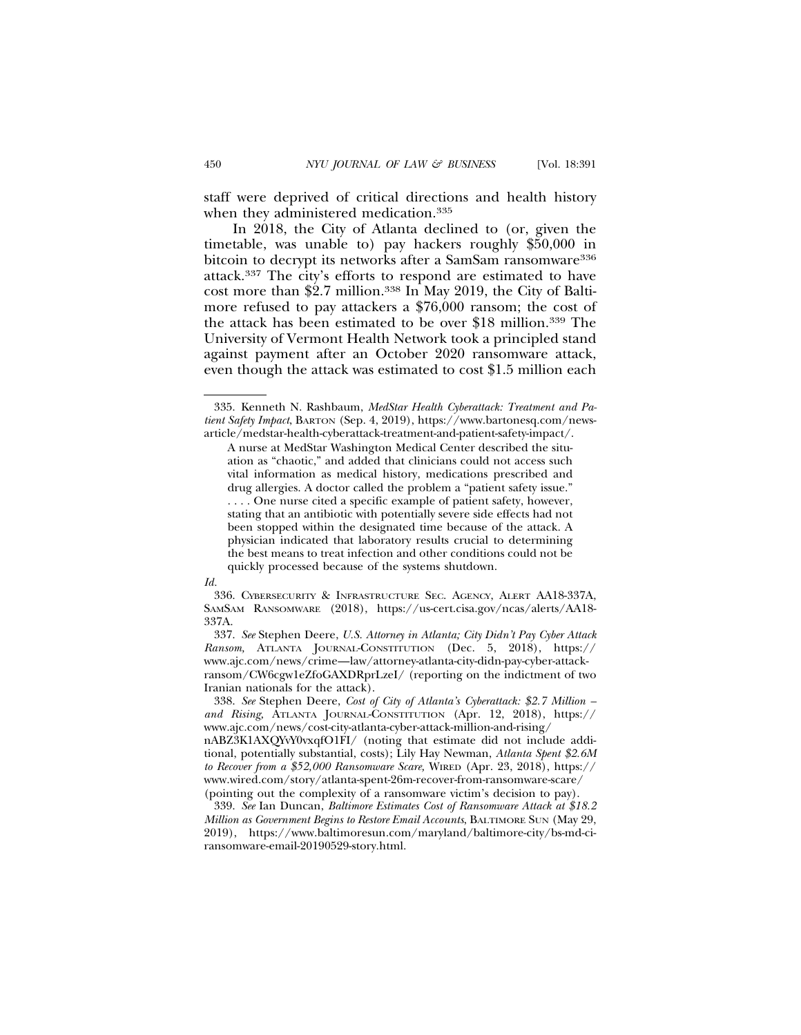staff were deprived of critical directions and health history when they administered medication.335

In 2018, the City of Atlanta declined to (or, given the timetable, was unable to) pay hackers roughly \$50,000 in bitcoin to decrypt its networks after a SamSam ransomware<sup>336</sup> attack.337 The city's efforts to respond are estimated to have cost more than \$2.7 million.338 In May 2019, the City of Baltimore refused to pay attackers a \$76,000 ransom; the cost of the attack has been estimated to be over \$18 million.339 The University of Vermont Health Network took a principled stand against payment after an October 2020 ransomware attack, even though the attack was estimated to cost \$1.5 million each

#### *Id.*

337. *See* Stephen Deere, *U.S. Attorney in Atlanta; City Didn't Pay Cyber Attack Ransom,* ATLANTA JOURNAL-CONSTITUTION (Dec. 5, 2018), https:// www.ajc.com/news/crime—law/attorney-atlanta-city-didn-pay-cyber-attackransom/CW6cgw1eZfoGAXDRprLzeI/ (reporting on the indictment of two Iranian nationals for the attack).

338. *See* Stephen Deere, *Cost of City of Atlanta's Cyberattack: \$2.7 Million – and Rising,* ATLANTA JOURNAL-CONSTITUTION (Apr. 12, 2018), https:// www.ajc.com/news/cost-city-atlanta-cyber-attack-million-and-rising/

nABZ3K1AXQYvY0vxqfO1FI/ (noting that estimate did not include additional, potentially substantial, costs); Lily Hay Newman, *Atlanta Spent \$2.6M to Recover from a \$52,000 Ransomware Scare,* WIRED (Apr. 23, 2018), https:// www.wired.com/story/atlanta-spent-26m-recover-from-ransomware-scare/ (pointing out the complexity of a ransomware victim's decision to pay).

339. *See* Ian Duncan, *Baltimore Estimates Cost of Ransomware Attack at \$18.2 Million as Government Begins to Restore Email Accounts*, BALTIMORE SUN (May 29, 2019), https://www.baltimoresun.com/maryland/baltimore-city/bs-md-ciransomware-email-20190529-story.html.

<sup>335.</sup> Kenneth N. Rashbaum, *MedStar Health Cyberattack: Treatment and Patient Safety Impact*, BARTON (Sep. 4, 2019), https://www.bartonesq.com/newsarticle/medstar-health-cyberattack-treatment-and-patient-safety-impact/.

A nurse at MedStar Washington Medical Center described the situation as "chaotic," and added that clinicians could not access such vital information as medical history, medications prescribed and drug allergies. A doctor called the problem a "patient safety issue." . . . . One nurse cited a specific example of patient safety, however, stating that an antibiotic with potentially severe side effects had not been stopped within the designated time because of the attack. A physician indicated that laboratory results crucial to determining the best means to treat infection and other conditions could not be quickly processed because of the systems shutdown.

<sup>336.</sup> CYBERSECURITY & INFRASTRUCTURE SEC. AGENCY, ALERT AA18-337A, SAMSAM RANSOMWARE (2018), https://us-cert.cisa.gov/ncas/alerts/AA18- 337A.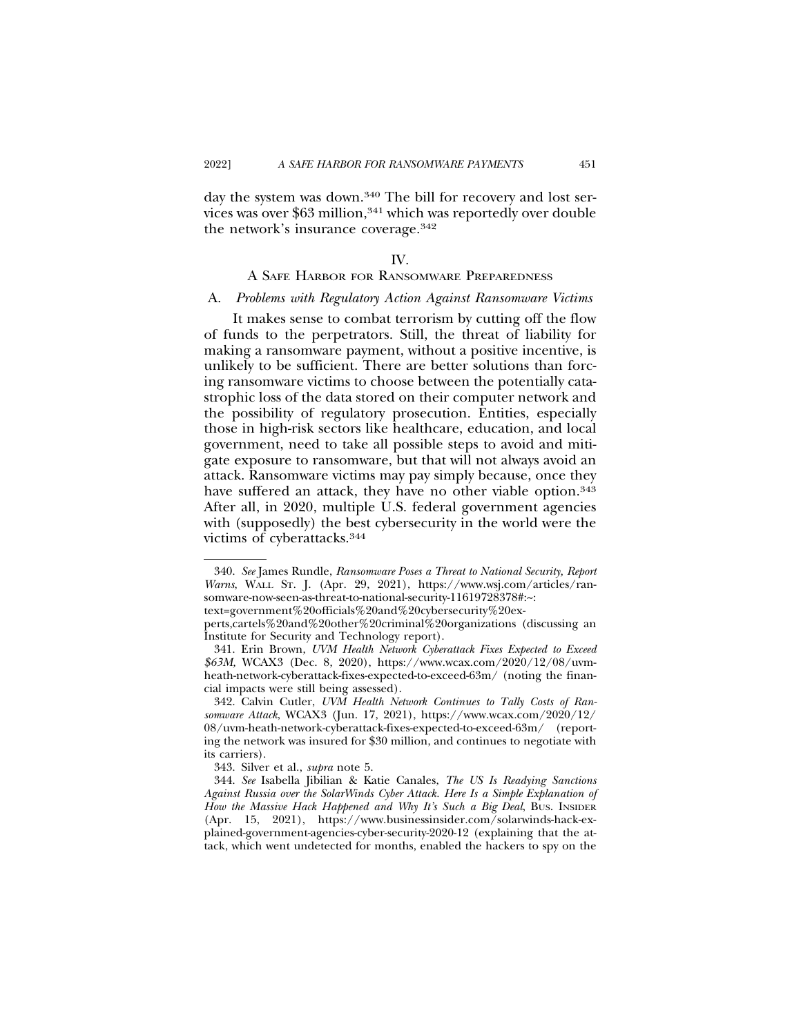day the system was down.<sup>340</sup> The bill for recovery and lost services was over \$63 million,<sup>341</sup> which was reportedly over double the network's insurance coverage.342

#### IV.

# A SAFE HARBOR FOR RANSOMWARE PREPAREDNESS

#### A. *Problems with Regulatory Action Against Ransomware Victims*

It makes sense to combat terrorism by cutting off the flow of funds to the perpetrators. Still, the threat of liability for making a ransomware payment, without a positive incentive, is unlikely to be sufficient. There are better solutions than forcing ransomware victims to choose between the potentially catastrophic loss of the data stored on their computer network and the possibility of regulatory prosecution. Entities, especially those in high-risk sectors like healthcare, education, and local government, need to take all possible steps to avoid and mitigate exposure to ransomware, but that will not always avoid an attack. Ransomware victims may pay simply because, once they have suffered an attack, they have no other viable option.<sup>343</sup> After all, in 2020, multiple U.S. federal government agencies with (supposedly) the best cybersecurity in the world were the victims of cyberattacks.344

text=government%20officials%20and%20cybersecurity%20ex-

<sup>340.</sup> *See* James Rundle, *Ransomware Poses a Threat to National Security, Report Warns*, WALL ST. J. (Apr. 29, 2021), https://www.wsj.com/articles/ransomware-now-seen-as-threat-to-national-security-11619728378#:~:

perts,cartels%20and%20other%20criminal%20organizations (discussing an Institute for Security and Technology report).

<sup>341.</sup> Erin Brown, *UVM Health Network Cyberattack Fixes Expected to Exceed \$63M,* WCAX3 (Dec. 8, 2020), https://www.wcax.com/2020/12/08/uvmheath-network-cyberattack-fixes-expected-to-exceed-63m/ (noting the financial impacts were still being assessed).

<sup>342.</sup> Calvin Cutler, *UVM Health Network Continues to Tally Costs of Ransomware Attack*, WCAX3 (Jun. 17, 2021), https://www.wcax.com/2020/12/ 08/uvm-heath-network-cyberattack-fixes-expected-to-exceed-63m/ (reporting the network was insured for \$30 million, and continues to negotiate with its carriers).

<sup>343.</sup> Silver et al., *supra* note 5.

<sup>344.</sup> *See* Isabella Jibilian & Katie Canales, *The US Is Readying Sanctions Against Russia over the SolarWinds Cyber Attack. Here Is a Simple Explanation of How the Massive Hack Happened and Why It's Such a Big Deal*, BUS. INSIDER (Apr. 15, 2021), https://www.businessinsider.com/solarwinds-hack-explained-government-agencies-cyber-security-2020-12 (explaining that the attack, which went undetected for months, enabled the hackers to spy on the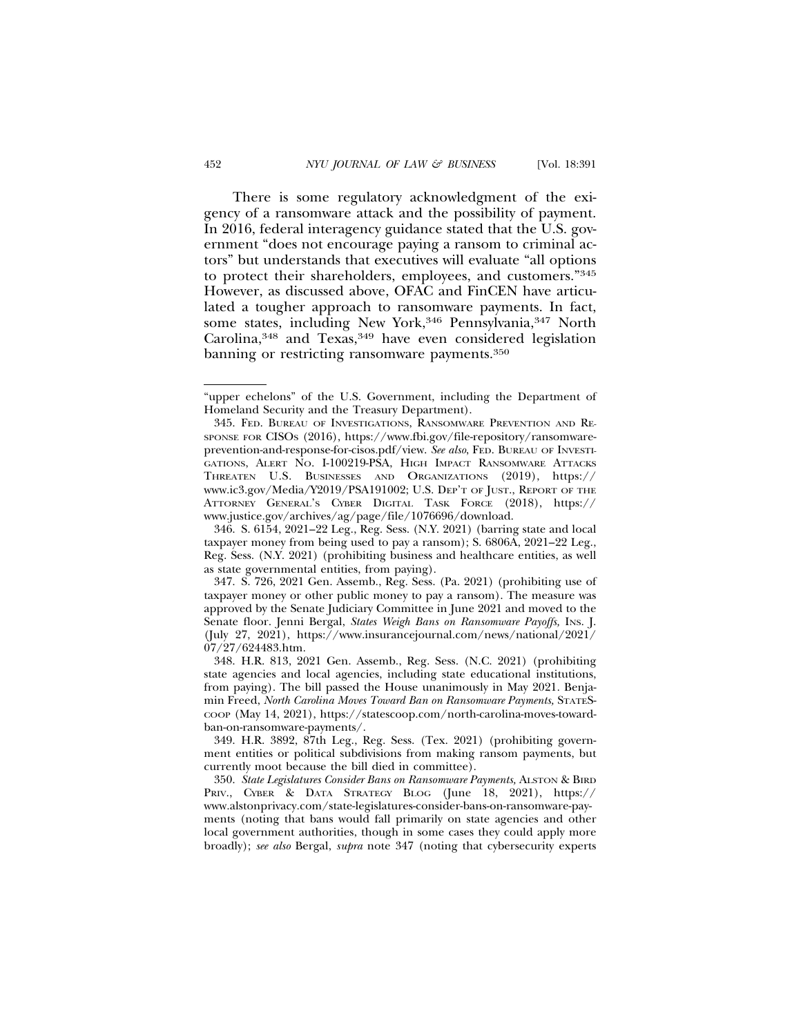There is some regulatory acknowledgment of the exigency of a ransomware attack and the possibility of payment. In 2016, federal interagency guidance stated that the U.S. government "does not encourage paying a ransom to criminal actors" but understands that executives will evaluate "all options to protect their shareholders, employees, and customers."345 However, as discussed above, OFAC and FinCEN have articulated a tougher approach to ransomware payments. In fact, some states, including New York,<sup>346</sup> Pennsylvania,<sup>347</sup> North Carolina,<sup>348</sup> and Texas,<sup>349</sup> have even considered legislation banning or restricting ransomware payments.350

347. S. 726, 2021 Gen. Assemb., Reg. Sess. (Pa. 2021) (prohibiting use of taxpayer money or other public money to pay a ransom). The measure was approved by the Senate Judiciary Committee in June 2021 and moved to the Senate floor. Jenni Bergal, *States Weigh Bans on Ransomware Payoffs,* INS. J. (July 27, 2021), https://www.insurancejournal.com/news/national/2021/ 07/27/624483.htm.

348. H.R. 813, 2021 Gen. Assemb., Reg. Sess. (N.C. 2021) (prohibiting state agencies and local agencies, including state educational institutions, from paying). The bill passed the House unanimously in May 2021. Benjamin Freed, *North Carolina Moves Toward Ban on Ransomware Payments,* STATES-COOP (May 14, 2021), https://statescoop.com/north-carolina-moves-towardban-on-ransomware-payments/.

349. H.R. 3892, 87th Leg., Reg. Sess. (Tex. 2021) (prohibiting government entities or political subdivisions from making ransom payments, but currently moot because the bill died in committee).

350. *State Legislatures Consider Bans on Ransomware Payments,* ALSTON & BIRD PRIV., CYBER & DATA STRATEGY BLOG (June 18, 2021), https:// www.alstonprivacy.com/state-legislatures-consider-bans-on-ransomware-payments (noting that bans would fall primarily on state agencies and other local government authorities, though in some cases they could apply more broadly); *see also* Bergal, *supra* note 347 (noting that cybersecurity experts

<sup>&</sup>quot;upper echelons" of the U.S. Government, including the Department of Homeland Security and the Treasury Department).

<sup>345.</sup> FED. BUREAU OF INVESTIGATIONS, RANSOMWARE PREVENTION AND RE-SPONSE FOR CISOS (2016), https://www.fbi.gov/file-repository/ransomwareprevention-and-response-for-cisos.pdf/view. *See also*, FED. BUREAU OF INVESTI-GATIONS, ALERT NO. I-100219-PSA, HIGH IMPACT RANSOMWARE ATTACKS THREATEN U.S. BUSINESSES AND ORGANIZATIONS (2019), https:// www.ic3.gov/Media/Y2019/PSA191002; U.S. DEP'T OF JUST., REPORT OF THE ATTORNEY GENERAL'S CYBER DIGITAL TASK FORCE (2018), https:// www.justice.gov/archives/ag/page/file/1076696/download.

<sup>346.</sup> S. 6154, 2021–22 Leg., Reg. Sess. (N.Y. 2021) (barring state and local taxpayer money from being used to pay a ransom); S. 6806A, 2021–22 Leg., Reg. Sess. (N.Y. 2021) (prohibiting business and healthcare entities, as well as state governmental entities, from paying).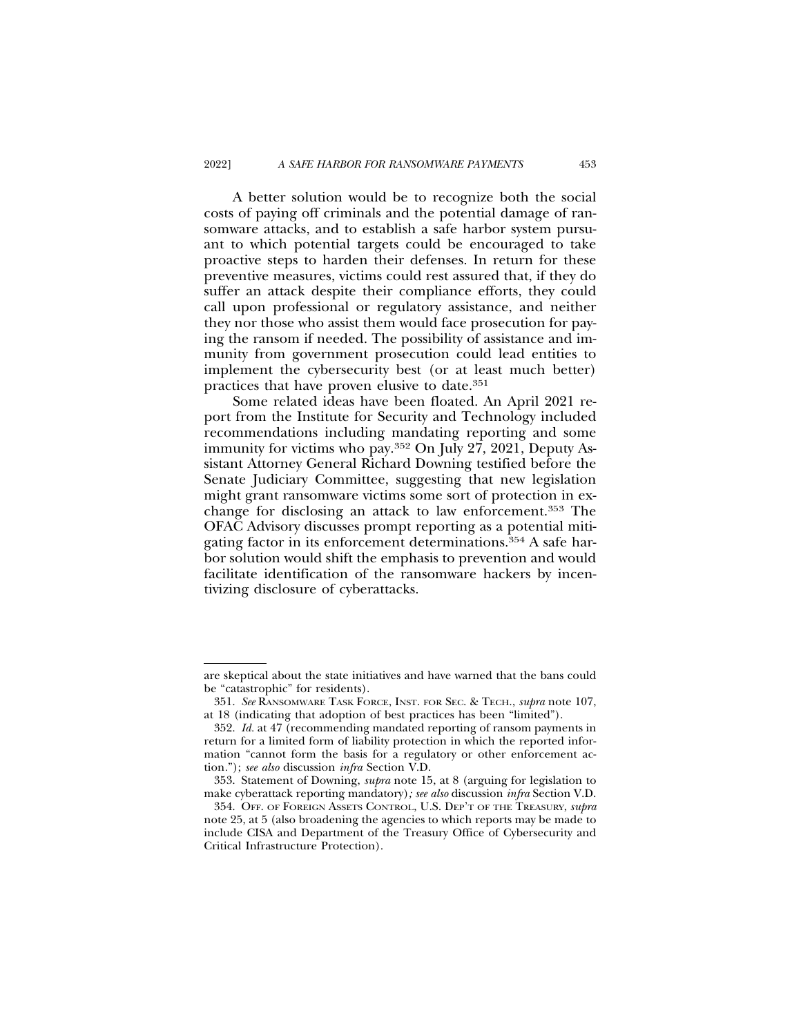A better solution would be to recognize both the social costs of paying off criminals and the potential damage of ransomware attacks, and to establish a safe harbor system pursuant to which potential targets could be encouraged to take proactive steps to harden their defenses. In return for these preventive measures, victims could rest assured that, if they do suffer an attack despite their compliance efforts, they could call upon professional or regulatory assistance, and neither they nor those who assist them would face prosecution for paying the ransom if needed. The possibility of assistance and immunity from government prosecution could lead entities to implement the cybersecurity best (or at least much better) practices that have proven elusive to date.351

Some related ideas have been floated. An April 2021 report from the Institute for Security and Technology included recommendations including mandating reporting and some immunity for victims who pay.352 On July 27, 2021, Deputy Assistant Attorney General Richard Downing testified before the Senate Judiciary Committee, suggesting that new legislation might grant ransomware victims some sort of protection in exchange for disclosing an attack to law enforcement.353 The OFAC Advisory discusses prompt reporting as a potential mitigating factor in its enforcement determinations.354 A safe harbor solution would shift the emphasis to prevention and would facilitate identification of the ransomware hackers by incentivizing disclosure of cyberattacks.

are skeptical about the state initiatives and have warned that the bans could be "catastrophic" for residents).

<sup>351.</sup> *See* RANSOMWARE TASK FORCE, INST. FOR SEC. & TECH., *supra* note 107, at 18 (indicating that adoption of best practices has been "limited").

<sup>352.</sup> *Id.* at 47 (recommending mandated reporting of ransom payments in return for a limited form of liability protection in which the reported information "cannot form the basis for a regulatory or other enforcement action*.*"); *see also* discussion *infra* Section V.D.

<sup>353.</sup> Statement of Downing, *supra* note 15, at 8 (arguing for legislation to make cyberattack reporting mandatory)*; see also* discussion *infra* Section V.D.

<sup>354.</sup> OFF. OF FOREIGN ASSETS CONTROL, U.S. DEP'T OF THE TREASURY, *supra* note 25, at 5 (also broadening the agencies to which reports may be made to include CISA and Department of the Treasury Office of Cybersecurity and Critical Infrastructure Protection).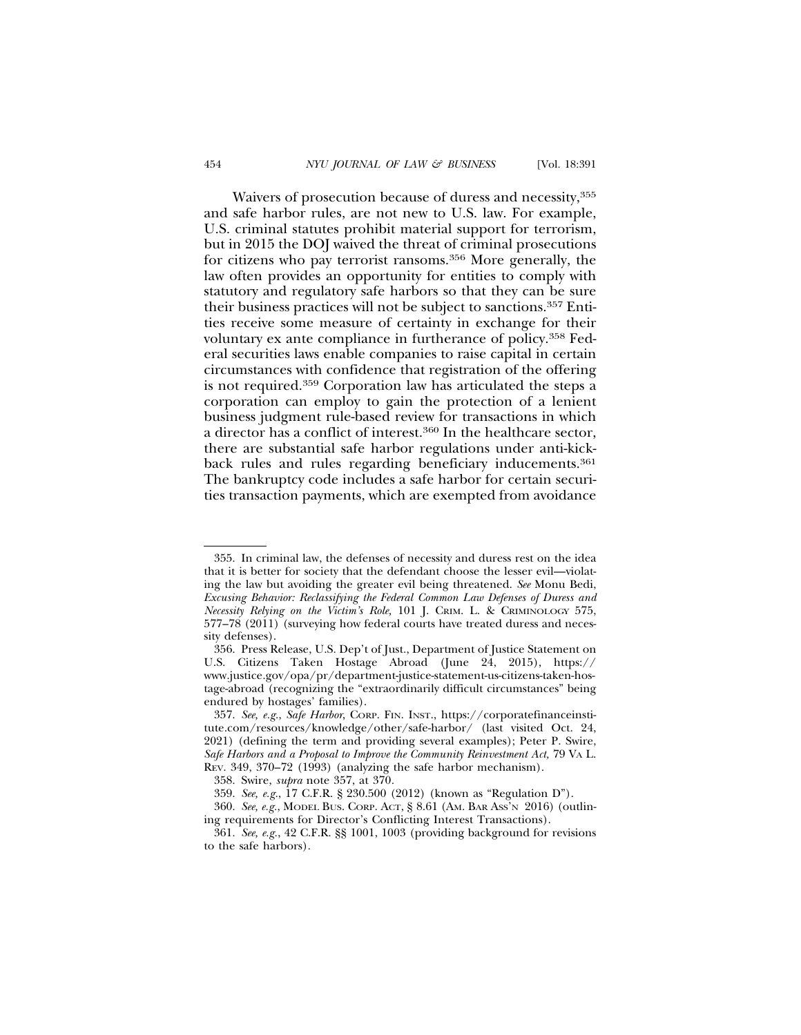Waivers of prosecution because of duress and necessity,355 and safe harbor rules, are not new to U.S. law. For example, U.S. criminal statutes prohibit material support for terrorism, but in 2015 the DOJ waived the threat of criminal prosecutions for citizens who pay terrorist ransoms.356 More generally, the law often provides an opportunity for entities to comply with statutory and regulatory safe harbors so that they can be sure their business practices will not be subject to sanctions.357 Entities receive some measure of certainty in exchange for their voluntary ex ante compliance in furtherance of policy.358 Federal securities laws enable companies to raise capital in certain circumstances with confidence that registration of the offering is not required.359 Corporation law has articulated the steps a corporation can employ to gain the protection of a lenient business judgment rule-based review for transactions in which a director has a conflict of interest.360 In the healthcare sector, there are substantial safe harbor regulations under anti-kickback rules and rules regarding beneficiary inducements.<sup>361</sup> The bankruptcy code includes a safe harbor for certain securities transaction payments, which are exempted from avoidance

<sup>355.</sup> In criminal law, the defenses of necessity and duress rest on the idea that it is better for society that the defendant choose the lesser evil—violating the law but avoiding the greater evil being threatened. *See* Monu Bedi, *Excusing Behavior: Reclassifying the Federal Common Law Defenses of Duress and Necessity Relying on the Victim's Role,* 101 J. CRIM. L. & CRIMINOLOGY 575, 577–78 (2011) (surveying how federal courts have treated duress and necessity defenses).

<sup>356.</sup> Press Release, U.S. Dep't of Just., Department of Justice Statement on U.S. Citizens Taken Hostage Abroad (June 24, 2015), https:// www.justice.gov/opa/pr/department-justice-statement-us-citizens-taken-hostage-abroad (recognizing the "extraordinarily difficult circumstances" being endured by hostages' families).

<sup>357.</sup> *See, e.g.*, *Safe Harbor*, CORP. FIN. INST., https://corporatefinanceinstitute.com/resources/knowledge/other/safe-harbor/ (last visited Oct. 24, 2021) (defining the term and providing several examples); Peter P. Swire, *Safe Harbors and a Proposal to Improve the Community Reinvestment Act,* 79 VA L. REV. 349, 370–72 (1993) (analyzing the safe harbor mechanism).

<sup>358.</sup> Swire, *supra* note 357, at 370*.*

<sup>359.</sup> *See, e.g.*, 17 C.F.R. § 230.500 (2012) (known as "Regulation D").

<sup>360.</sup> *See, e.g.*, MODEL BUS. CORP. ACT, § 8.61 (AM. BAR ASS'N 2016) (outlining requirements for Director's Conflicting Interest Transactions).

<sup>361.</sup> *See, e.g.*, 42 C.F.R. §§ 1001, 1003 (providing background for revisions to the safe harbors).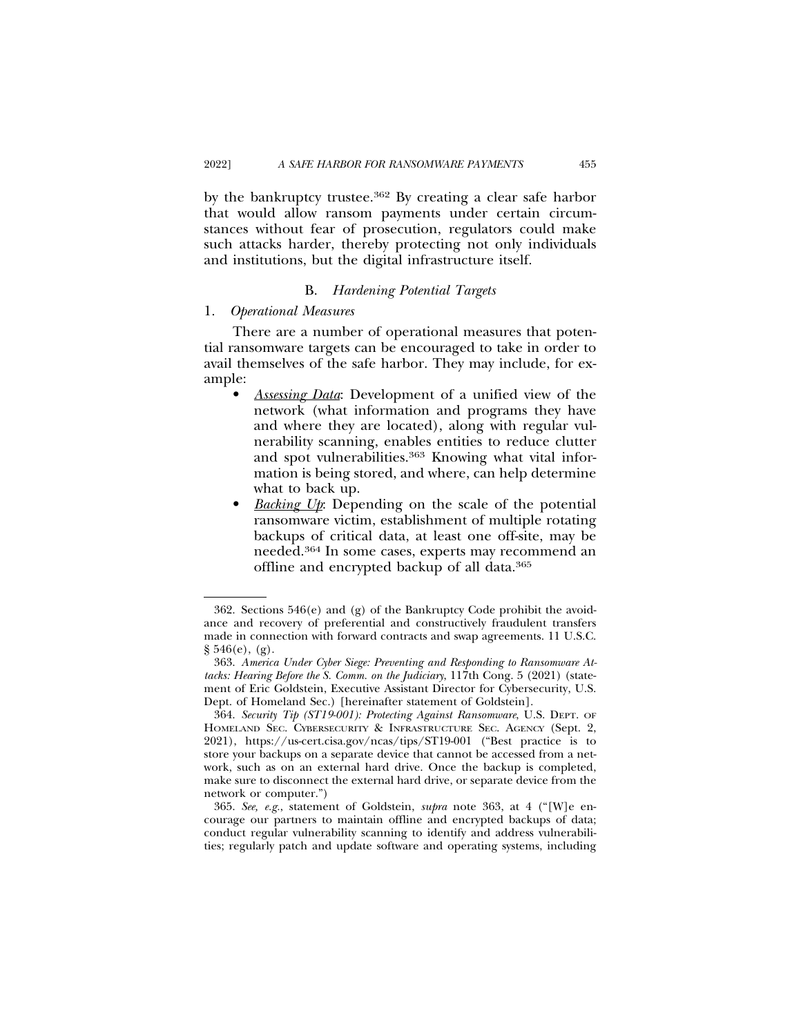by the bankruptcy trustee.362 By creating a clear safe harbor that would allow ransom payments under certain circumstances without fear of prosecution, regulators could make such attacks harder, thereby protecting not only individuals and institutions, but the digital infrastructure itself.

#### B. *Hardening Potential Targets*

#### 1. *Operational Measures*

There are a number of operational measures that potential ransomware targets can be encouraged to take in order to avail themselves of the safe harbor. They may include, for example:

- *Assessing Data*: Development of a unified view of the network (what information and programs they have and where they are located), along with regular vulnerability scanning, enables entities to reduce clutter and spot vulnerabilities.<sup>363</sup> Knowing what vital information is being stored, and where, can help determine what to back up.
- *Backing Up*: Depending on the scale of the potential ransomware victim, establishment of multiple rotating backups of critical data, at least one off-site, may be needed.364 In some cases, experts may recommend an offline and encrypted backup of all data.365

<sup>362.</sup> Sections 546(e) and (g) of the Bankruptcy Code prohibit the avoidance and recovery of preferential and constructively fraudulent transfers made in connection with forward contracts and swap agreements. 11 U.S.C. § 546(e), (g).

<sup>363.</sup> *America Under Cyber Siege: Preventing and Responding to Ransomware Attacks: Hearing Before the S. Comm. on the Judiciary*, 117th Cong. 5 (2021) (statement of Eric Goldstein, Executive Assistant Director for Cybersecurity, U.S. Dept. of Homeland Sec.) [hereinafter statement of Goldstein].

<sup>364.</sup> *Security Tip (ST19-001): Protecting Against Ransomware*, U.S. DEPT. OF HOMELAND SEC. CYBERSECURITY & INFRASTRUCTURE SEC. AGENCY (Sept. 2, 2021), https://us-cert.cisa.gov/ncas/tips/ST19-001 ("Best practice is to store your backups on a separate device that cannot be accessed from a network, such as on an external hard drive. Once the backup is completed, make sure to disconnect the external hard drive, or separate device from the network or computer.")

<sup>365.</sup> *See, e.g.*, statement of Goldstein, *supra* note 363, at 4 ("[W]e encourage our partners to maintain offline and encrypted backups of data; conduct regular vulnerability scanning to identify and address vulnerabilities; regularly patch and update software and operating systems, including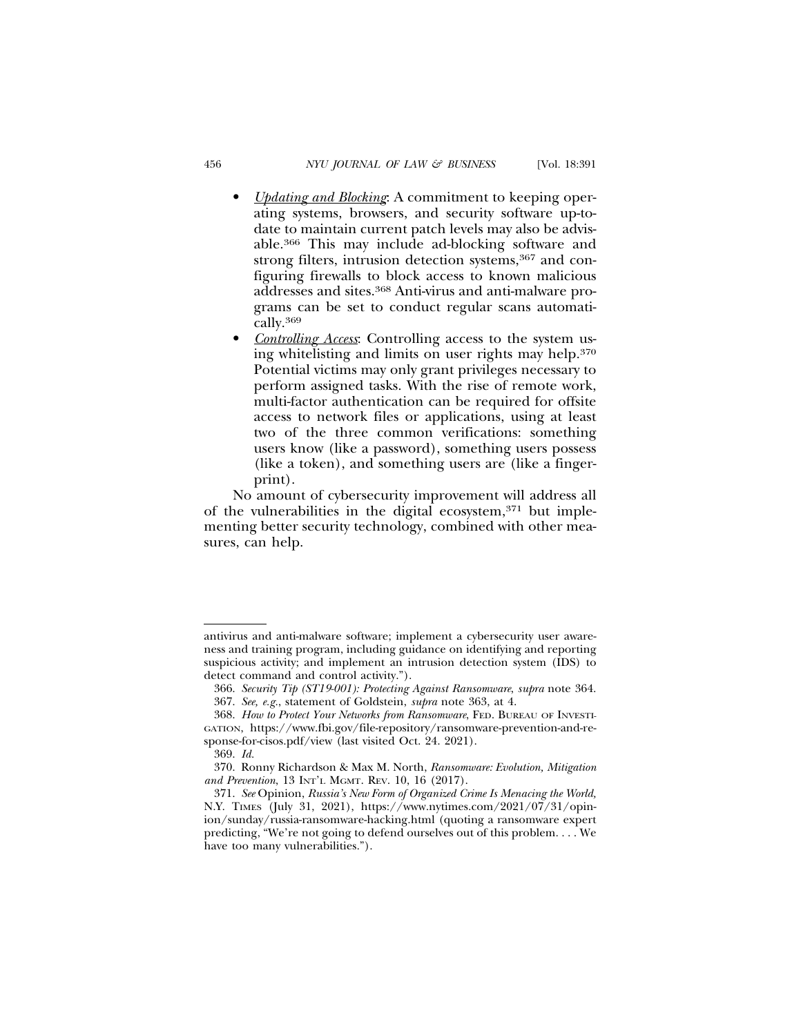- *Updating and Blocking*: A commitment to keeping operating systems, browsers, and security software up-todate to maintain current patch levels may also be advisable.366 This may include ad-blocking software and strong filters, intrusion detection systems,<sup>367</sup> and configuring firewalls to block access to known malicious addresses and sites.368 Anti-virus and anti-malware programs can be set to conduct regular scans automatically.369
- *Controlling Access*: Controlling access to the system using whitelisting and limits on user rights may help.370 Potential victims may only grant privileges necessary to perform assigned tasks. With the rise of remote work, multi-factor authentication can be required for offsite access to network files or applications, using at least two of the three common verifications: something users know (like a password), something users possess (like a token), and something users are (like a fingerprint).

No amount of cybersecurity improvement will address all of the vulnerabilities in the digital ecosystem,371 but implementing better security technology, combined with other measures, can help.

antivirus and anti-malware software; implement a cybersecurity user awareness and training program, including guidance on identifying and reporting suspicious activity; and implement an intrusion detection system (IDS) to detect command and control activity.").

<sup>366.</sup> *Security Tip (ST19-001): Protecting Against Ransomware*, *supra* note 364. 367. *See, e.g.*, statement of Goldstein, *supra* note 363, at 4.

<sup>368.</sup> *How to Protect Your Networks from Ransomware*, FED. BUREAU OF INVESTI-

GATION, https://www.fbi.gov/file-repository/ransomware-prevention-and-response-for-cisos.pdf/view (last visited Oct. 24. 2021).

<sup>369.</sup> *Id.*

<sup>370.</sup> Ronny Richardson & Max M. North, *Ransomware: Evolution, Mitigation and Prevention*, 13 INT'L MGMT. REV. 10, 16 (2017).

<sup>371.</sup> *See* Opinion, *Russia's New Form of Organized Crime Is Menacing the World,* N.Y. TIMES (July 31, 2021), https://www.nytimes.com/2021/07/31/opinion/sunday/russia-ransomware-hacking.html (quoting a ransomware expert predicting, "We're not going to defend ourselves out of this problem. . . . We have too many vulnerabilities.").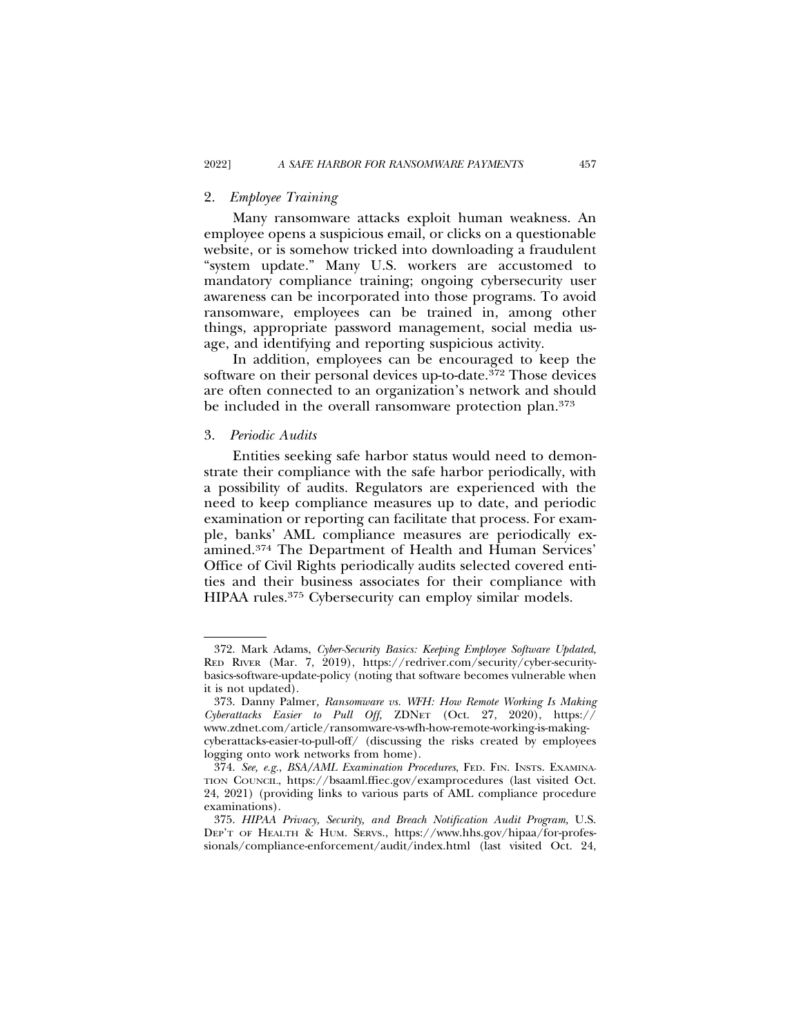## 2. *Employee Training*

Many ransomware attacks exploit human weakness. An employee opens a suspicious email, or clicks on a questionable website, or is somehow tricked into downloading a fraudulent "system update." Many U.S. workers are accustomed to mandatory compliance training; ongoing cybersecurity user awareness can be incorporated into those programs. To avoid ransomware, employees can be trained in, among other things, appropriate password management, social media usage, and identifying and reporting suspicious activity.

In addition, employees can be encouraged to keep the software on their personal devices up-to-date.<sup>372</sup> Those devices are often connected to an organization's network and should be included in the overall ransomware protection plan.<sup>373</sup>

#### 3. *Periodic Audits*

Entities seeking safe harbor status would need to demonstrate their compliance with the safe harbor periodically, with a possibility of audits. Regulators are experienced with the need to keep compliance measures up to date, and periodic examination or reporting can facilitate that process. For example, banks' AML compliance measures are periodically examined.374 The Department of Health and Human Services' Office of Civil Rights periodically audits selected covered entities and their business associates for their compliance with HIPAA rules.375 Cybersecurity can employ similar models.

<sup>372.</sup> Mark Adams, *Cyber-Security Basics: Keeping Employee Software Updated*, RED RIVER (Mar. 7, 2019), https://redriver.com/security/cyber-securitybasics-software-update-policy (noting that software becomes vulnerable when it is not updated).

<sup>373.</sup> Danny Palmer*, Ransomware vs. WFH: How Remote Working Is Making Cyberattacks Easier to Pull Off,* ZDNET (Oct. 27, 2020), https:// www.zdnet.com/article/ransomware-vs-wfh-how-remote-working-is-makingcyberattacks-easier-to-pull-off/ (discussing the risks created by employees logging onto work networks from home).

<sup>374.</sup> *See, e.g.*, *BSA/AML Examination Procedures*, FED. FIN. INSTS. EXAMINA-TION COUNCIL, https://bsaaml.ffiec.gov/examprocedures (last visited Oct. 24, 2021) (providing links to various parts of AML compliance procedure examinations).

<sup>375.</sup> *HIPAA Privacy, Security, and Breach Notification Audit Program,* U.S. DEP'T OF HEALTH & HUM. SERVS., https://www.hhs.gov/hipaa/for-professionals/compliance-enforcement/audit/index.html (last visited Oct. 24,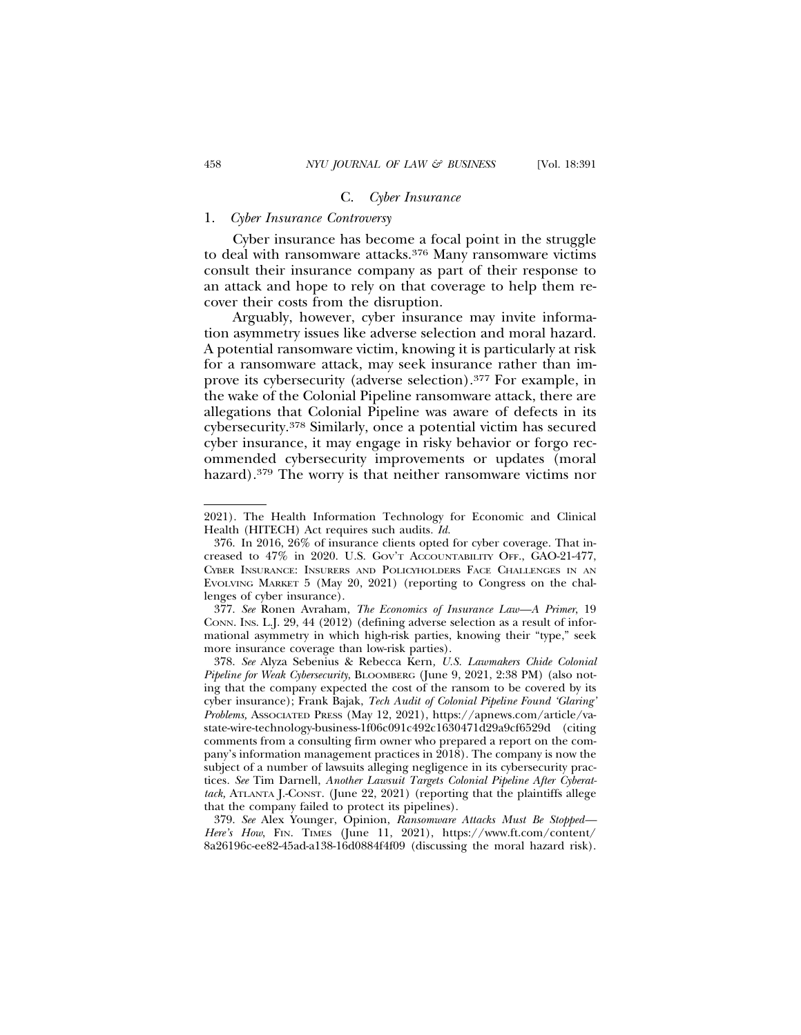#### C. *Cyber Insurance*

## 1. *Cyber Insurance Controversy*

Cyber insurance has become a focal point in the struggle to deal with ransomware attacks.376 Many ransomware victims consult their insurance company as part of their response to an attack and hope to rely on that coverage to help them recover their costs from the disruption.

Arguably, however, cyber insurance may invite information asymmetry issues like adverse selection and moral hazard. A potential ransomware victim, knowing it is particularly at risk for a ransomware attack, may seek insurance rather than improve its cybersecurity (adverse selection).377 For example, in the wake of the Colonial Pipeline ransomware attack, there are allegations that Colonial Pipeline was aware of defects in its cybersecurity.378 Similarly, once a potential victim has secured cyber insurance, it may engage in risky behavior or forgo recommended cybersecurity improvements or updates (moral hazard).379 The worry is that neither ransomware victims nor

<sup>2021).</sup> The Health Information Technology for Economic and Clinical Health (HITECH) Act requires such audits*. Id.*

<sup>376.</sup> In 2016, 26% of insurance clients opted for cyber coverage. That increased to 47% in 2020. U.S. GOV'T ACCOUNTABILITY OFF., GAO-21-477, CYBER INSURANCE: INSURERS AND POLICYHOLDERS FACE CHALLENGES IN AN EVOLVING MARKET 5 (May 20, 2021) (reporting to Congress on the challenges of cyber insurance).

<sup>377.</sup> *See* Ronen Avraham, *The Economics of Insurance Law—A Primer*, 19 CONN. INS. L.J. 29, 44 (2012) (defining adverse selection as a result of informational asymmetry in which high-risk parties, knowing their "type," seek more insurance coverage than low-risk parties).

<sup>378.</sup> *See* Alyza Sebenius & Rebecca Kern*, U.S. Lawmakers Chide Colonial Pipeline for Weak Cybersecurity*, BLOOMBERG (June 9, 2021, 2:38 PM) (also noting that the company expected the cost of the ransom to be covered by its cyber insurance); Frank Bajak, *Tech Audit of Colonial Pipeline Found 'Glaring' Problems,* ASSOCIATED PRESS (May 12, 2021), https://apnews.com/article/vastate-wire-technology-business-1f06c091c492c1630471d29a9cf6529d (citing comments from a consulting firm owner who prepared a report on the company's information management practices in 2018). The company is now the subject of a number of lawsuits alleging negligence in its cybersecurity practices*. See* Tim Darnell, *Another Lawsuit Targets Colonial Pipeline After Cyberattack,* ATLANTA J.-CONST. (June 22, 2021) (reporting that the plaintiffs allege that the company failed to protect its pipelines).

<sup>379.</sup> *See* Alex Younger, Opinion, *Ransomware Attacks Must Be Stopped—* Here's How, FIN. TIMES (June 11, 2021), https://www.ft.com/content/ 8a26196c-ee82-45ad-a138-16d0884f4f09 (discussing the moral hazard risk).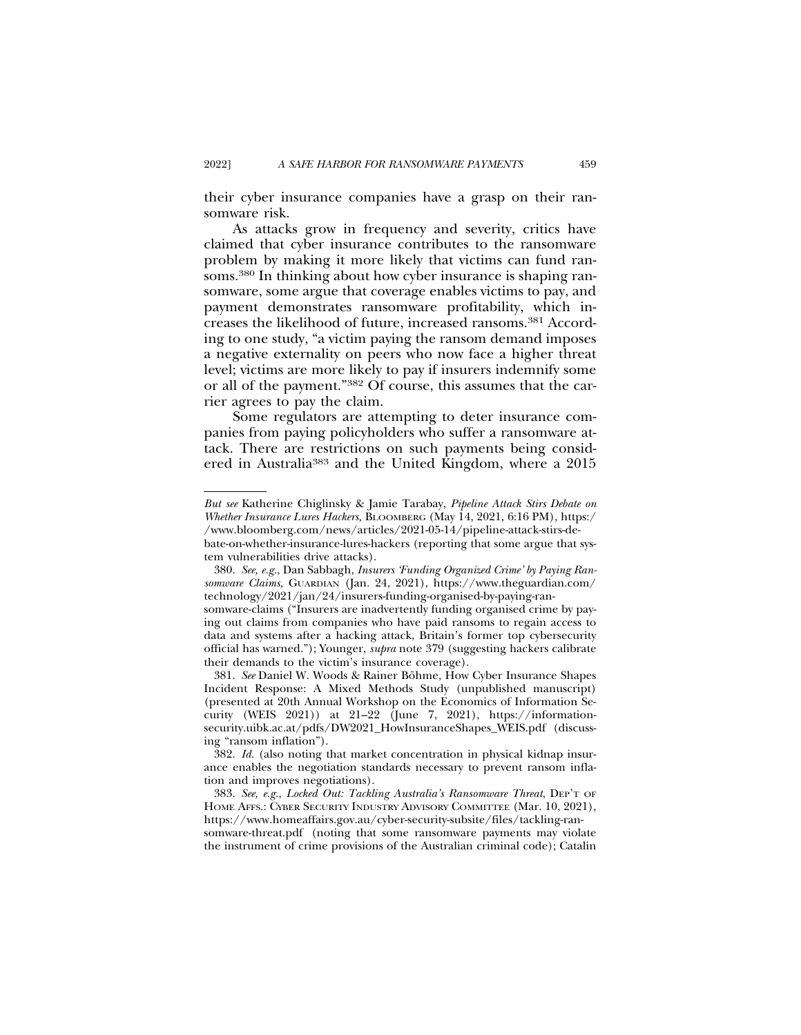their cyber insurance companies have a grasp on their ransomware risk.

As attacks grow in frequency and severity, critics have claimed that cyber insurance contributes to the ransomware problem by making it more likely that victims can fund ransoms.<sup>380</sup> In thinking about how cyber insurance is shaping ransomware, some argue that coverage enables victims to pay, and payment demonstrates ransomware profitability, which increases the likelihood of future, increased ransoms.381 According to one study, "a victim paying the ransom demand imposes a negative externality on peers who now face a higher threat level; victims are more likely to pay if insurers indemnify some or all of the payment."382 Of course, this assumes that the carrier agrees to pay the claim.

Some regulators are attempting to deter insurance companies from paying policyholders who suffer a ransomware attack. There are restrictions on such payments being considered in Australia383 and the United Kingdom, where a 2015

*But see* Katherine Chiglinsky & Jamie Tarabay, *Pipeline Attack Stirs Debate on Whether Insurance Lures Hackers,* BLOOMBERG (May 14, 2021, 6:16 PM), https:/ /www.bloomberg.com/news/articles/2021-05-14/pipeline-attack-stirs-de-

bate-on-whether-insurance-lures-hackers (reporting that some argue that system vulnerabilities drive attacks).

<sup>380.</sup> *See, e.g.*, Dan Sabbagh, *Insurers 'Funding Organized Crime' by Paying Ransomware Claims,* GUARDIAN (Jan. 24, 2021), https://www.theguardian.com/ technology/2021/jan/24/insurers-funding-organised-by-paying-ran-

somware-claims ("Insurers are inadvertently funding organised crime by paying out claims from companies who have paid ransoms to regain access to data and systems after a hacking attack, Britain's former top cybersecurity official has warned."); Younger, *supra* note 379 (suggesting hackers calibrate their demands to the victim's insurance coverage).

<sup>381.</sup> See Daniel W. Woods & Rainer Böhme, How Cyber Insurance Shapes Incident Response: A Mixed Methods Study (unpublished manuscript) (presented at 20th Annual Workshop on the Economics of Information Security (WEIS 2021)) at 21–22 (June 7, 2021), https://informationsecurity.uibk.ac.at/pdfs/DW2021\_HowInsuranceShapes\_WEIS.pdf (discussing "ransom inflation").

<sup>382.</sup> *Id.* (also noting that market concentration in physical kidnap insurance enables the negotiation standards necessary to prevent ransom inflation and improves negotiations).

<sup>383.</sup> *See, e.g.*, *Locked Out: Tackling Australia's Ransomware Threat*, DEP'T OF HOME AFFS.: CYBER SECURITY INDUSTRY ADVISORY COMMITTEE (Mar. 10, 2021), https://www.homeaffairs.gov.au/cyber-security-subsite/files/tackling-ransomware-threat.pdf (noting that some ransomware payments may violate the instrument of crime provisions of the Australian criminal code); Catalin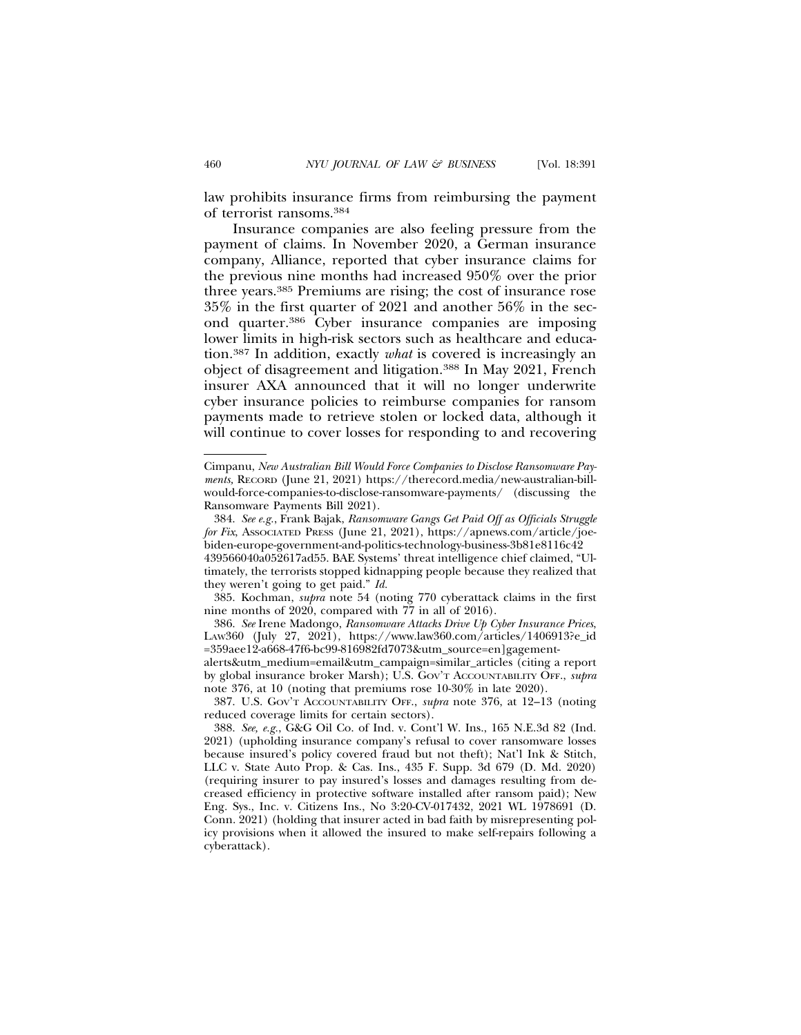law prohibits insurance firms from reimbursing the payment

of terrorist ransoms.384 Insurance companies are also feeling pressure from the payment of claims. In November 2020, a German insurance company, Alliance, reported that cyber insurance claims for the previous nine months had increased 950% over the prior three years.385 Premiums are rising; the cost of insurance rose 35% in the first quarter of 2021 and another 56% in the second quarter.386 Cyber insurance companies are imposing lower limits in high-risk sectors such as healthcare and education.387 In addition, exactly *what* is covered is increasingly an object of disagreement and litigation.388 In May 2021, French insurer AXA announced that it will no longer underwrite cyber insurance policies to reimburse companies for ransom payments made to retrieve stolen or locked data, although it will continue to cover losses for responding to and recovering

Cimpanu, *New Australian Bill Would Force Companies to Disclose Ransomware Payments,* RECORD (June 21, 2021) https://therecord.media/new-australian-billwould-force-companies-to-disclose-ransomware-payments/ (discussing the Ransomware Payments Bill 2021).

<sup>384.</sup> *See e.g.*, Frank Bajak, *Ransomware Gangs Get Paid Off as Officials Struggle for Fix*, ASSOCIATED PRESS (June 21, 2021), https://apnews.com/article/joebiden-europe-government-and-politics-technology-business-3b81e8116c42

<sup>439566040</sup>a052617ad55. BAE Systems' threat intelligence chief claimed, "Ultimately, the terrorists stopped kidnapping people because they realized that they weren't going to get paid." *Id.*

<sup>385.</sup> Kochman, *supra* note 54 (noting 770 cyberattack claims in the first nine months of  $2020$ , compared with  $77$  in all of  $2016$ ).

<sup>386.</sup> *See* Irene Madongo, *Ransomware Attacks Drive Up Cyber Insurance Prices*, LAW360 (July 27, 2021), https://www.law360.com/articles/1406913?e\_id =359aee12-a668-47f6-bc99-816982fd7073&utm\_source=en]gagementalerts&utm\_medium=email&utm\_campaign=similar\_articles (citing a report by global insurance broker Marsh); U.S. GOV'T ACCOUNTABILITY OFF., *supra* note 376, at 10 (noting that premiums rose 10-30% in late 2020).

<sup>387.</sup> U.S. GOV'T ACCOUNTABILITY OFF., *supra* note 376, at 12–13 (noting reduced coverage limits for certain sectors).

<sup>388.</sup> *See, e.g.*, G&G Oil Co. of Ind. v. Cont'l W. Ins., 165 N.E.3d 82 (Ind. 2021) (upholding insurance company's refusal to cover ransomware losses because insured's policy covered fraud but not theft); Nat'l Ink & Stitch, LLC v. State Auto Prop. & Cas. Ins., 435 F. Supp. 3d 679 (D. Md. 2020) (requiring insurer to pay insured's losses and damages resulting from decreased efficiency in protective software installed after ransom paid); New Eng. Sys., Inc. v. Citizens Ins., No 3:20-CV-017432, 2021 WL 1978691 (D. Conn. 2021) (holding that insurer acted in bad faith by misrepresenting policy provisions when it allowed the insured to make self-repairs following a cyberattack).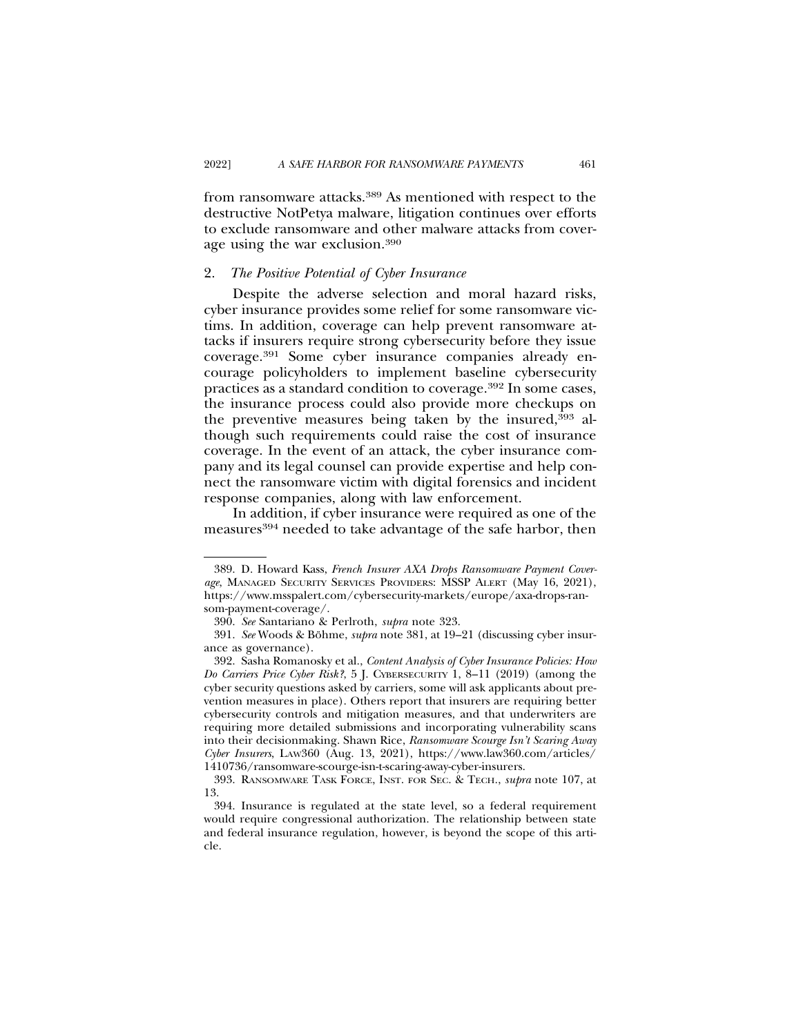from ransomware attacks.389 As mentioned with respect to the destructive NotPetya malware, litigation continues over efforts to exclude ransomware and other malware attacks from coverage using the war exclusion.390

# 2. *The Positive Potential of Cyber Insurance*

Despite the adverse selection and moral hazard risks, cyber insurance provides some relief for some ransomware victims. In addition, coverage can help prevent ransomware attacks if insurers require strong cybersecurity before they issue coverage.391 Some cyber insurance companies already encourage policyholders to implement baseline cybersecurity practices as a standard condition to coverage.392 In some cases, the insurance process could also provide more checkups on the preventive measures being taken by the insured,393 although such requirements could raise the cost of insurance coverage. In the event of an attack, the cyber insurance company and its legal counsel can provide expertise and help connect the ransomware victim with digital forensics and incident response companies, along with law enforcement.

In addition, if cyber insurance were required as one of the measures<sup>394</sup> needed to take advantage of the safe harbor, then

<sup>389.</sup> D. Howard Kass, *French Insurer AXA Drops Ransomware Payment Coverage*, MANAGED SECURITY SERVICES PROVIDERS: MSSP ALERT (May 16, 2021), https://www.msspalert.com/cybersecurity-markets/europe/axa-drops-ransom-payment-coverage/.

<sup>390.</sup> *See* Santariano & Perlroth, *supra* note 323.

<sup>391.</sup> See Woods & Böhme, *supra* note 381, at 19–21 (discussing cyber insurance as governance).

<sup>392.</sup> Sasha Romanosky et al., *Content Analysis of Cyber Insurance Policies: How Do Carriers Price Cyber Risk?*, 5 J. CYBERSECURITY 1, 8–11 (2019) (among the cyber security questions asked by carriers, some will ask applicants about prevention measures in place). Others report that insurers are requiring better cybersecurity controls and mitigation measures, and that underwriters are requiring more detailed submissions and incorporating vulnerability scans into their decisionmaking. Shawn Rice, *Ransomware Scourge Isn't Scaring Away Cyber Insurers*, LAW360 (Aug. 13, 2021), https://www.law360.com/articles/ 1410736/ransomware-scourge-isn-t-scaring-away-cyber-insurers.

<sup>393.</sup> RANSOMWARE TASK FORCE, INST. FOR SEC. & TECH., *supra* note 107, at 13.

<sup>394.</sup> Insurance is regulated at the state level, so a federal requirement would require congressional authorization. The relationship between state and federal insurance regulation, however, is beyond the scope of this article.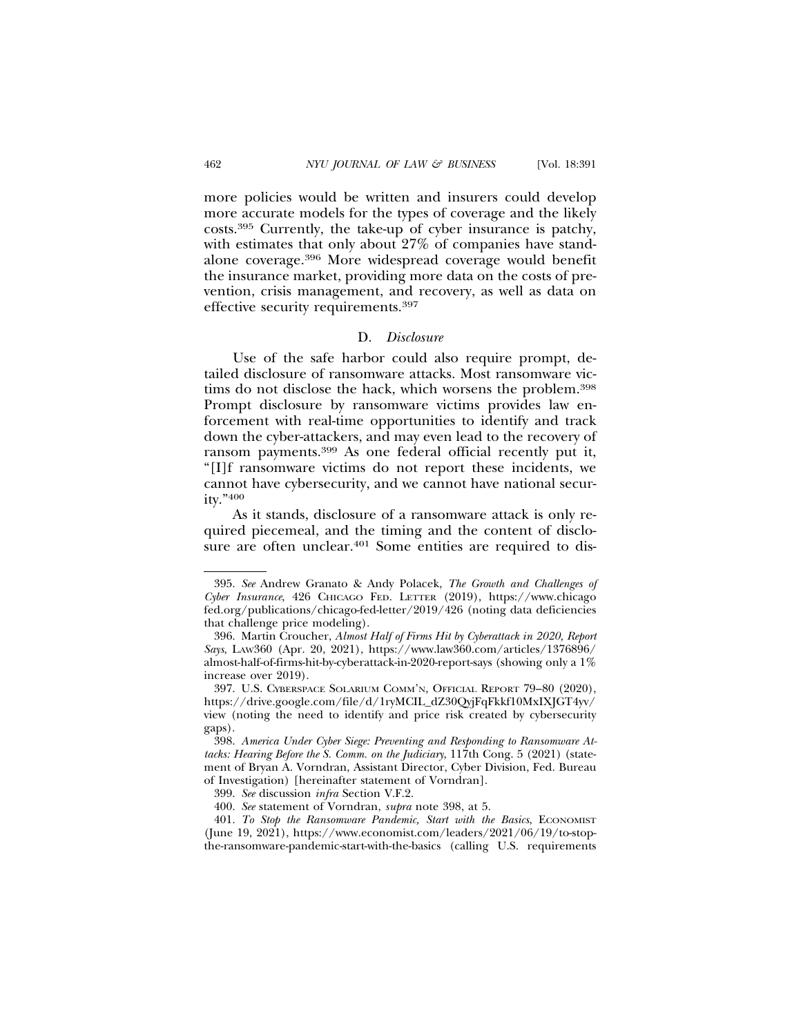more policies would be written and insurers could develop more accurate models for the types of coverage and the likely costs.395 Currently, the take-up of cyber insurance is patchy, with estimates that only about 27% of companies have standalone coverage.396 More widespread coverage would benefit the insurance market, providing more data on the costs of prevention, crisis management, and recovery, as well as data on effective security requirements.397

#### D. *Disclosure*

Use of the safe harbor could also require prompt, detailed disclosure of ransomware attacks. Most ransomware victims do not disclose the hack, which worsens the problem.398 Prompt disclosure by ransomware victims provides law enforcement with real-time opportunities to identify and track down the cyber-attackers, and may even lead to the recovery of ransom payments.399 As one federal official recently put it, "[I]f ransomware victims do not report these incidents, we cannot have cybersecurity, and we cannot have national security."400

As it stands, disclosure of a ransomware attack is only required piecemeal, and the timing and the content of disclosure are often unclear.<sup>401</sup> Some entities are required to dis-

<sup>395.</sup> *See* Andrew Granato & Andy Polacek, *The Growth and Challenges of Cyber Insurance*, 426 CHICAGO FED. LETTER (2019), https://www.chicago fed.org/publications/chicago-fed-letter/2019/426 (noting data deficiencies that challenge price modeling).

<sup>396.</sup> Martin Croucher, *Almost Half of Firms Hit by Cyberattack in 2020, Report Says*, LAW360 (Apr. 20, 2021), https://www.law360.com/articles/1376896/ almost-half-of-firms-hit-by-cyberattack-in-2020-report-says (showing only a 1% increase over 2019).

<sup>397.</sup> U.S. CYBERSPACE SOLARIUM COMM'N, OFFICIAL REPORT 79–80 (2020), https://drive.google.com/file/d/1ryMCIL\_dZ30QyjFqFkkf10MxIXJGT4yv/ view (noting the need to identify and price risk created by cybersecurity gaps).

<sup>398.</sup> *America Under Cyber Siege: Preventing and Responding to Ransomware Attacks: Hearing Before the S. Comm. on the Judiciary*, 117th Cong. 5 (2021) (statement of Bryan A. Vorndran, Assistant Director, Cyber Division, Fed. Bureau of Investigation) [hereinafter statement of Vorndran].

<sup>399.</sup> *See* discussion *infra* Section V.F.2.

<sup>400.</sup> *See* statement of Vorndran, *supra* note 398, at 5.

<sup>401.</sup> *To Stop the Ransomware Pandemic, Start with the Basics*, ECONOMIST (June 19, 2021), https://www.economist.com/leaders/2021/06/19/to-stopthe-ransomware-pandemic-start-with-the-basics (calling U.S. requirements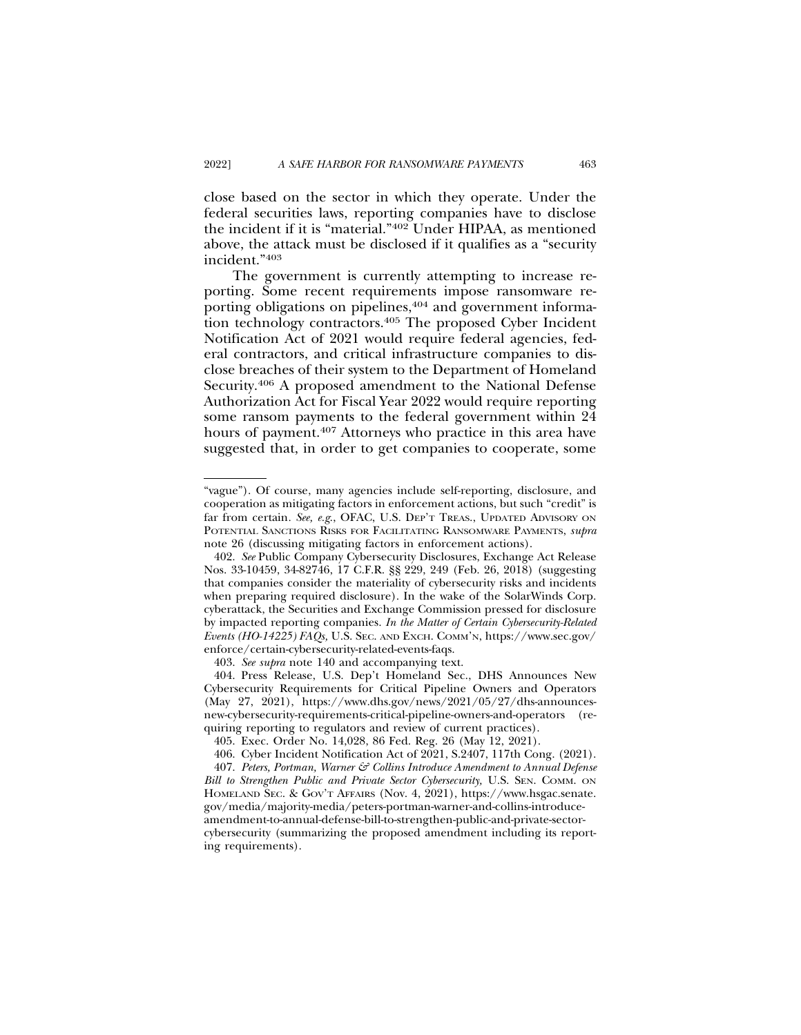close based on the sector in which they operate. Under the federal securities laws, reporting companies have to disclose the incident if it is "material."402 Under HIPAA, as mentioned above, the attack must be disclosed if it qualifies as a "security incident."403

The government is currently attempting to increase reporting. Some recent requirements impose ransomware reporting obligations on pipelines,<sup>404</sup> and government information technology contractors.<sup>405</sup> The proposed Cyber Incident Notification Act of 2021 would require federal agencies, federal contractors, and critical infrastructure companies to disclose breaches of their system to the Department of Homeland Security.406 A proposed amendment to the National Defense Authorization Act for Fiscal Year 2022 would require reporting some ransom payments to the federal government within 24 hours of payment.407 Attorneys who practice in this area have suggested that, in order to get companies to cooperate, some

403. *See supra* note 140 and accompanying text.

<sup>&</sup>quot;vague"). Of course, many agencies include self-reporting, disclosure, and cooperation as mitigating factors in enforcement actions, but such "credit" is far from certain*. See, e.g*., OFAC, U.S. DEP'T TREAS., UPDATED ADVISORY ON POTENTIAL SANCTIONS RISKS FOR FACILITATING RANSOMWARE PAYMENTS, *supra* note 26 (discussing mitigating factors in enforcement actions).

<sup>402.</sup> *See* Public Company Cybersecurity Disclosures, Exchange Act Release Nos. 33-10459, 34-82746, 17 C.F.R. §§ 229, 249 (Feb. 26, 2018) (suggesting that companies consider the materiality of cybersecurity risks and incidents when preparing required disclosure). In the wake of the SolarWinds Corp. cyberattack, the Securities and Exchange Commission pressed for disclosure by impacted reporting companies. *In the Matter of Certain Cybersecurity-Related Events (HO-14225) FAQs,* U.S. SEC. AND EXCH. COMM'N, https://www.sec.gov/ enforce/certain-cybersecurity-related-events-faqs.

<sup>404.</sup> Press Release, U.S. Dep't Homeland Sec., DHS Announces New Cybersecurity Requirements for Critical Pipeline Owners and Operators (May 27, 2021), https://www.dhs.gov/news/2021/05/27/dhs-announcesnew-cybersecurity-requirements-critical-pipeline-owners-and-operators (requiring reporting to regulators and review of current practices).

<sup>405.</sup> Exec. Order No. 14,028, 86 Fed. Reg. 26 (May 12, 2021).

<sup>406.</sup> Cyber Incident Notification Act of 2021, S.2407, 117th Cong. (2021).

<sup>407.</sup> *Peters, Portman, Warner & Collins Introduce Amendment to Annual Defense Bill to Strengthen Public and Private Sector Cybersecurity,* U.S. SEN. COMM. ON HOMELAND SEC. & GOV'T AFFAIRS (Nov. 4, 2021), https://www.hsgac.senate. gov/media/majority-media/peters-portman-warner-and-collins-introduceamendment-to-annual-defense-bill-to-strengthen-public-and-private-sectorcybersecurity (summarizing the proposed amendment including its reporting requirements).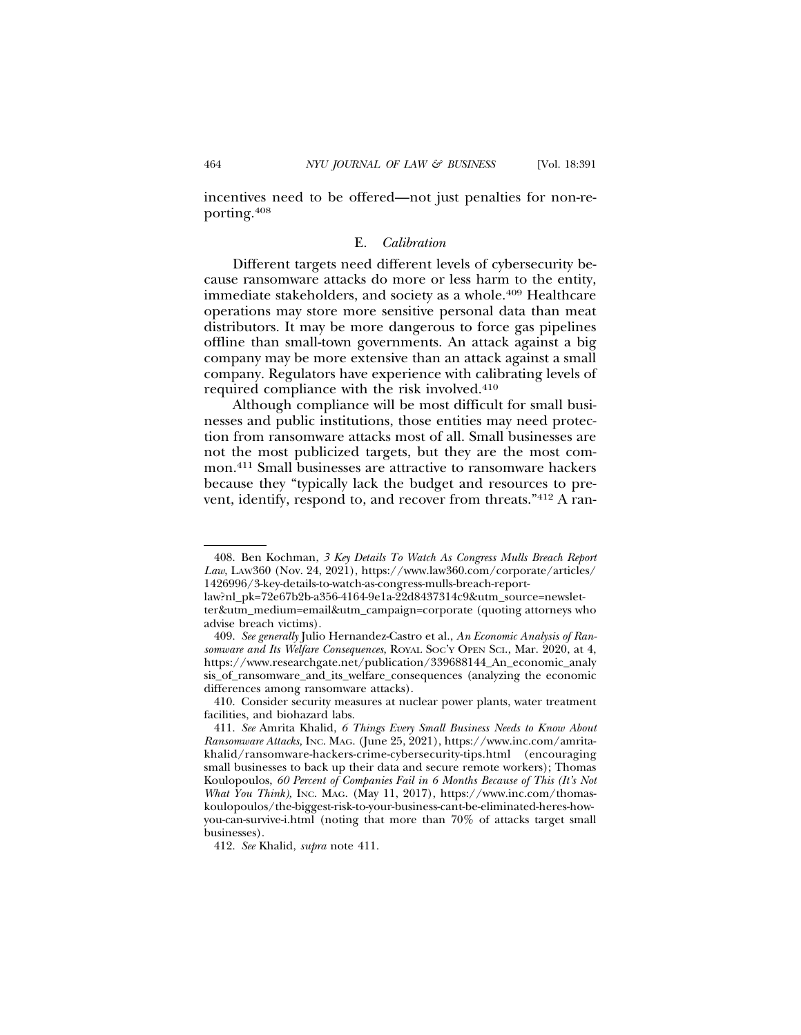incentives need to be offered—not just penalties for non-reporting.408

#### E. *Calibration*

Different targets need different levels of cybersecurity because ransomware attacks do more or less harm to the entity, immediate stakeholders, and society as a whole.409 Healthcare operations may store more sensitive personal data than meat distributors. It may be more dangerous to force gas pipelines offline than small-town governments. An attack against a big company may be more extensive than an attack against a small company. Regulators have experience with calibrating levels of required compliance with the risk involved.410

Although compliance will be most difficult for small businesses and public institutions, those entities may need protection from ransomware attacks most of all. Small businesses are not the most publicized targets, but they are the most common.411 Small businesses are attractive to ransomware hackers because they "typically lack the budget and resources to prevent, identify, respond to, and recover from threats."412 A ran-

<sup>408.</sup> Ben Kochman, *3 Key Details To Watch As Congress Mulls Breach Report Law*, LAW360 (Nov. 24, 2021), https://www.law360.com/corporate/articles/ 1426996/3-key-details-to-watch-as-congress-mulls-breach-report-

law?nl\_pk=72e67b2b-a356-4164-9e1a-22d8437314c9&utm\_source=newsletter&utm\_medium=email&utm\_campaign=corporate (quoting attorneys who advise breach victims).

<sup>409.</sup> *See generally* Julio Hernandez-Castro et al., *An Economic Analysis of Ransomware and Its Welfare Consequences*, ROYAL SOC'Y OPEN SCI., Mar. 2020, at 4, https://www.researchgate.net/publication/339688144\_An\_economic\_analy sis\_of\_ransomware\_and\_its\_welfare\_consequences (analyzing the economic differences among ransomware attacks).

<sup>410.</sup> Consider security measures at nuclear power plants, water treatment facilities, and biohazard labs.

<sup>411.</sup> *See* Amrita Khalid, *6 Things Every Small Business Needs to Know About Ransomware Attacks,* INC. MAG. (June 25, 2021), https://www.inc.com/amritakhalid/ransomware-hackers-crime-cybersecurity-tips.html (encouraging small businesses to back up their data and secure remote workers); Thomas Koulopoulos, *60 Percent of Companies Fail in 6 Months Because of This (It's Not What You Think),* INC. MAG. (May 11, 2017), https://www.inc.com/thomaskoulopoulos/the-biggest-risk-to-your-business-cant-be-eliminated-heres-howyou-can-survive-i.html (noting that more than 70% of attacks target small businesses).

<sup>412.</sup> *See* Khalid, *supra* note 411.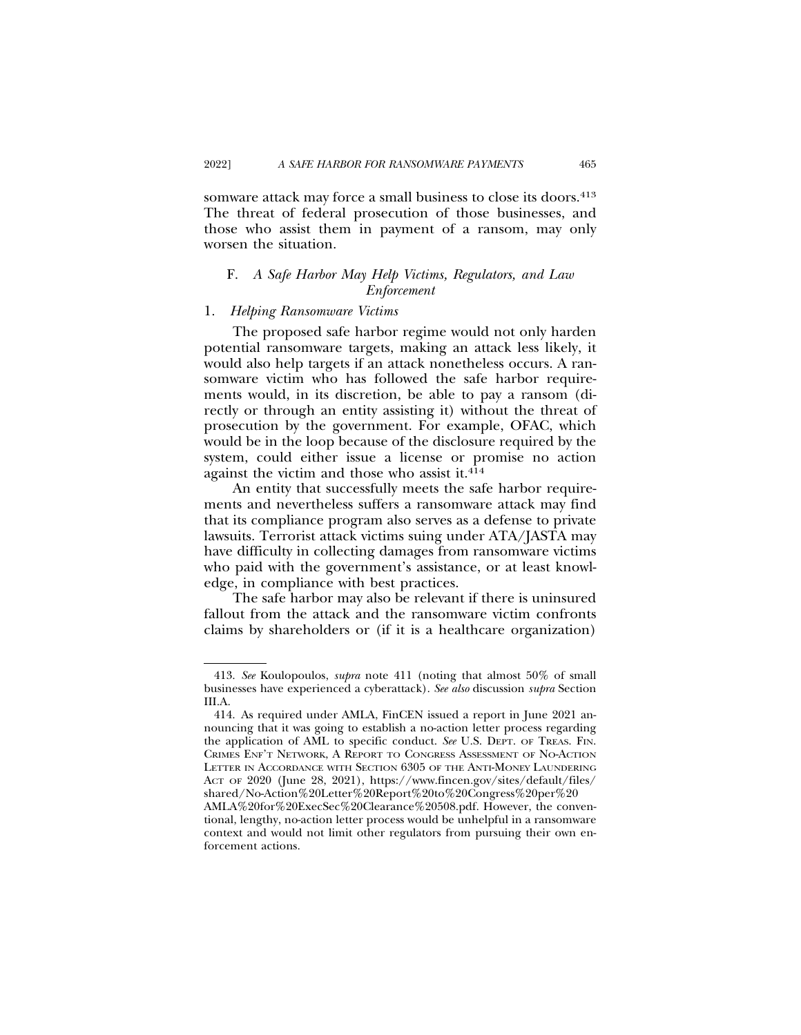somware attack may force a small business to close its doors.<sup>413</sup> The threat of federal prosecution of those businesses, and those who assist them in payment of a ransom, may only worsen the situation.

# F. *A Safe Harbor May Help Victims, Regulators, and Law Enforcement*

### 1. *Helping Ransomware Victims*

The proposed safe harbor regime would not only harden potential ransomware targets, making an attack less likely, it would also help targets if an attack nonetheless occurs. A ransomware victim who has followed the safe harbor requirements would, in its discretion, be able to pay a ransom (directly or through an entity assisting it) without the threat of prosecution by the government. For example, OFAC, which would be in the loop because of the disclosure required by the system, could either issue a license or promise no action against the victim and those who assist it.<sup>414</sup>

An entity that successfully meets the safe harbor requirements and nevertheless suffers a ransomware attack may find that its compliance program also serves as a defense to private lawsuits. Terrorist attack victims suing under ATA/JASTA may have difficulty in collecting damages from ransomware victims who paid with the government's assistance, or at least knowledge, in compliance with best practices.

The safe harbor may also be relevant if there is uninsured fallout from the attack and the ransomware victim confronts claims by shareholders or (if it is a healthcare organization)

<sup>413.</sup> *See* Koulopoulos, *supra* note 411 (noting that almost 50% of small businesses have experienced a cyberattack). *See also* discussion *supra* Section III.A.

<sup>414.</sup> As required under AMLA, FinCEN issued a report in June 2021 announcing that it was going to establish a no-action letter process regarding the application of AML to specific conduct. *See* U.S. DEPT. OF TREAS. FIN. CRIMES ENF'T NETWORK, A REPORT TO CONGRESS ASSESSMENT OF NO-ACTION LETTER IN ACCORDANCE WITH SECTION 6305 OF THE ANTI-MONEY LAUNDERING ACT OF 2020 (June 28, 2021), https://www.fincen.gov/sites/default/files/ shared/No-Action%20Letter%20Report%20to%20Congress%20per%20

AMLA%20for%20ExecSec%20Clearance%20508.pdf. However, the conventional, lengthy, no-action letter process would be unhelpful in a ransomware context and would not limit other regulators from pursuing their own enforcement actions.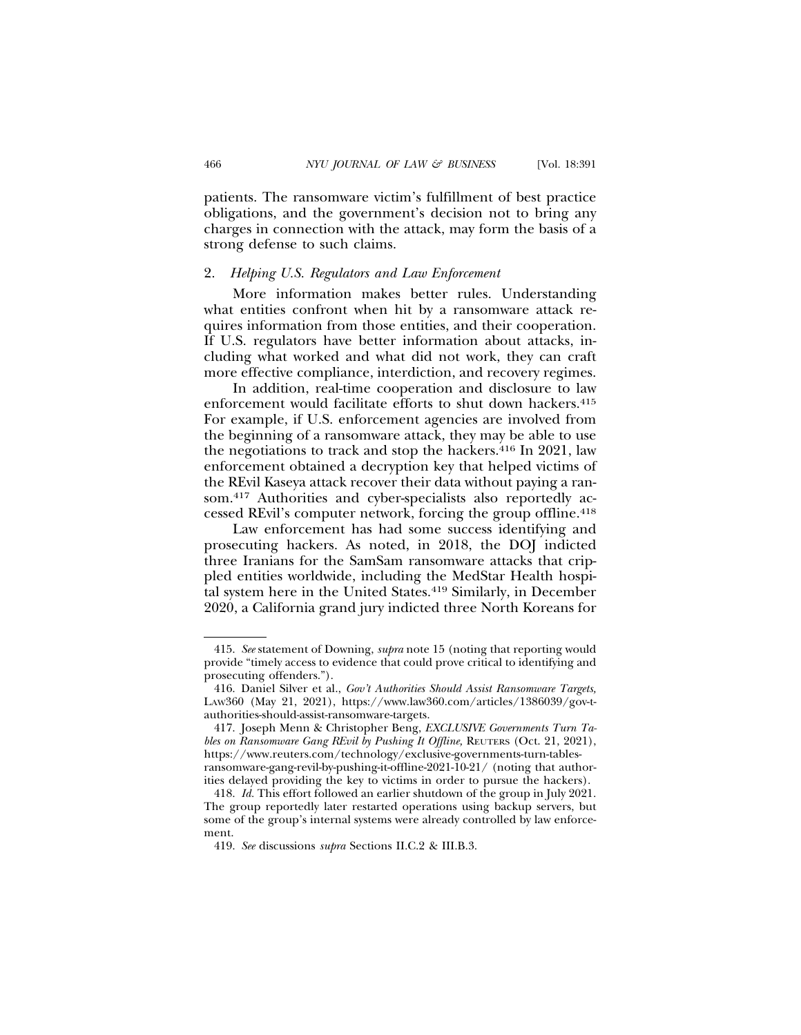patients. The ransomware victim's fulfillment of best practice obligations, and the government's decision not to bring any charges in connection with the attack, may form the basis of a strong defense to such claims.

## 2. *Helping U.S. Regulators and Law Enforcement*

More information makes better rules. Understanding what entities confront when hit by a ransomware attack requires information from those entities, and their cooperation. If U.S. regulators have better information about attacks, including what worked and what did not work, they can craft more effective compliance, interdiction, and recovery regimes.

In addition, real-time cooperation and disclosure to law enforcement would facilitate efforts to shut down hackers.<sup>415</sup> For example, if U.S. enforcement agencies are involved from the beginning of a ransomware attack, they may be able to use the negotiations to track and stop the hackers.<sup>416</sup> In 2021, law enforcement obtained a decryption key that helped victims of the REvil Kaseya attack recover their data without paying a ransom.417 Authorities and cyber-specialists also reportedly accessed REvil's computer network, forcing the group offline.418

Law enforcement has had some success identifying and prosecuting hackers. As noted, in 2018, the DOJ indicted three Iranians for the SamSam ransomware attacks that crippled entities worldwide, including the MedStar Health hospital system here in the United States.419 Similarly, in December 2020, a California grand jury indicted three North Koreans for

<sup>415.</sup> *See* statement of Downing, *supra* note 15 (noting that reporting would provide "timely access to evidence that could prove critical to identifying and prosecuting offenders.").

<sup>416.</sup> Daniel Silver et al., *Gov't Authorities Should Assist Ransomware Targets,* LAW360 (May 21, 2021), https://www.law360.com/articles/1386039/gov-tauthorities-should-assist-ransomware-targets.

<sup>417.</sup> Joseph Menn & Christopher Beng, *EXCLUSIVE Governments Turn Tables on Ransomware Gang REvil by Pushing It Offline,* REUTERS (Oct. 21, 2021), https://www.reuters.com/technology/exclusive-governments-turn-tablesransomware-gang-revil-by-pushing-it-offline-2021-10-21/ (noting that authorities delayed providing the key to victims in order to pursue the hackers).

<sup>418.</sup> *Id.* This effort followed an earlier shutdown of the group in July 2021. The group reportedly later restarted operations using backup servers, but some of the group's internal systems were already controlled by law enforcement.

<sup>419.</sup> *See* discussions *supra* Sections II.C.2 & III.B.3.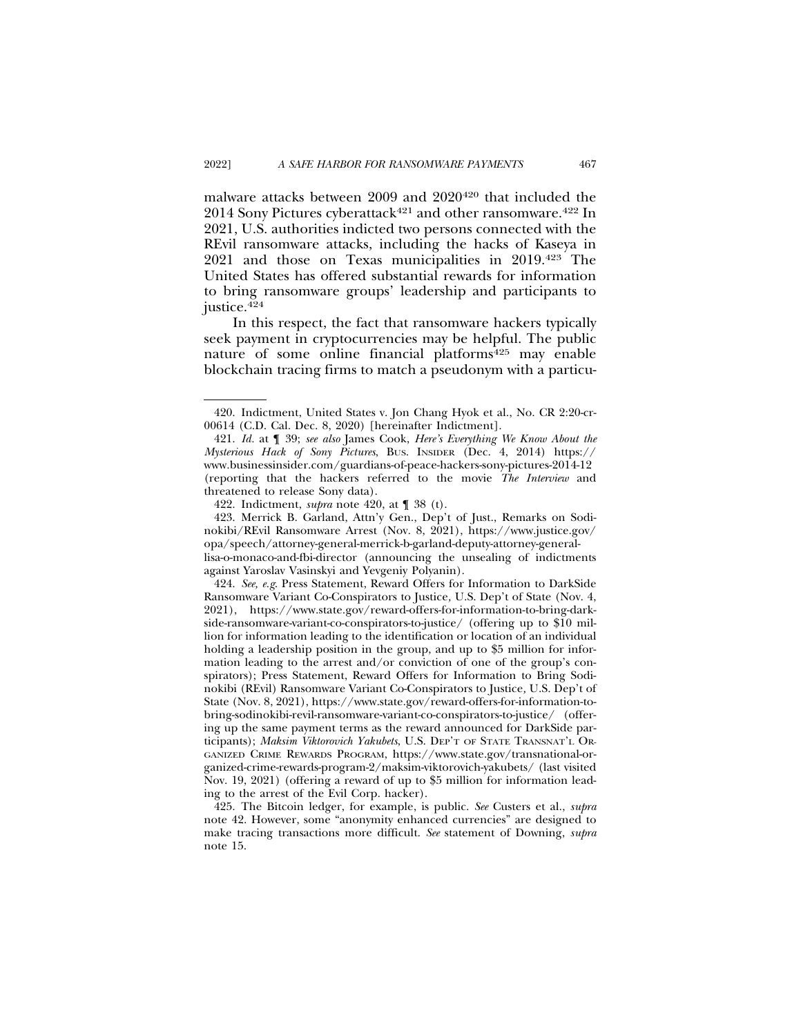malware attacks between 2009 and 2020<sup>420</sup> that included the  $2014$  Sony Pictures cyberattack<sup>421</sup> and other ransomware.<sup>422</sup> In 2021, U.S. authorities indicted two persons connected with the REvil ransomware attacks, including the hacks of Kaseya in 2021 and those on Texas municipalities in 2019.423 The United States has offered substantial rewards for information to bring ransomware groups' leadership and participants to justice.<sup>424</sup>

In this respect, the fact that ransomware hackers typically seek payment in cryptocurrencies may be helpful. The public nature of some online financial platforms<sup>425</sup> may enable blockchain tracing firms to match a pseudonym with a particu-

<sup>420.</sup> Indictment, United States v. Jon Chang Hyok et al., No. CR 2:20-cr-00614 (C.D. Cal. Dec. 8, 2020) [hereinafter Indictment].

<sup>421.</sup> *Id.* at ¶ 39; *see also* James Cook, *Here's Everything We Know About the Mysterious Hack of Sony Pictures*, BUS. INSIDER (Dec. 4, 2014) https:// www.businessinsider.com/guardians-of-peace-hackers-sony-pictures-2014-12 (reporting that the hackers referred to the movie *The Interview* and threatened to release Sony data).

<sup>422.</sup> Indictment, *supra* note 420, at ¶ 38 (t).

<sup>423.</sup> Merrick B. Garland, Attn'y Gen., Dep't of Just., Remarks on Sodinokibi/REvil Ransomware Arrest (Nov. 8, 2021), https://www.justice.gov/ opa/speech/attorney-general-merrick-b-garland-deputy-attorney-generallisa-o-monaco-and-fbi-director (announcing the unsealing of indictments against Yaroslav Vasinskyi and Yevgeniy Polyanin).

<sup>424.</sup> *See, e.g*. Press Statement, Reward Offers for Information to DarkSide Ransomware Variant Co-Conspirators to Justice*,* U.S. Dep't of State (Nov. 4, 2021), https://www.state.gov/reward-offers-for-information-to-bring-darkside-ransomware-variant-co-conspirators-to-justice/ (offering up to \$10 million for information leading to the identification or location of an individual holding a leadership position in the group, and up to \$5 million for information leading to the arrest and/or conviction of one of the group's conspirators); Press Statement, Reward Offers for Information to Bring Sodinokibi (REvil) Ransomware Variant Co-Conspirators to Justice*,* U.S. Dep't of State (Nov. 8, 2021), https://www.state.gov/reward-offers-for-information-tobring-sodinokibi-revil-ransomware-variant-co-conspirators-to-justice/ (offering up the same payment terms as the reward announced for DarkSide participants); *Maksim Viktorovich Yakubets*, U.S. DEP'T OF STATE TRANSNAT'L OR-GANIZED CRIME REWARDS PROGRAM, https://www.state.gov/transnational-organized-crime-rewards-program-2/maksim-viktorovich-yakubets/ (last visited Nov. 19, 2021) (offering a reward of up to \$5 million for information leading to the arrest of the Evil Corp. hacker).

<sup>425.</sup> The Bitcoin ledger, for example, is public. *See* Custers et al., *supra* note 42. However, some "anonymity enhanced currencies" are designed to make tracing transactions more difficult. *See* statement of Downing, *supra* note 15.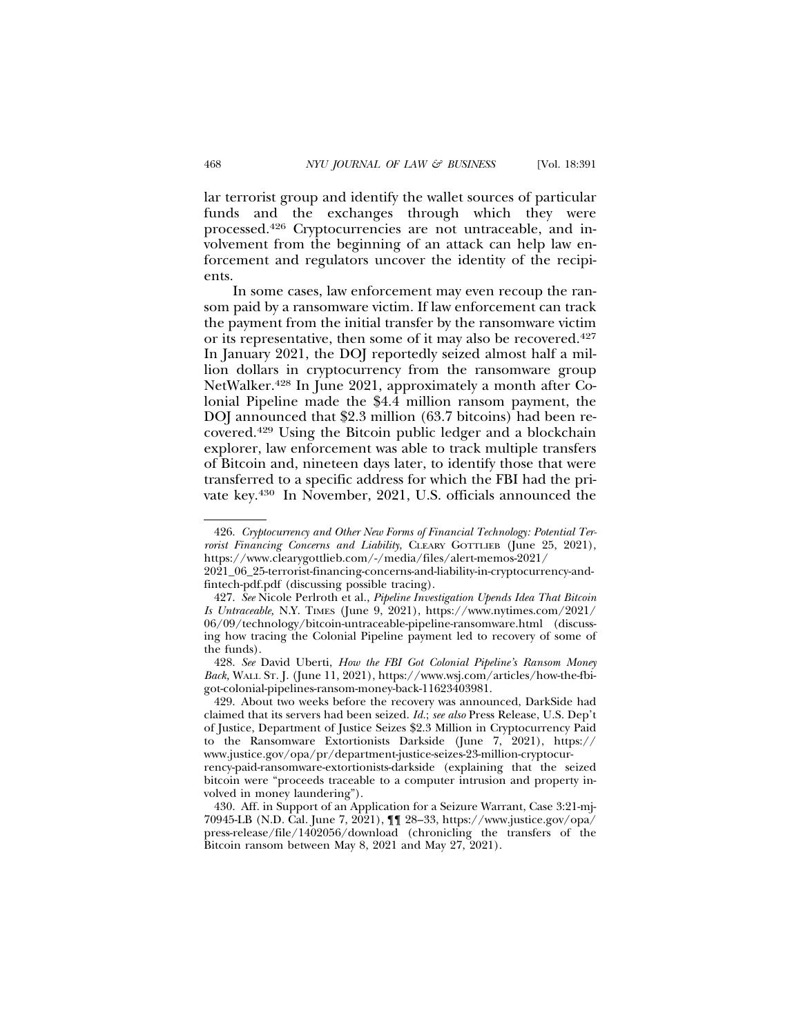lar terrorist group and identify the wallet sources of particular funds and the exchanges through which they were processed.426 Cryptocurrencies are not untraceable, and involvement from the beginning of an attack can help law enforcement and regulators uncover the identity of the recipients.

In some cases, law enforcement may even recoup the ransom paid by a ransomware victim. If law enforcement can track the payment from the initial transfer by the ransomware victim or its representative, then some of it may also be recovered.427 In January 2021, the DOJ reportedly seized almost half a million dollars in cryptocurrency from the ransomware group NetWalker.428 In June 2021, approximately a month after Colonial Pipeline made the \$4.4 million ransom payment, the DOJ announced that \$2.3 million (63.7 bitcoins) had been recovered.429 Using the Bitcoin public ledger and a blockchain explorer, law enforcement was able to track multiple transfers of Bitcoin and, nineteen days later, to identify those that were transferred to a specific address for which the FBI had the private key.430 In November, 2021, U.S. officials announced the

428. *See* David Uberti, *How the FBI Got Colonial Pipeline's Ransom Money Back,* WALL ST. J. (June 11, 2021), https://www.wsj.com/articles/how-the-fbigot-colonial-pipelines-ransom-money-back-11623403981.

429. About two weeks before the recovery was announced, DarkSide had claimed that its servers had been seized. *Id.*; *see also* Press Release, U.S. Dep't of Justice, Department of Justice Seizes \$2.3 Million in Cryptocurrency Paid to the Ransomware Extortionists Darkside (June 7, 2021), https:// www.justice.gov/opa/pr/department-justice-seizes-23-million-cryptocur-

rency-paid-ransomware-extortionists-darkside (explaining that the seized bitcoin were "proceeds traceable to a computer intrusion and property involved in money laundering").

430. Aff. in Support of an Application for a Seizure Warrant, Case 3:21-mj-70945-LB (N.D. Cal. June 7, 2021), ¶¶ 28–33, https://www.justice.gov/opa/ press-release/file/1402056/download (chronicling the transfers of the Bitcoin ransom between May 8, 2021 and May 27, 2021).

<sup>426.</sup> *Cryptocurrency and Other New Forms of Financial Technology: Potential Terrorist Financing Concerns and Liability*, CLEARY GOTTLIEB (June 25, 2021), https://www.clearygottlieb.com/-/media/files/alert-memos-2021/

<sup>2021</sup>\_06\_25-terrorist-financing-concerns-and-liability-in-cryptocurrency-andfintech-pdf.pdf (discussing possible tracing).

<sup>427.</sup> *See* Nicole Perlroth et al., *Pipeline Investigation Upends Idea That Bitcoin Is Untraceable,* N.Y. TIMES (June 9, 2021), https://www.nytimes.com/2021/ 06/09/technology/bitcoin-untraceable-pipeline-ransomware.html (discussing how tracing the Colonial Pipeline payment led to recovery of some of the funds).